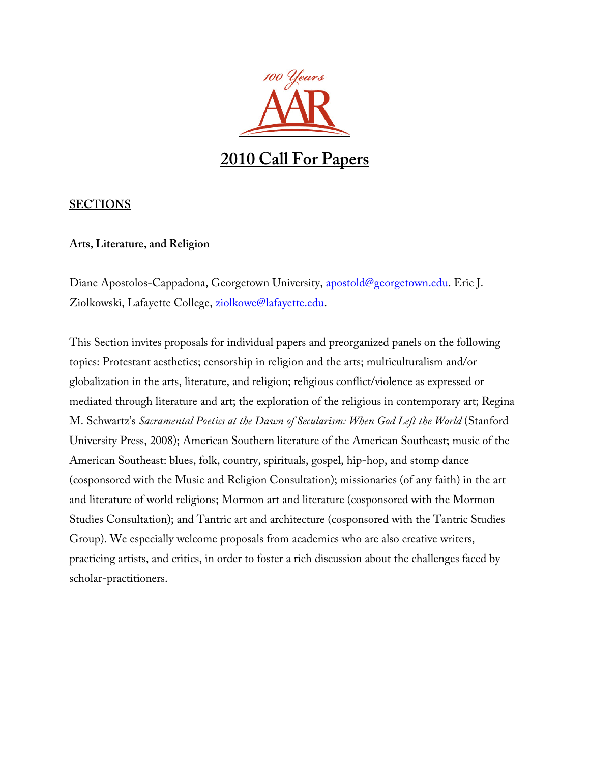

# **SECTIONS**

# **Arts, Literature, and Religion**

Diane Apostolos-Cappadona, Georgetown University, apostold@georgetown.edu. Eric J. Ziolkowski, Lafayette College, ziolkowe@lafayette.edu.

This Section invites proposals for individual papers and preorganized panels on the following topics: Protestant aesthetics; censorship in religion and the arts; multiculturalism and/or globalization in the arts, literature, and religion; religious conflict/violence as expressed or mediated through literature and art; the exploration of the religious in contemporary art; Regina M. Schwartz's *Sacramental Poetics at the Dawn of Secularism: When God Left the World* (Stanford University Press, 2008); American Southern literature of the American Southeast; music of the American Southeast: blues, folk, country, spirituals, gospel, hip-hop, and stomp dance (cosponsored with the Music and Religion Consultation); missionaries (of any faith) in the art and literature of world religions; Mormon art and literature (cosponsored with the Mormon Studies Consultation); and Tantric art and architecture (cosponsored with the Tantric Studies Group). We especially welcome proposals from academics who are also creative writers, practicing artists, and critics, in order to foster a rich discussion about the challenges faced by scholar-practitioners.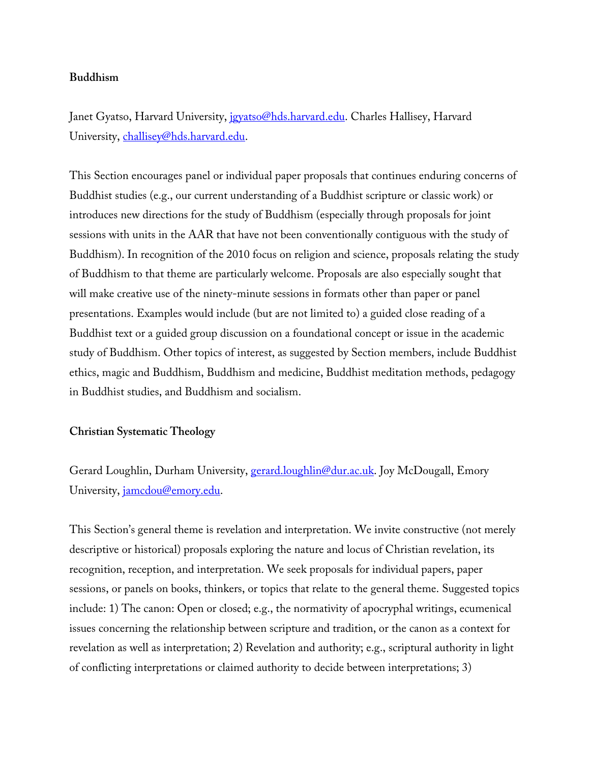# **Buddhism**

Janet Gyatso, Harvard University, jgyatso@hds.harvard.edu. Charles Hallisey, Harvard University, challisey@hds.harvard.edu.

This Section encourages panel or individual paper proposals that continues enduring concerns of Buddhist studies (e.g., our current understanding of a Buddhist scripture or classic work) or introduces new directions for the study of Buddhism (especially through proposals for joint sessions with units in the AAR that have not been conventionally contiguous with the study of Buddhism). In recognition of the 2010 focus on religion and science, proposals relating the study of Buddhism to that theme are particularly welcome. Proposals are also especially sought that will make creative use of the ninety-minute sessions in formats other than paper or panel presentations. Examples would include (but are not limited to) a guided close reading of a Buddhist text or a guided group discussion on a foundational concept or issue in the academic study of Buddhism. Other topics of interest, as suggested by Section members, include Buddhist ethics, magic and Buddhism, Buddhism and medicine, Buddhist meditation methods, pedagogy in Buddhist studies, and Buddhism and socialism.

#### **Christian Systematic Theology**

Gerard Loughlin, Durham University, gerard.loughlin@dur.ac.uk. Joy McDougall, Emory University, jamcdou@emory.edu.

This Section's general theme is revelation and interpretation. We invite constructive (not merely descriptive or historical) proposals exploring the nature and locus of Christian revelation, its recognition, reception, and interpretation. We seek proposals for individual papers, paper sessions, or panels on books, thinkers, or topics that relate to the general theme. Suggested topics include: 1) The canon: Open or closed; e.g., the normativity of apocryphal writings, ecumenical issues concerning the relationship between scripture and tradition, or the canon as a context for revelation as well as interpretation; 2) Revelation and authority; e.g., scriptural authority in light of conflicting interpretations or claimed authority to decide between interpretations; 3)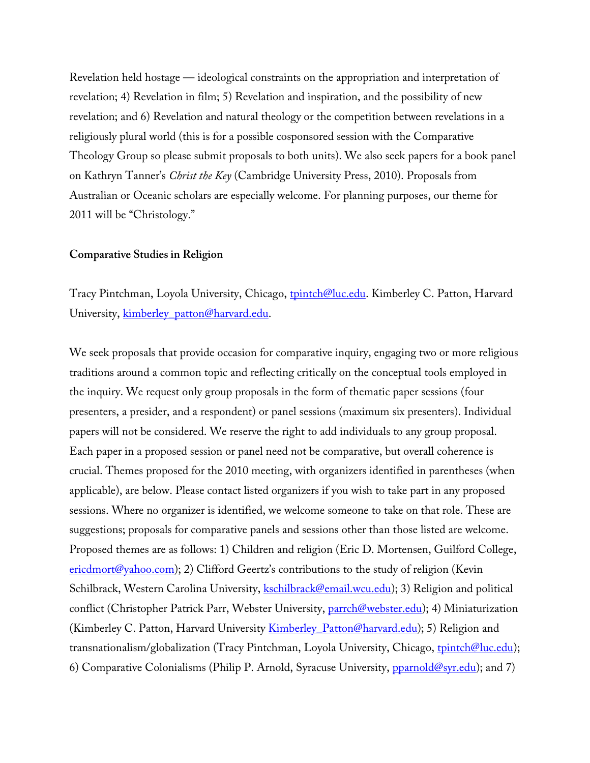Revelation held hostage — ideological constraints on the appropriation and interpretation of revelation; 4) Revelation in film; 5) Revelation and inspiration, and the possibility of new revelation; and 6) Revelation and natural theology or the competition between revelations in a religiously plural world (this is for a possible cosponsored session with the Comparative Theology Group so please submit proposals to both units). We also seek papers for a book panel on Kathryn Tanner's *Christ the Key* (Cambridge University Press, 2010). Proposals from Australian or Oceanic scholars are especially welcome. For planning purposes, our theme for 2011 will be "Christology."

#### **Comparative Studies in Religion**

Tracy Pintchman, Loyola University, Chicago, tpintch@luc.edu. Kimberley C. Patton, Harvard University, kimberley\_patton@harvard.edu.

We seek proposals that provide occasion for comparative inquiry, engaging two or more religious traditions around a common topic and reflecting critically on the conceptual tools employed in the inquiry. We request only group proposals in the form of thematic paper sessions (four presenters, a presider, and a respondent) or panel sessions (maximum six presenters). Individual papers will not be considered. We reserve the right to add individuals to any group proposal. Each paper in a proposed session or panel need not be comparative, but overall coherence is crucial. Themes proposed for the 2010 meeting, with organizers identified in parentheses (when applicable), are below. Please contact listed organizers if you wish to take part in any proposed sessions. Where no organizer is identified, we welcome someone to take on that role. These are suggestions; proposals for comparative panels and sessions other than those listed are welcome. Proposed themes are as follows: 1) Children and religion (Eric D. Mortensen, Guilford College,  $e$ ricdmort@yahoo.com); 2) Clifford Geertz's contributions to the study of religion (Kevin Schilbrack, Western Carolina University, kschilbrack@email.wcu.edu); 3) Religion and political conflict (Christopher Patrick Parr, Webster University, parrch@webster.edu); 4) Miniaturization (Kimberley C. Patton, Harvard University **Kimberley** Patton@harvard.edu); 5) Religion and transnationalism/globalization (Tracy Pintchman, Loyola University, Chicago, tpintch@luc.edu); 6) Comparative Colonialisms (Philip P. Arnold, Syracuse University,  $p$ *parnold@syr.edu*); and 7)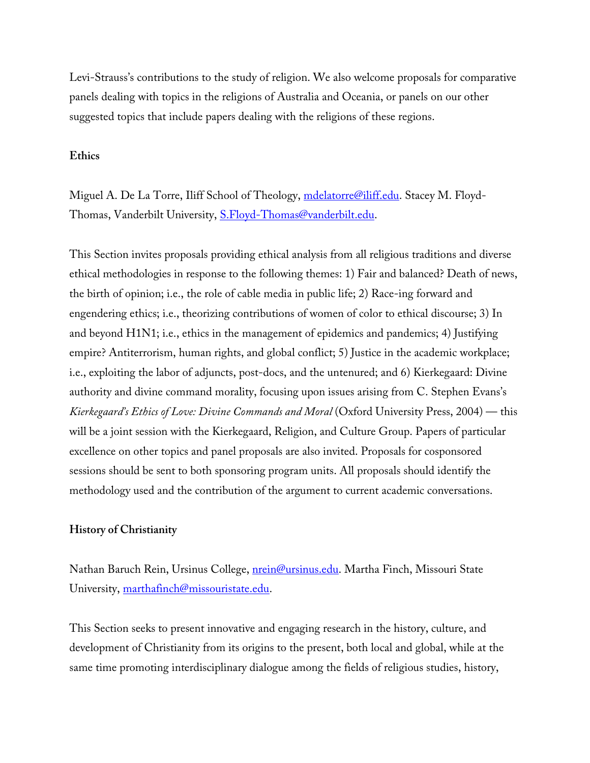Levi-Strauss's contributions to the study of religion. We also welcome proposals for comparative panels dealing with topics in the religions of Australia and Oceania, or panels on our other suggested topics that include papers dealing with the religions of these regions.

#### **Ethics**

Miguel A. De La Torre, Iliff School of Theology, mdelatorre@iliff.edu. Stacey M. Floyd-Thomas, Vanderbilt University, S.Floyd-Thomas@vanderbilt.edu.

This Section invites proposals providing ethical analysis from all religious traditions and diverse ethical methodologies in response to the following themes: 1) Fair and balanced? Death of news, the birth of opinion; i.e., the role of cable media in public life; 2) Race-ing forward and engendering ethics; i.e., theorizing contributions of women of color to ethical discourse; 3) In and beyond H1N1; i.e., ethics in the management of epidemics and pandemics; 4) Justifying empire? Antiterrorism, human rights, and global conflict; 5) Justice in the academic workplace; i.e., exploiting the labor of adjuncts, post-docs, and the untenured; and 6) Kierkegaard: Divine authority and divine command morality, focusing upon issues arising from C. Stephen Evans's *Kierkegaard's Ethics of Love: Divine Commands and Moral* (Oxford University Press, 2004) — this will be a joint session with the Kierkegaard, Religion, and Culture Group. Papers of particular excellence on other topics and panel proposals are also invited. Proposals for cosponsored sessions should be sent to both sponsoring program units. All proposals should identify the methodology used and the contribution of the argument to current academic conversations.

#### **History of Christianity**

Nathan Baruch Rein, Ursinus College, *nrein@ursinus.edu*. Martha Finch, Missouri State University, marthafinch@missouristate.edu.

This Section seeks to present innovative and engaging research in the history, culture, and development of Christianity from its origins to the present, both local and global, while at the same time promoting interdisciplinary dialogue among the fields of religious studies, history,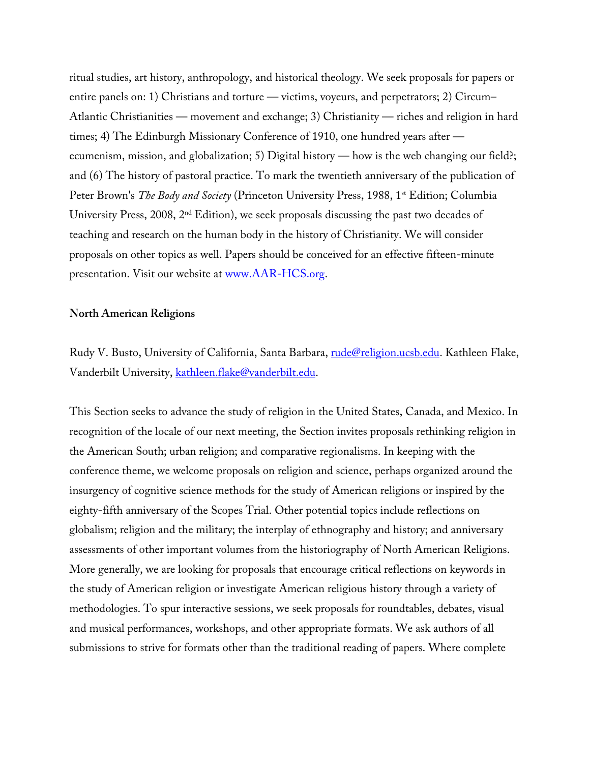ritual studies, art history, anthropology, and historical theology. We seek proposals for papers or entire panels on: 1) Christians and torture — victims, voyeurs, and perpetrators; 2) Circum– Atlantic Christianities — movement and exchange; 3) Christianity — riches and religion in hard times; 4) The Edinburgh Missionary Conference of 1910, one hundred years after ecumenism, mission, and globalization; 5) Digital history — how is the web changing our field?; and (6) The history of pastoral practice. To mark the twentieth anniversary of the publication of Peter Brown's *The Body and Society* (Princeton University Press, 1988, 1<sup>st</sup> Edition; Columbia University Press, 2008, 2nd Edition), we seek proposals discussing the past two decades of teaching and research on the human body in the history of Christianity. We will consider proposals on other topics as well. Papers should be conceived for an effective fifteen-minute presentation. Visit our website at www.AAR-HCS.org.

#### **North American Religions**

Rudy V. Busto, University of California, Santa Barbara, rude@religion.ucsb.edu. Kathleen Flake, Vanderbilt University, kathleen.flake@vanderbilt.edu.

This Section seeks to advance the study of religion in the United States, Canada, and Mexico. In recognition of the locale of our next meeting, the Section invites proposals rethinking religion in the American South; urban religion; and comparative regionalisms. In keeping with the conference theme, we welcome proposals on religion and science, perhaps organized around the insurgency of cognitive science methods for the study of American religions or inspired by the eighty-fifth anniversary of the Scopes Trial. Other potential topics include reflections on globalism; religion and the military; the interplay of ethnography and history; and anniversary assessments of other important volumes from the historiography of North American Religions. More generally, we are looking for proposals that encourage critical reflections on keywords in the study of American religion or investigate American religious history through a variety of methodologies. To spur interactive sessions, we seek proposals for roundtables, debates, visual and musical performances, workshops, and other appropriate formats. We ask authors of all submissions to strive for formats other than the traditional reading of papers. Where complete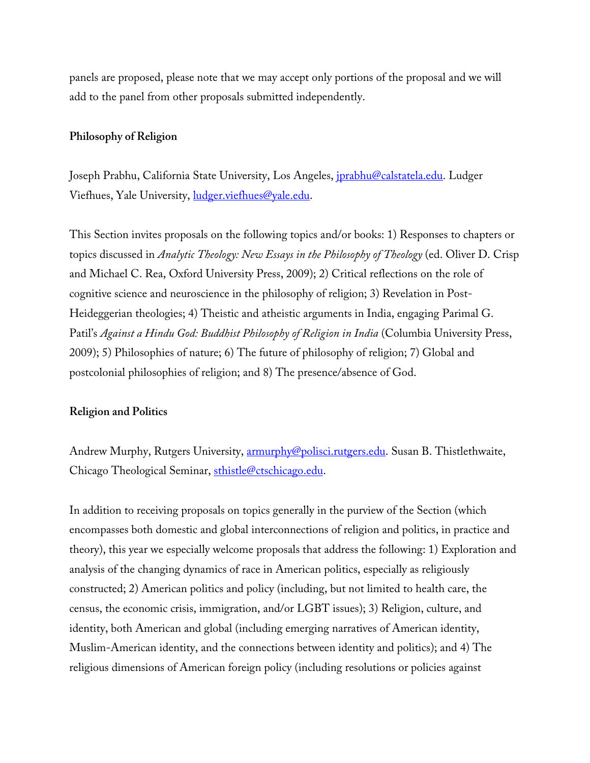panels are proposed, please note that we may accept only portions of the proposal and we will add to the panel from other proposals submitted independently.

#### **Philosophy of Religion**

Joseph Prabhu, California State University, Los Angeles, *jprabhu@calstatela.edu*. Ludger Viefhues, Yale University, ludger.viefhues@yale.edu.

This Section invites proposals on the following topics and/or books: 1) Responses to chapters or topics discussed in *Analytic Theology: New Essays in the Philosophy of Theology* (ed. Oliver D. Crisp and Michael C. Rea, Oxford University Press, 2009); 2) Critical reflections on the role of cognitive science and neuroscience in the philosophy of religion; 3) Revelation in Post-Heideggerian theologies; 4) Theistic and atheistic arguments in India, engaging Parimal G. Patil's *Against a Hindu God: Buddhist Philosophy of Religion in India* (Columbia University Press, 2009); 5) Philosophies of nature; 6) The future of philosophy of religion; 7) Global and postcolonial philosophies of religion; and 8) The presence/absence of God.

#### **Religion and Politics**

Andrew Murphy, Rutgers University, **armurphy@polisci.rutgers.edu**. Susan B. Thistlethwaite, Chicago Theological Seminar, sthistle@ctschicago.edu.

In addition to receiving proposals on topics generally in the purview of the Section (which encompasses both domestic and global interconnections of religion and politics, in practice and theory), this year we especially welcome proposals that address the following: 1) Exploration and analysis of the changing dynamics of race in American politics, especially as religiously constructed; 2) American politics and policy (including, but not limited to health care, the census, the economic crisis, immigration, and/or LGBT issues); 3) Religion, culture, and identity, both American and global (including emerging narratives of American identity, Muslim-American identity, and the connections between identity and politics); and 4) The religious dimensions of American foreign policy (including resolutions or policies against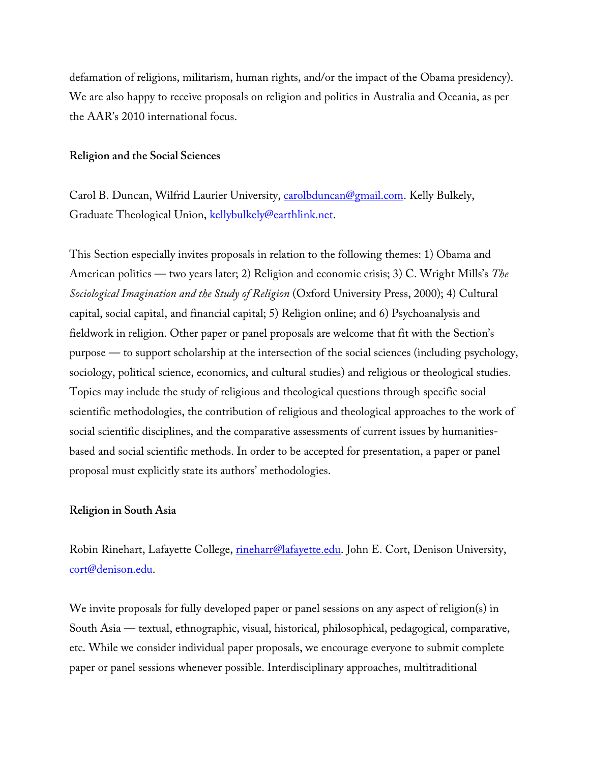defamation of religions, militarism, human rights, and/or the impact of the Obama presidency). We are also happy to receive proposals on religion and politics in Australia and Oceania, as per the AAR's 2010 international focus.

#### **Religion and the Social Sciences**

Carol B. Duncan, Wilfrid Laurier University, carolbduncan@gmail.com. Kelly Bulkely, Graduate Theological Union, kellybulkely@earthlink.net.

This Section especially invites proposals in relation to the following themes: 1) Obama and American politics — two years later; 2) Religion and economic crisis; 3) C. Wright Mills's *The Sociological Imagination and the Study of Religion* (Oxford University Press, 2000); 4) Cultural capital, social capital, and financial capital; 5) Religion online; and 6) Psychoanalysis and fieldwork in religion. Other paper or panel proposals are welcome that fit with the Section's purpose — to support scholarship at the intersection of the social sciences (including psychology, sociology, political science, economics, and cultural studies) and religious or theological studies. Topics may include the study of religious and theological questions through specific social scientific methodologies, the contribution of religious and theological approaches to the work of social scientific disciplines, and the comparative assessments of current issues by humanitiesbased and social scientific methods. In order to be accepted for presentation, a paper or panel proposal must explicitly state its authors' methodologies.

#### **Religion in South Asia**

Robin Rinehart, Lafayette College, rineharr@lafayette.edu. John E. Cort, Denison University, cort@denison.edu.

We invite proposals for fully developed paper or panel sessions on any aspect of religion(s) in South Asia — textual, ethnographic, visual, historical, philosophical, pedagogical, comparative, etc. While we consider individual paper proposals, we encourage everyone to submit complete paper or panel sessions whenever possible. Interdisciplinary approaches, multitraditional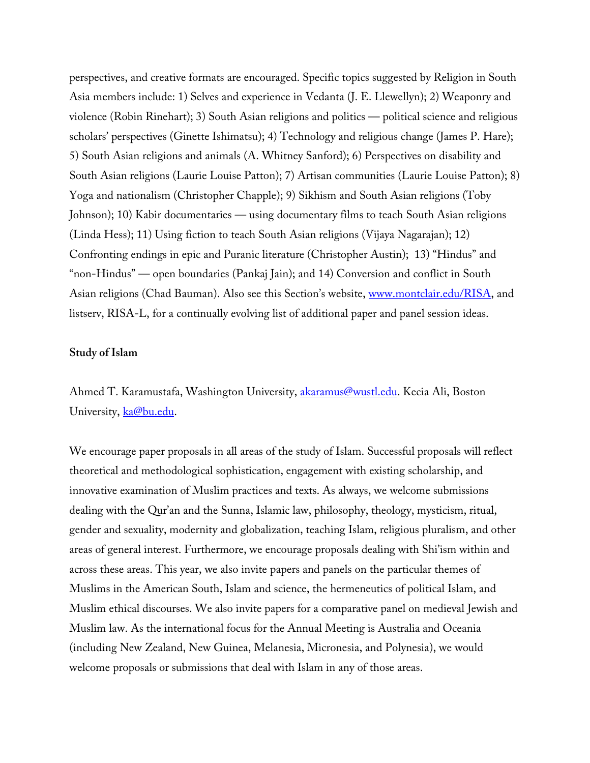perspectives, and creative formats are encouraged. Specific topics suggested by Religion in South Asia members include: 1) Selves and experience in Vedanta (J. E. Llewellyn); 2) Weaponry and violence (Robin Rinehart); 3) South Asian religions and politics — political science and religious scholars' perspectives (Ginette Ishimatsu); 4) Technology and religious change (James P. Hare); 5) South Asian religions and animals (A. Whitney Sanford); 6) Perspectives on disability and South Asian religions (Laurie Louise Patton); 7) Artisan communities (Laurie Louise Patton); 8) Yoga and nationalism (Christopher Chapple); 9) Sikhism and South Asian religions (Toby Johnson); 10) Kabir documentaries — using documentary films to teach South Asian religions (Linda Hess); 11) Using fiction to teach South Asian religions (Vijaya Nagarajan); 12) Confronting endings in epic and Puranic literature (Christopher Austin); 13) "Hindus" and "non-Hindus" — open boundaries (Pankaj Jain); and 14) Conversion and conflict in South Asian religions (Chad Bauman). Also see this Section's website, www.montclair.edu/RISA, and listserv, RISA-L, for a continually evolving list of additional paper and panel session ideas.

# **Study of Islam**

Ahmed T. Karamustafa, Washington University, **akaramus@wustl.edu**. Kecia Ali, Boston University, ka@bu.edu.

We encourage paper proposals in all areas of the study of Islam. Successful proposals will reflect theoretical and methodological sophistication, engagement with existing scholarship, and innovative examination of Muslim practices and texts. As always, we welcome submissions dealing with the Qur'an and the Sunna, Islamic law, philosophy, theology, mysticism, ritual, gender and sexuality, modernity and globalization, teaching Islam, religious pluralism, and other areas of general interest. Furthermore, we encourage proposals dealing with Shi'ism within and across these areas. This year, we also invite papers and panels on the particular themes of Muslims in the American South, Islam and science, the hermeneutics of political Islam, and Muslim ethical discourses. We also invite papers for a comparative panel on medieval Jewish and Muslim law. As the international focus for the Annual Meeting is Australia and Oceania (including New Zealand, New Guinea, Melanesia, Micronesia, and Polynesia), we would welcome proposals or submissions that deal with Islam in any of those areas.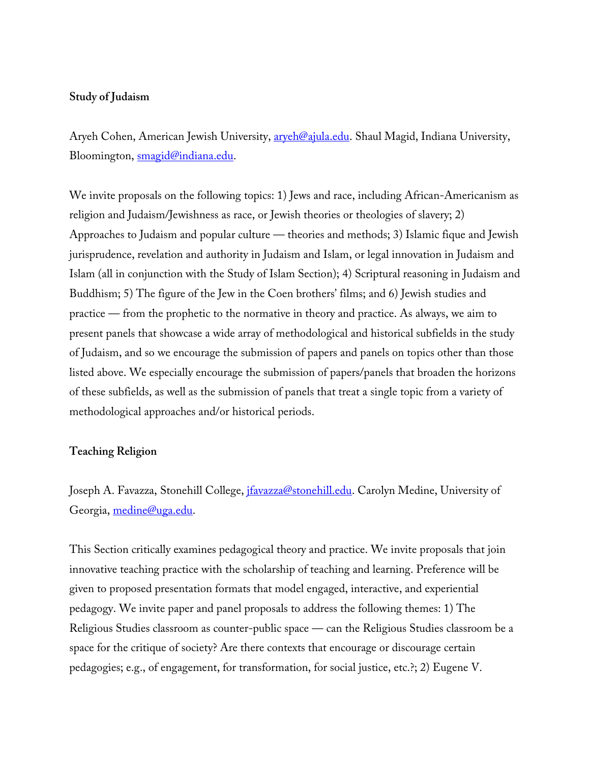# **Study of Judaism**

Aryeh Cohen, American Jewish University, **aryeh@ajula.edu**. Shaul Magid, Indiana University, Bloomington, smagid@indiana.edu.

We invite proposals on the following topics: 1) Jews and race, including African-Americanism as religion and Judaism/Jewishness as race, or Jewish theories or theologies of slavery; 2) Approaches to Judaism and popular culture — theories and methods; 3) Islamic fique and Jewish jurisprudence, revelation and authority in Judaism and Islam, or legal innovation in Judaism and Islam (all in conjunction with the Study of Islam Section); 4) Scriptural reasoning in Judaism and Buddhism; 5) The figure of the Jew in the Coen brothers' films; and 6) Jewish studies and practice — from the prophetic to the normative in theory and practice. As always, we aim to present panels that showcase a wide array of methodological and historical subfields in the study of Judaism, and so we encourage the submission of papers and panels on topics other than those listed above. We especially encourage the submission of papers/panels that broaden the horizons of these subfields, as well as the submission of panels that treat a single topic from a variety of methodological approaches and/or historical periods.

# **Teaching Religion**

Joseph A. Favazza, Stonehill College, *jfavazza@stonehill.edu*. Carolyn Medine, University of Georgia, medine@uga.edu.

This Section critically examines pedagogical theory and practice. We invite proposals that join innovative teaching practice with the scholarship of teaching and learning. Preference will be given to proposed presentation formats that model engaged, interactive, and experiential pedagogy. We invite paper and panel proposals to address the following themes: 1) The Religious Studies classroom as counter-public space — can the Religious Studies classroom be a space for the critique of society? Are there contexts that encourage or discourage certain pedagogies; e.g., of engagement, for transformation, for social justice, etc.?; 2) Eugene V.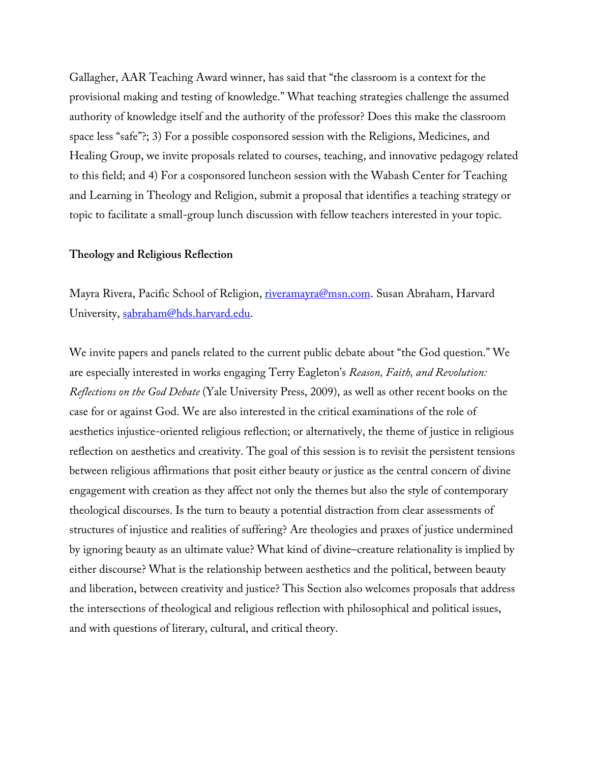Gallagher, AAR Teaching Award winner, has said that "the classroom is a context for the provisional making and testing of knowledge." What teaching strategies challenge the assumed authority of knowledge itself and the authority of the professor? Does this make the classroom space less "safe"?; 3) For a possible cosponsored session with the Religions, Medicines, and Healing Group, we invite proposals related to courses, teaching, and innovative pedagogy related to this field; and 4) For a cosponsored luncheon session with the Wabash Center for Teaching and Learning in Theology and Religion, submit a proposal that identifies a teaching strategy or topic to facilitate a small-group lunch discussion with fellow teachers interested in your topic.

#### **Theology and Religious Reflection**

Mayra Rivera, Pacific School of Religion, riveramayra@msn.com. Susan Abraham, Harvard University, sabraham@hds.harvard.edu.

We invite papers and panels related to the current public debate about "the God question." We are especially interested in works engaging Terry Eagleton's *Reason, Faith, and Revolution: Reflections on the God Debate* (Yale University Press, 2009), as well as other recent books on the case for or against God. We are also interested in the critical examinations of the role of aesthetics injustice-oriented religious reflection; or alternatively, the theme of justice in religious reflection on aesthetics and creativity. The goal of this session is to revisit the persistent tensions between religious affirmations that posit either beauty or justice as the central concern of divine engagement with creation as they affect not only the themes but also the style of contemporary theological discourses. Is the turn to beauty a potential distraction from clear assessments of structures of injustice and realities of suffering? Are theologies and praxes of justice undermined by ignoring beauty as an ultimate value? What kind of divine–creature relationality is implied by either discourse? What is the relationship between aesthetics and the political, between beauty and liberation, between creativity and justice? This Section also welcomes proposals that address the intersections of theological and religious reflection with philosophical and political issues, and with questions of literary, cultural, and critical theory.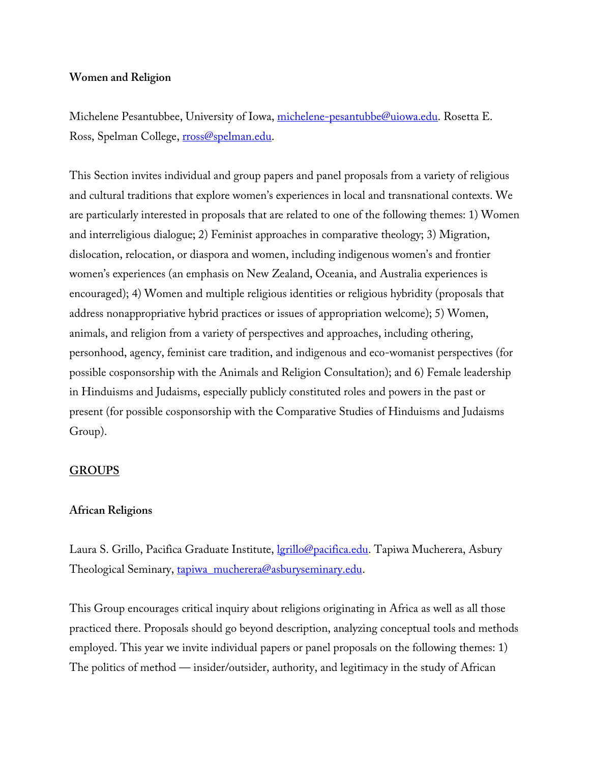# **Women and Religion**

Michelene Pesantubbee, University of Iowa, michelene-pesantubbe@uiowa.edu. Rosetta E. Ross, Spelman College, rross@spelman.edu.

This Section invites individual and group papers and panel proposals from a variety of religious and cultural traditions that explore women's experiences in local and transnational contexts. We are particularly interested in proposals that are related to one of the following themes: 1) Women and interreligious dialogue; 2) Feminist approaches in comparative theology; 3) Migration, dislocation, relocation, or diaspora and women, including indigenous women's and frontier women's experiences (an emphasis on New Zealand, Oceania, and Australia experiences is encouraged); 4) Women and multiple religious identities or religious hybridity (proposals that address nonappropriative hybrid practices or issues of appropriation welcome); 5) Women, animals, and religion from a variety of perspectives and approaches, including othering, personhood, agency, feminist care tradition, and indigenous and eco-womanist perspectives (for possible cosponsorship with the Animals and Religion Consultation); and 6) Female leadership in Hinduisms and Judaisms, especially publicly constituted roles and powers in the past or present (for possible cosponsorship with the Comparative Studies of Hinduisms and Judaisms Group).

# **GROUPS**

# **African Religions**

Laura S. Grillo, Pacifica Graduate Institute, *<u>lgrillo@pacifica.edu</u>*. Tapiwa Mucherera, Asbury Theological Seminary, tapiwa\_mucherera@asburyseminary.edu.

This Group encourages critical inquiry about religions originating in Africa as well as all those practiced there. Proposals should go beyond description, analyzing conceptual tools and methods employed. This year we invite individual papers or panel proposals on the following themes: 1) The politics of method — insider/outsider, authority, and legitimacy in the study of African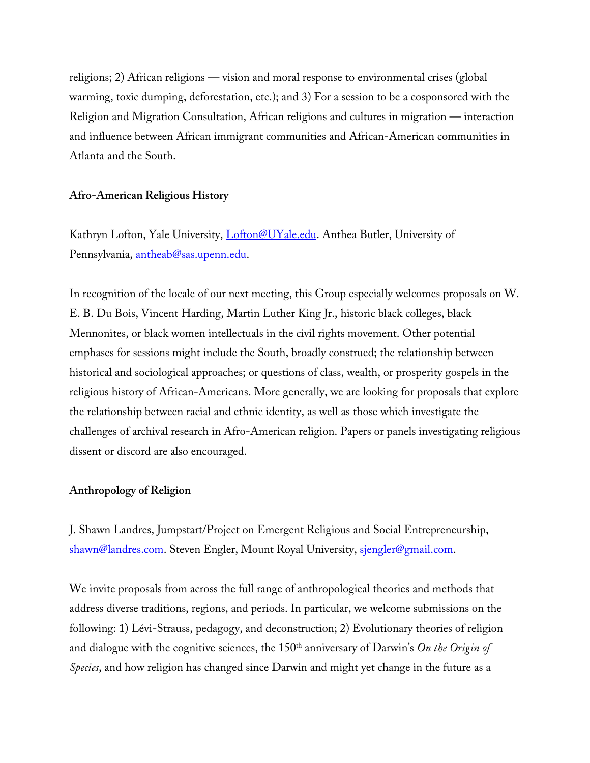religions; 2) African religions — vision and moral response to environmental crises (global warming, toxic dumping, deforestation, etc.); and 3) For a session to be a cosponsored with the Religion and Migration Consultation, African religions and cultures in migration — interaction and influence between African immigrant communities and African-American communities in Atlanta and the South.

# **Afro-American Religious History**

Kathryn Lofton, Yale University, Lofton@UYale.edu. Anthea Butler, University of Pennsylvania, antheab@sas.upenn.edu.

In recognition of the locale of our next meeting, this Group especially welcomes proposals on W. E. B. Du Bois, Vincent Harding, Martin Luther King Jr., historic black colleges, black Mennonites, or black women intellectuals in the civil rights movement. Other potential emphases for sessions might include the South, broadly construed; the relationship between historical and sociological approaches; or questions of class, wealth, or prosperity gospels in the religious history of African-Americans. More generally, we are looking for proposals that explore the relationship between racial and ethnic identity, as well as those which investigate the challenges of archival research in Afro-American religion. Papers or panels investigating religious dissent or discord are also encouraged.

# **Anthropology of Religion**

J. Shawn Landres, Jumpstart/Project on Emergent Religious and Social Entrepreneurship, shawn@landres.com. Steven Engler, Mount Royal University, sjengler@gmail.com.

We invite proposals from across the full range of anthropological theories and methods that address diverse traditions, regions, and periods. In particular, we welcome submissions on the following: 1) Lévi-Strauss, pedagogy, and deconstruction; 2) Evolutionary theories of religion and dialogue with the cognitive sciences, the 150<sup>th</sup> anniversary of Darwin's *On the Origin of Species*, and how religion has changed since Darwin and might yet change in the future as a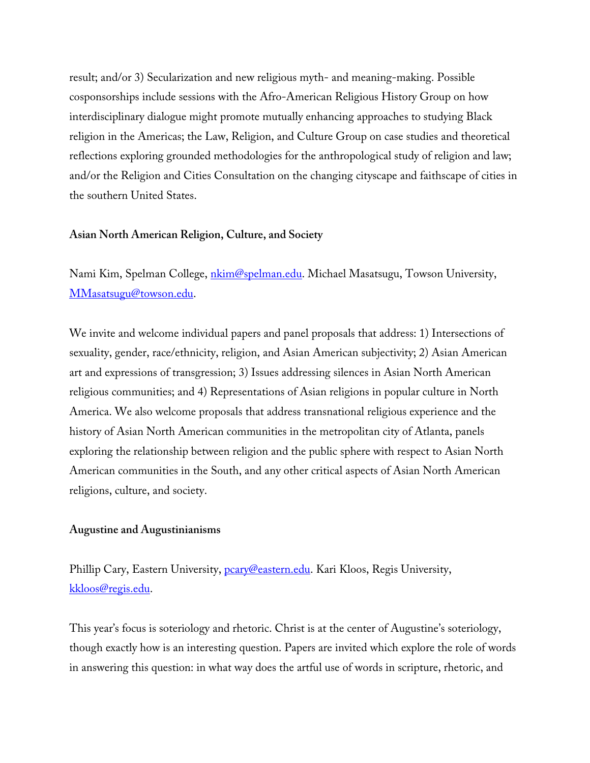result; and/or 3) Secularization and new religious myth- and meaning-making. Possible cosponsorships include sessions with the Afro-American Religious History Group on how interdisciplinary dialogue might promote mutually enhancing approaches to studying Black religion in the Americas; the Law, Religion, and Culture Group on case studies and theoretical reflections exploring grounded methodologies for the anthropological study of religion and law; and/or the Religion and Cities Consultation on the changing cityscape and faithscape of cities in the southern United States.

### **Asian North American Religion, Culture, and Society**

Nami Kim, Spelman College, *nkim@spelman.edu*. Michael Masatsugu, Towson University, MMasatsugu@towson.edu.

We invite and welcome individual papers and panel proposals that address: 1) Intersections of sexuality, gender, race/ethnicity, religion, and Asian American subjectivity; 2) Asian American art and expressions of transgression; 3) Issues addressing silences in Asian North American religious communities; and 4) Representations of Asian religions in popular culture in North America. We also welcome proposals that address transnational religious experience and the history of Asian North American communities in the metropolitan city of Atlanta, panels exploring the relationship between religion and the public sphere with respect to Asian North American communities in the South, and any other critical aspects of Asian North American religions, culture, and society.

#### **Augustine and Augustinianisms**

Phillip Cary, Eastern University, pcary@eastern.edu. Kari Kloos, Regis University, kkloos@regis.edu.

This year's focus is soteriology and rhetoric. Christ is at the center of Augustine's soteriology, though exactly how is an interesting question. Papers are invited which explore the role of words in answering this question: in what way does the artful use of words in scripture, rhetoric, and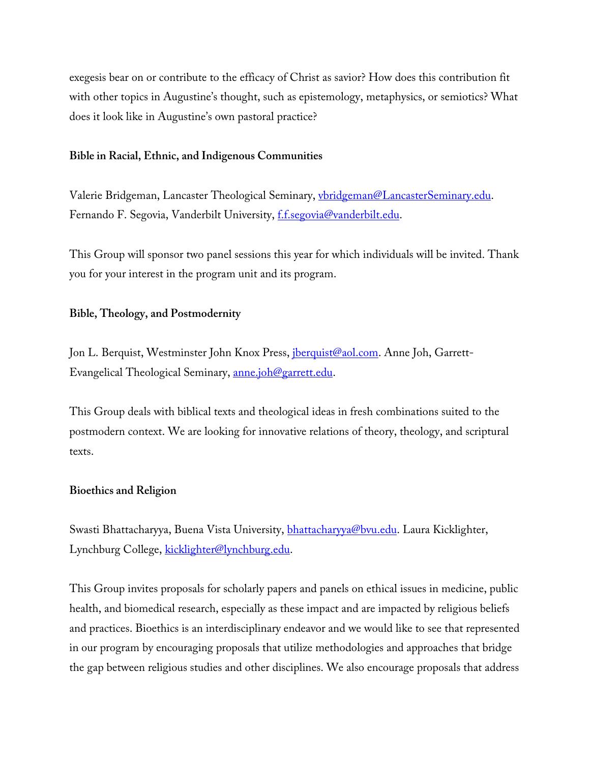exegesis bear on or contribute to the efficacy of Christ as savior? How does this contribution fit with other topics in Augustine's thought, such as epistemology, metaphysics, or semiotics? What does it look like in Augustine's own pastoral practice?

# **Bible in Racial, Ethnic, and Indigenous Communities**

Valerie Bridgeman, Lancaster Theological Seminary, vbridgeman@LancasterSeminary.edu. Fernando F. Segovia, Vanderbilt University, f.f.segovia@vanderbilt.edu.

This Group will sponsor two panel sessions this year for which individuals will be invited. Thank you for your interest in the program unit and its program.

# **Bible, Theology, and Postmodernity**

Jon L. Berquist, Westminster John Knox Press, *iberquist@aol.com*. Anne Joh, Garrett-Evangelical Theological Seminary, anne.joh@garrett.edu.

This Group deals with biblical texts and theological ideas in fresh combinations suited to the postmodern context. We are looking for innovative relations of theory, theology, and scriptural texts.

# **Bioethics and Religion**

Swasti Bhattacharyya, Buena Vista University, bhattacharyya@bvu.edu. Laura Kicklighter, Lynchburg College, kicklighter@lynchburg.edu.

This Group invites proposals for scholarly papers and panels on ethical issues in medicine, public health, and biomedical research, especially as these impact and are impacted by religious beliefs and practices. Bioethics is an interdisciplinary endeavor and we would like to see that represented in our program by encouraging proposals that utilize methodologies and approaches that bridge the gap between religious studies and other disciplines. We also encourage proposals that address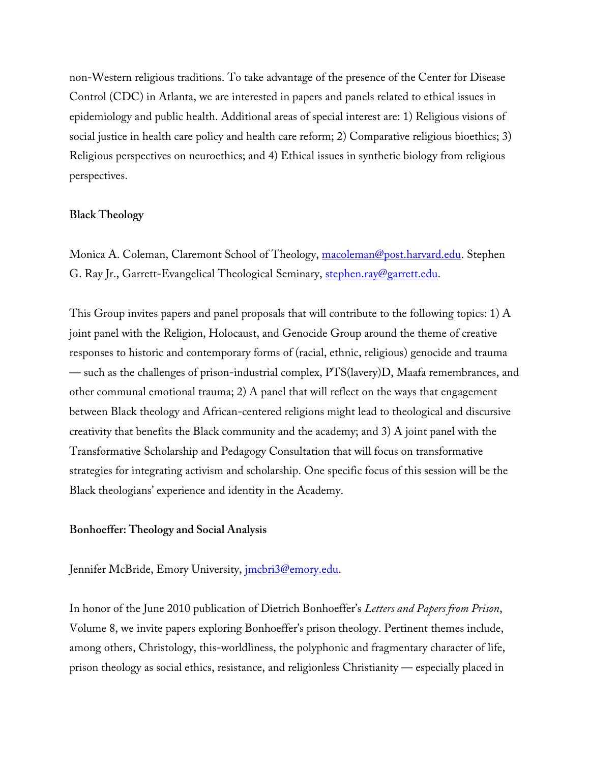non-Western religious traditions. To take advantage of the presence of the Center for Disease Control (CDC) in Atlanta, we are interested in papers and panels related to ethical issues in epidemiology and public health. Additional areas of special interest are: 1) Religious visions of social justice in health care policy and health care reform; 2) Comparative religious bioethics; 3) Religious perspectives on neuroethics; and 4) Ethical issues in synthetic biology from religious perspectives.

#### **Black Theology**

Monica A. Coleman, Claremont School of Theology, macoleman@post.harvard.edu. Stephen G. Ray Jr., Garrett-Evangelical Theological Seminary, stephen.ray@garrett.edu.

This Group invites papers and panel proposals that will contribute to the following topics: 1) A joint panel with the Religion, Holocaust, and Genocide Group around the theme of creative responses to historic and contemporary forms of (racial, ethnic, religious) genocide and trauma — such as the challenges of prison-industrial complex, PTS(lavery)D, Maafa remembrances, and other communal emotional trauma; 2) A panel that will reflect on the ways that engagement between Black theology and African-centered religions might lead to theological and discursive creativity that benefits the Black community and the academy; and 3) A joint panel with the Transformative Scholarship and Pedagogy Consultation that will focus on transformative strategies for integrating activism and scholarship. One specific focus of this session will be the Black theologians' experience and identity in the Academy.

### **Bonhoeffer: Theology and Social Analysis**

Jennifer McBride, Emory University, *imcbri3@emory.edu.* 

In honor of the June 2010 publication of Dietrich Bonhoeffer's *Letters and Papers from Prison*, Volume 8, we invite papers exploring Bonhoeffer's prison theology. Pertinent themes include, among others, Christology, this-worldliness, the polyphonic and fragmentary character of life, prison theology as social ethics, resistance, and religionless Christianity — especially placed in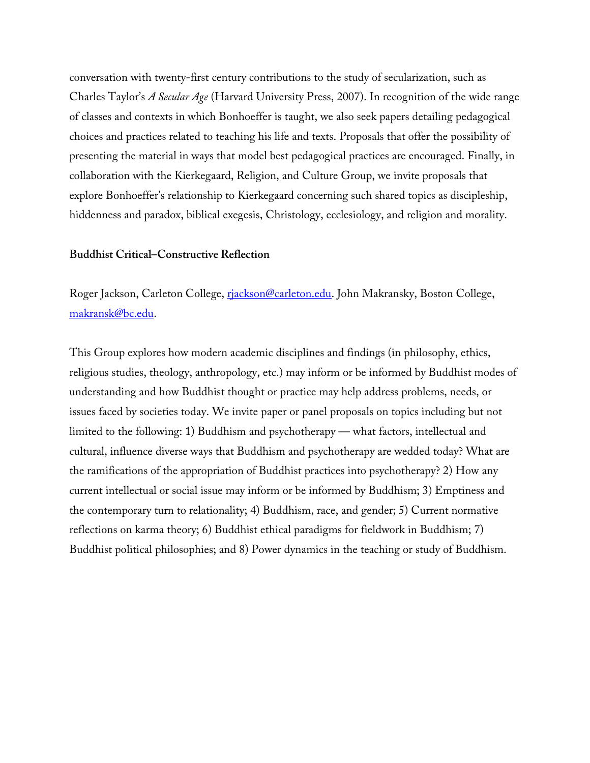conversation with twenty-first century contributions to the study of secularization, such as Charles Taylor's *A Secular Age* (Harvard University Press, 2007). In recognition of the wide range of classes and contexts in which Bonhoeffer is taught, we also seek papers detailing pedagogical choices and practices related to teaching his life and texts. Proposals that offer the possibility of presenting the material in ways that model best pedagogical practices are encouraged. Finally, in collaboration with the Kierkegaard, Religion, and Culture Group, we invite proposals that explore Bonhoeffer's relationship to Kierkegaard concerning such shared topics as discipleship, hiddenness and paradox, biblical exegesis, Christology, ecclesiology, and religion and morality.

#### **Buddhist Critical–Constructive Reflection**

Roger Jackson, Carleton College, rjackson@carleton.edu. John Makransky, Boston College, makransk@bc.edu.

This Group explores how modern academic disciplines and findings (in philosophy, ethics, religious studies, theology, anthropology, etc.) may inform or be informed by Buddhist modes of understanding and how Buddhist thought or practice may help address problems, needs, or issues faced by societies today. We invite paper or panel proposals on topics including but not limited to the following: 1) Buddhism and psychotherapy — what factors, intellectual and cultural, influence diverse ways that Buddhism and psychotherapy are wedded today? What are the ramifications of the appropriation of Buddhist practices into psychotherapy? 2) How any current intellectual or social issue may inform or be informed by Buddhism; 3) Emptiness and the contemporary turn to relationality; 4) Buddhism, race, and gender; 5) Current normative reflections on karma theory; 6) Buddhist ethical paradigms for fieldwork in Buddhism; 7) Buddhist political philosophies; and 8) Power dynamics in the teaching or study of Buddhism.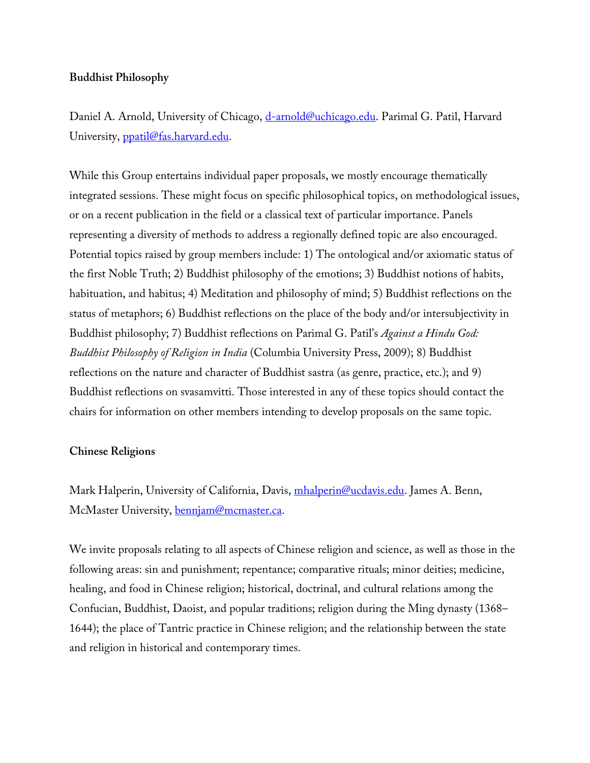# **Buddhist Philosophy**

Daniel A. Arnold, University of Chicago, d-arnold@uchicago.edu. Parimal G. Patil, Harvard University, ppatil@fas.harvard.edu.

While this Group entertains individual paper proposals, we mostly encourage thematically integrated sessions. These might focus on specific philosophical topics, on methodological issues, or on a recent publication in the field or a classical text of particular importance. Panels representing a diversity of methods to address a regionally defined topic are also encouraged. Potential topics raised by group members include: 1) The ontological and/or axiomatic status of the first Noble Truth; 2) Buddhist philosophy of the emotions; 3) Buddhist notions of habits, habituation, and habitus; 4) Meditation and philosophy of mind; 5) Buddhist reflections on the status of metaphors; 6) Buddhist reflections on the place of the body and/or intersubjectivity in Buddhist philosophy; 7) Buddhist reflections on Parimal G. Patil's *Against a Hindu God: Buddhist Philosophy of Religion in India* (Columbia University Press, 2009); 8) Buddhist reflections on the nature and character of Buddhist sastra (as genre, practice, etc.); and 9) Buddhist reflections on svasamvitti. Those interested in any of these topics should contact the chairs for information on other members intending to develop proposals on the same topic.

# **Chinese Religions**

Mark Halperin, University of California, Davis, mhalperin@ucdavis.edu. James A. Benn, McMaster University, bennjam@mcmaster.ca.

We invite proposals relating to all aspects of Chinese religion and science, as well as those in the following areas: sin and punishment; repentance; comparative rituals; minor deities; medicine, healing, and food in Chinese religion; historical, doctrinal, and cultural relations among the Confucian, Buddhist, Daoist, and popular traditions; religion during the Ming dynasty (1368– 1644); the place of Tantric practice in Chinese religion; and the relationship between the state and religion in historical and contemporary times.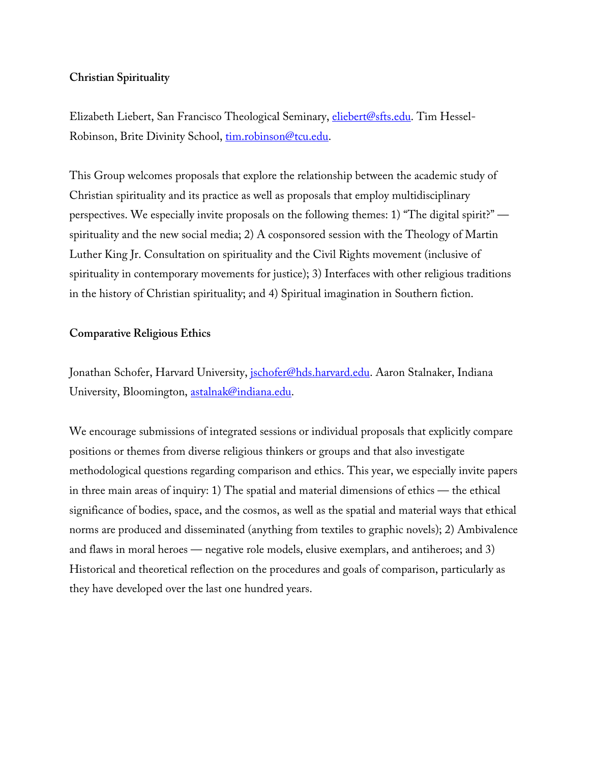# **Christian Spirituality**

Elizabeth Liebert, San Francisco Theological Seminary, eliebert@sfts.edu. Tim Hessel-Robinson, Brite Divinity School, tim.robinson@tcu.edu.

This Group welcomes proposals that explore the relationship between the academic study of Christian spirituality and its practice as well as proposals that employ multidisciplinary perspectives. We especially invite proposals on the following themes: 1) "The digital spirit?" spirituality and the new social media; 2) A cosponsored session with the Theology of Martin Luther King Jr. Consultation on spirituality and the Civil Rights movement (inclusive of spirituality in contemporary movements for justice); 3) Interfaces with other religious traditions in the history of Christian spirituality; and 4) Spiritual imagination in Southern fiction.

# **Comparative Religious Ethics**

Jonathan Schofer, Harvard University, jschofer@hds.harvard.edu. Aaron Stalnaker, Indiana University, Bloomington, astalnak@indiana.edu.

We encourage submissions of integrated sessions or individual proposals that explicitly compare positions or themes from diverse religious thinkers or groups and that also investigate methodological questions regarding comparison and ethics. This year, we especially invite papers in three main areas of inquiry: 1) The spatial and material dimensions of ethics — the ethical significance of bodies, space, and the cosmos, as well as the spatial and material ways that ethical norms are produced and disseminated (anything from textiles to graphic novels); 2) Ambivalence and flaws in moral heroes — negative role models, elusive exemplars, and antiheroes; and 3) Historical and theoretical reflection on the procedures and goals of comparison, particularly as they have developed over the last one hundred years.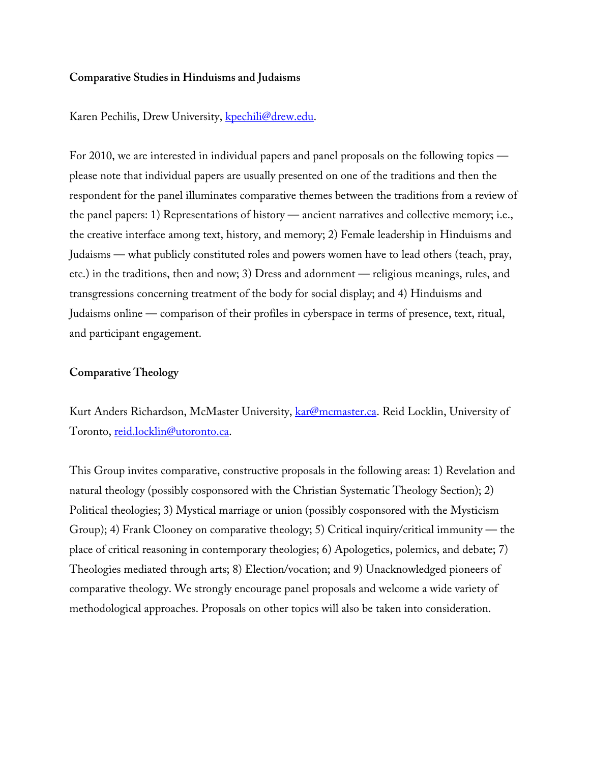## **Comparative Studies in Hinduisms and Judaisms**

Karen Pechilis, Drew University, kpechili@drew.edu.

For 2010, we are interested in individual papers and panel proposals on the following topics please note that individual papers are usually presented on one of the traditions and then the respondent for the panel illuminates comparative themes between the traditions from a review of the panel papers: 1) Representations of history — ancient narratives and collective memory; i.e., the creative interface among text, history, and memory; 2) Female leadership in Hinduisms and Judaisms — what publicly constituted roles and powers women have to lead others (teach, pray, etc.) in the traditions, then and now; 3) Dress and adornment — religious meanings, rules, and transgressions concerning treatment of the body for social display; and 4) Hinduisms and Judaisms online — comparison of their profiles in cyberspace in terms of presence, text, ritual, and participant engagement.

# **Comparative Theology**

Kurt Anders Richardson, McMaster University, kar@mcmaster.ca. Reid Locklin, University of Toronto, reid.locklin@utoronto.ca.

This Group invites comparative, constructive proposals in the following areas: 1) Revelation and natural theology (possibly cosponsored with the Christian Systematic Theology Section); 2) Political theologies; 3) Mystical marriage or union (possibly cosponsored with the Mysticism Group); 4) Frank Clooney on comparative theology; 5) Critical inquiry/critical immunity — the place of critical reasoning in contemporary theologies; 6) Apologetics, polemics, and debate; 7) Theologies mediated through arts; 8) Election/vocation; and 9) Unacknowledged pioneers of comparative theology. We strongly encourage panel proposals and welcome a wide variety of methodological approaches. Proposals on other topics will also be taken into consideration.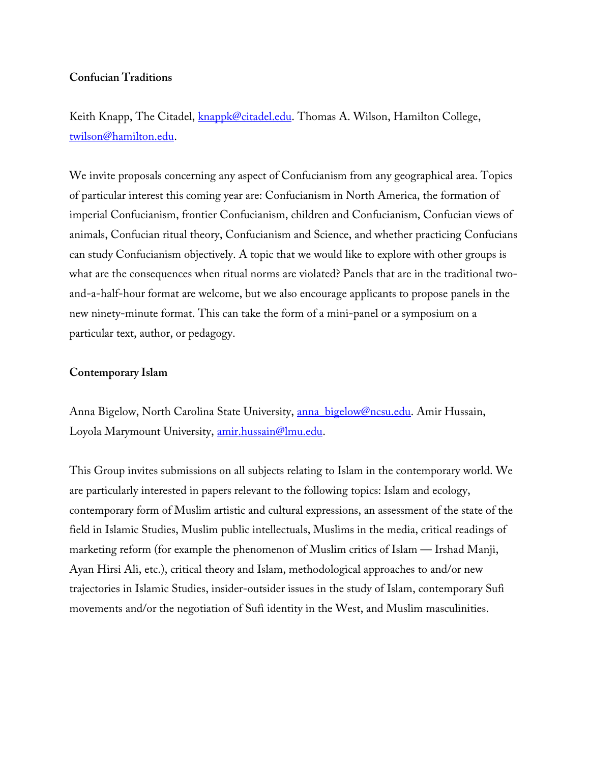# **Confucian Traditions**

Keith Knapp, The Citadel, knappk@citadel.edu. Thomas A. Wilson, Hamilton College, twilson@hamilton.edu.

We invite proposals concerning any aspect of Confucianism from any geographical area. Topics of particular interest this coming year are: Confucianism in North America, the formation of imperial Confucianism, frontier Confucianism, children and Confucianism, Confucian views of animals, Confucian ritual theory, Confucianism and Science, and whether practicing Confucians can study Confucianism objectively. A topic that we would like to explore with other groups is what are the consequences when ritual norms are violated? Panels that are in the traditional twoand-a-half-hour format are welcome, but we also encourage applicants to propose panels in the new ninety-minute format. This can take the form of a mini-panel or a symposium on a particular text, author, or pedagogy.

# **Contemporary Islam**

Anna Bigelow, North Carolina State University, anna bigelow@ncsu.edu. Amir Hussain, Loyola Marymount University, amir.hussain@lmu.edu.

This Group invites submissions on all subjects relating to Islam in the contemporary world. We are particularly interested in papers relevant to the following topics: Islam and ecology, contemporary form of Muslim artistic and cultural expressions, an assessment of the state of the field in Islamic Studies, Muslim public intellectuals, Muslims in the media, critical readings of marketing reform (for example the phenomenon of Muslim critics of Islam — Irshad Manji, Ayan Hirsi Ali, etc.), critical theory and Islam, methodological approaches to and/or new trajectories in Islamic Studies, insider-outsider issues in the study of Islam, contemporary Sufi movements and/or the negotiation of Sufi identity in the West, and Muslim masculinities.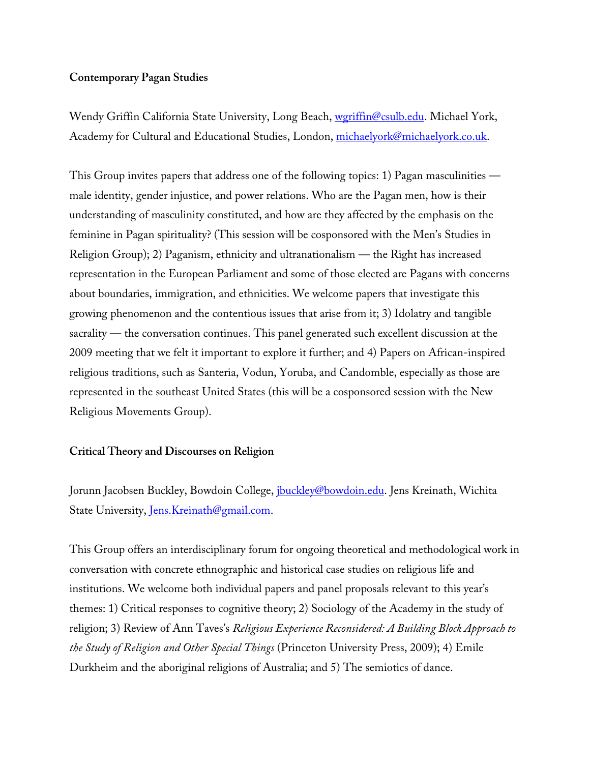# **Contemporary Pagan Studies**

Wendy Griffin California State University, Long Beach, wgriffin@csulb.edu. Michael York, Academy for Cultural and Educational Studies, London, michaelyork@michaelyork.co.uk.

This Group invites papers that address one of the following topics: 1) Pagan masculinities male identity, gender injustice, and power relations. Who are the Pagan men, how is their understanding of masculinity constituted, and how are they affected by the emphasis on the feminine in Pagan spirituality? (This session will be cosponsored with the Men's Studies in Religion Group); 2) Paganism, ethnicity and ultranationalism — the Right has increased representation in the European Parliament and some of those elected are Pagans with concerns about boundaries, immigration, and ethnicities. We welcome papers that investigate this growing phenomenon and the contentious issues that arise from it; 3) Idolatry and tangible sacrality — the conversation continues. This panel generated such excellent discussion at the 2009 meeting that we felt it important to explore it further; and 4) Papers on African-inspired religious traditions, such as Santeria, Vodun, Yoruba, and Candomble, especially as those are represented in the southeast United States (this will be a cosponsored session with the New Religious Movements Group).

# **Critical Theory and Discourses on Religion**

Jorunn Jacobsen Buckley, Bowdoin College, *jbuckley@bowdoin.edu*. Jens Kreinath, Wichita State University, Jens.Kreinath@gmail.com.

This Group offers an interdisciplinary forum for ongoing theoretical and methodological work in conversation with concrete ethnographic and historical case studies on religious life and institutions. We welcome both individual papers and panel proposals relevant to this year's themes: 1) Critical responses to cognitive theory; 2) Sociology of the Academy in the study of religion; 3) Review of Ann Taves's *Religious Experience Reconsidered: A Building Block Approach to the Study of Religion and Other Special Things* (Princeton University Press, 2009); 4) Emile Durkheim and the aboriginal religions of Australia; and 5) The semiotics of dance.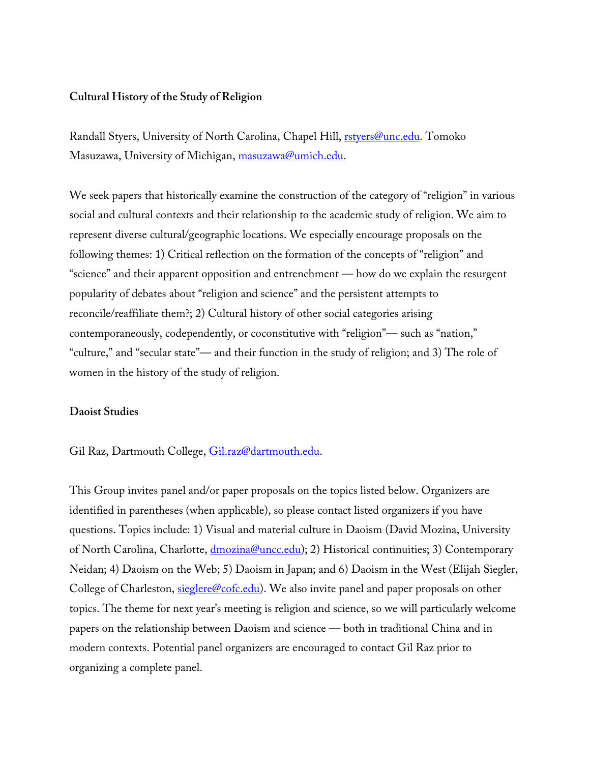### **Cultural History of the Study of Religion**

Randall Styers, University of North Carolina, Chapel Hill, **rstyers@unc.edu**. Tomoko Masuzawa, University of Michigan, masuzawa@umich.edu.

We seek papers that historically examine the construction of the category of "religion" in various social and cultural contexts and their relationship to the academic study of religion. We aim to represent diverse cultural/geographic locations. We especially encourage proposals on the following themes: 1) Critical reflection on the formation of the concepts of "religion" and "science" and their apparent opposition and entrenchment — how do we explain the resurgent popularity of debates about "religion and science" and the persistent attempts to reconcile/reaffiliate them?; 2) Cultural history of other social categories arising contemporaneously, codependently, or coconstitutive with "religion"— such as "nation," "culture," and "secular state"— and their function in the study of religion; and 3) The role of women in the history of the study of religion.

#### **Daoist Studies**

#### Gil Raz, Dartmouth College, Gil.raz@dartmouth.edu.

This Group invites panel and/or paper proposals on the topics listed below. Organizers are identified in parentheses (when applicable), so please contact listed organizers if you have questions. Topics include: 1) Visual and material culture in Daoism (David Mozina, University of North Carolina, Charlotte, *dmozina@uncc.edu*); 2) Historical continuities; 3) Contemporary Neidan; 4) Daoism on the Web; 5) Daoism in Japan; and 6) Daoism in the West (Elijah Siegler, College of Charleston, sieglere@cofc.edu). We also invite panel and paper proposals on other topics. The theme for next year's meeting is religion and science, so we will particularly welcome papers on the relationship between Daoism and science — both in traditional China and in modern contexts. Potential panel organizers are encouraged to contact Gil Raz prior to organizing a complete panel.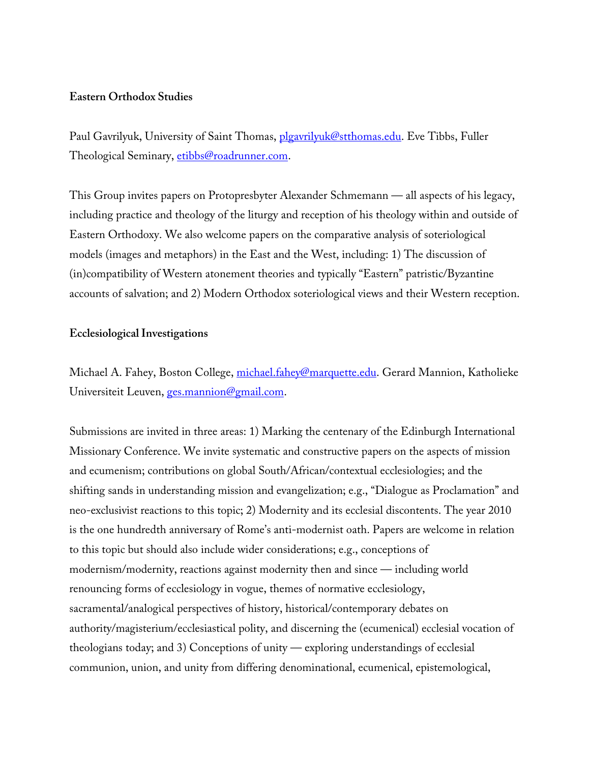### **Eastern Orthodox Studies**

Paul Gavrilyuk, University of Saint Thomas, plgavrilyuk@stthomas.edu. Eve Tibbs, Fuller Theological Seminary, etibbs@roadrunner.com.

This Group invites papers on Protopresbyter Alexander Schmemann — all aspects of his legacy, including practice and theology of the liturgy and reception of his theology within and outside of Eastern Orthodoxy. We also welcome papers on the comparative analysis of soteriological models (images and metaphors) in the East and the West, including: 1) The discussion of (in)compatibility of Western atonement theories and typically "Eastern" patristic/Byzantine accounts of salvation; and 2) Modern Orthodox soteriological views and their Western reception.

### **Ecclesiological Investigations**

Michael A. Fahey, Boston College, michael.fahey@marquette.edu. Gerard Mannion, Katholieke Universiteit Leuven, ges.mannion@gmail.com.

Submissions are invited in three areas: 1) Marking the centenary of the Edinburgh International Missionary Conference. We invite systematic and constructive papers on the aspects of mission and ecumenism; contributions on global South/African/contextual ecclesiologies; and the shifting sands in understanding mission and evangelization; e.g., "Dialogue as Proclamation" and neo-exclusivist reactions to this topic; 2) Modernity and its ecclesial discontents. The year 2010 is the one hundredth anniversary of Rome's anti-modernist oath. Papers are welcome in relation to this topic but should also include wider considerations; e.g., conceptions of modernism/modernity, reactions against modernity then and since — including world renouncing forms of ecclesiology in vogue, themes of normative ecclesiology, sacramental/analogical perspectives of history, historical/contemporary debates on authority/magisterium/ecclesiastical polity, and discerning the (ecumenical) ecclesial vocation of theologians today; and 3) Conceptions of unity — exploring understandings of ecclesial communion, union, and unity from differing denominational, ecumenical, epistemological,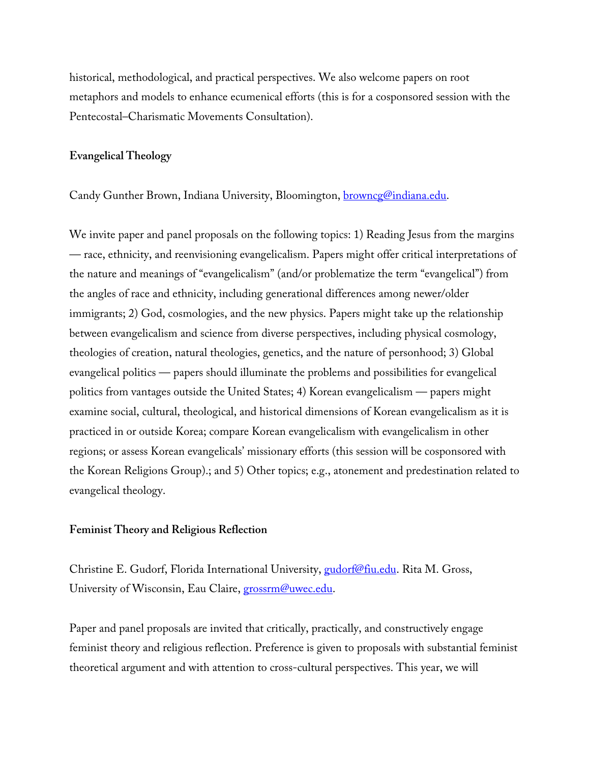historical, methodological, and practical perspectives. We also welcome papers on root metaphors and models to enhance ecumenical efforts (this is for a cosponsored session with the Pentecostal–Charismatic Movements Consultation).

#### **Evangelical Theology**

Candy Gunther Brown, Indiana University, Bloomington, **browncg@indiana.edu.** 

We invite paper and panel proposals on the following topics: 1) Reading Jesus from the margins — race, ethnicity, and reenvisioning evangelicalism. Papers might offer critical interpretations of the nature and meanings of "evangelicalism" (and/or problematize the term "evangelical") from the angles of race and ethnicity, including generational differences among newer/older immigrants; 2) God, cosmologies, and the new physics. Papers might take up the relationship between evangelicalism and science from diverse perspectives, including physical cosmology, theologies of creation, natural theologies, genetics, and the nature of personhood; 3) Global evangelical politics — papers should illuminate the problems and possibilities for evangelical politics from vantages outside the United States; 4) Korean evangelicalism — papers might examine social, cultural, theological, and historical dimensions of Korean evangelicalism as it is practiced in or outside Korea; compare Korean evangelicalism with evangelicalism in other regions; or assess Korean evangelicals' missionary efforts (this session will be cosponsored with the Korean Religions Group).; and 5) Other topics; e.g., atonement and predestination related to evangelical theology.

### **Feminist Theory and Religious Reflection**

Christine E. Gudorf, Florida International University, gudorf@fiu.edu. Rita M. Gross, University of Wisconsin, Eau Claire, grossrm@uwec.edu.

Paper and panel proposals are invited that critically, practically, and constructively engage feminist theory and religious reflection. Preference is given to proposals with substantial feminist theoretical argument and with attention to cross-cultural perspectives. This year, we will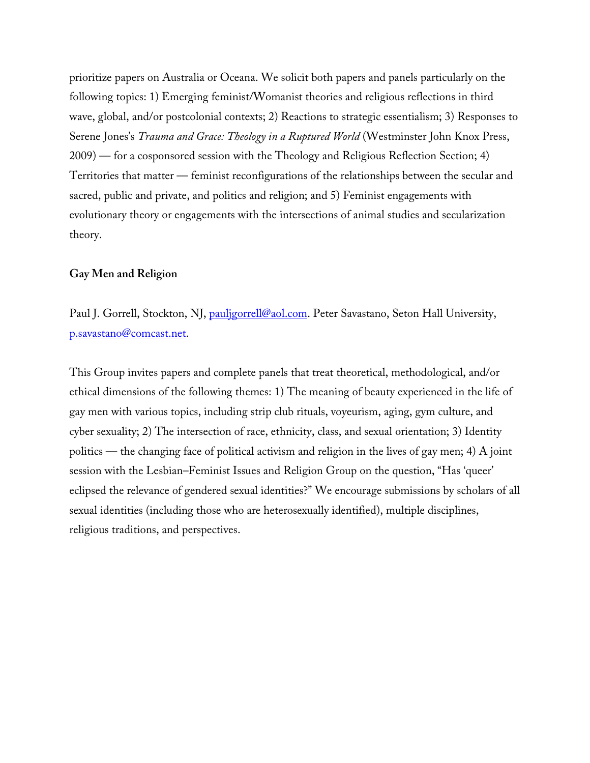prioritize papers on Australia or Oceana. We solicit both papers and panels particularly on the following topics: 1) Emerging feminist/Womanist theories and religious reflections in third wave, global, and/or postcolonial contexts; 2) Reactions to strategic essentialism; 3) Responses to Serene Jones's *Trauma and Grace: Theology in a Ruptured World* (Westminster John Knox Press, 2009) — for a cosponsored session with the Theology and Religious Reflection Section; 4) Territories that matter — feminist reconfigurations of the relationships between the secular and sacred, public and private, and politics and religion; and 5) Feminist engagements with evolutionary theory or engagements with the intersections of animal studies and secularization theory.

#### **Gay Men and Religion**

Paul J. Gorrell, Stockton, NJ, *pauligorrell@aol.com*. Peter Savastano, Seton Hall University, p.savastano@comcast.net.

This Group invites papers and complete panels that treat theoretical, methodological, and/or ethical dimensions of the following themes: 1) The meaning of beauty experienced in the life of gay men with various topics, including strip club rituals, voyeurism, aging, gym culture, and cyber sexuality; 2) The intersection of race, ethnicity, class, and sexual orientation; 3) Identity politics — the changing face of political activism and religion in the lives of gay men; 4) A joint session with the Lesbian–Feminist Issues and Religion Group on the question, "Has 'queer' eclipsed the relevance of gendered sexual identities?" We encourage submissions by scholars of all sexual identities (including those who are heterosexually identified), multiple disciplines, religious traditions, and perspectives.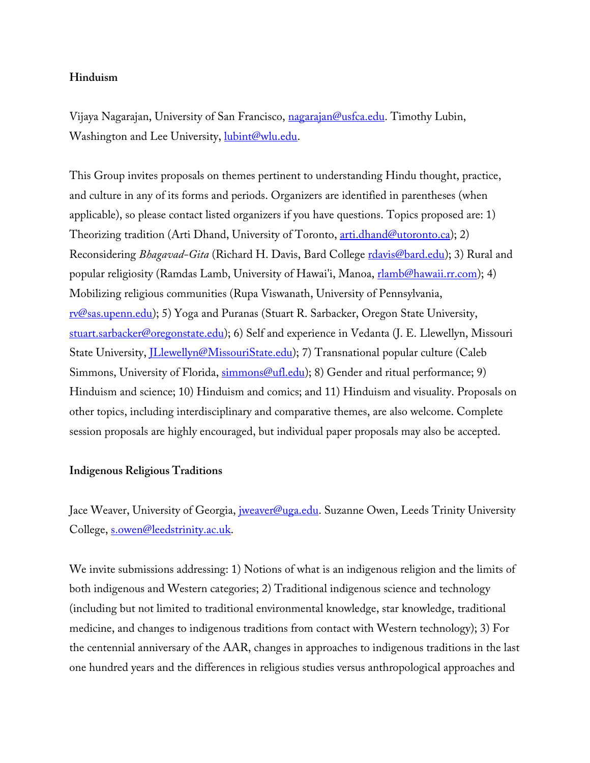# **Hinduism**

Vijaya Nagarajan, University of San Francisco, nagarajan@usfca.edu. Timothy Lubin, Washington and Lee University, lubint@wlu.edu.

This Group invites proposals on themes pertinent to understanding Hindu thought, practice, and culture in any of its forms and periods. Organizers are identified in parentheses (when applicable), so please contact listed organizers if you have questions. Topics proposed are: 1) Theorizing tradition (Arti Dhand, University of Toronto, arti.dhand@utoronto.ca); 2) Reconsidering *Bhagavad-Gita* (Richard H. Davis, Bard College *rdavis@bard.edu)*; 3) Rural and popular religiosity (Ramdas Lamb, University of Hawai'i, Manoa, rlamb@hawaii.rr.com); 4) Mobilizing religious communities (Rupa Viswanath, University of Pennsylvania, rv@sas.upenn.edu); 5) Yoga and Puranas (Stuart R. Sarbacker, Oregon State University, stuart.sarbacker@oregonstate.edu); 6) Self and experience in Vedanta (J. E. Llewellyn, Missouri State University, *JLlewellyn@MissouriState.edu*); 7) Transnational popular culture (Caleb Simmons, University of Florida, simmons@ufl.edu); 8) Gender and ritual performance; 9) Hinduism and science; 10) Hinduism and comics; and 11) Hinduism and visuality. Proposals on other topics, including interdisciplinary and comparative themes, are also welcome. Complete session proposals are highly encouraged, but individual paper proposals may also be accepted.

# **Indigenous Religious Traditions**

Jace Weaver, University of Georgia, *jweaver@uga.edu*. Suzanne Owen, Leeds Trinity University College, s.owen@leedstrinity.ac.uk.

We invite submissions addressing: 1) Notions of what is an indigenous religion and the limits of both indigenous and Western categories; 2) Traditional indigenous science and technology (including but not limited to traditional environmental knowledge, star knowledge, traditional medicine, and changes to indigenous traditions from contact with Western technology); 3) For the centennial anniversary of the AAR, changes in approaches to indigenous traditions in the last one hundred years and the differences in religious studies versus anthropological approaches and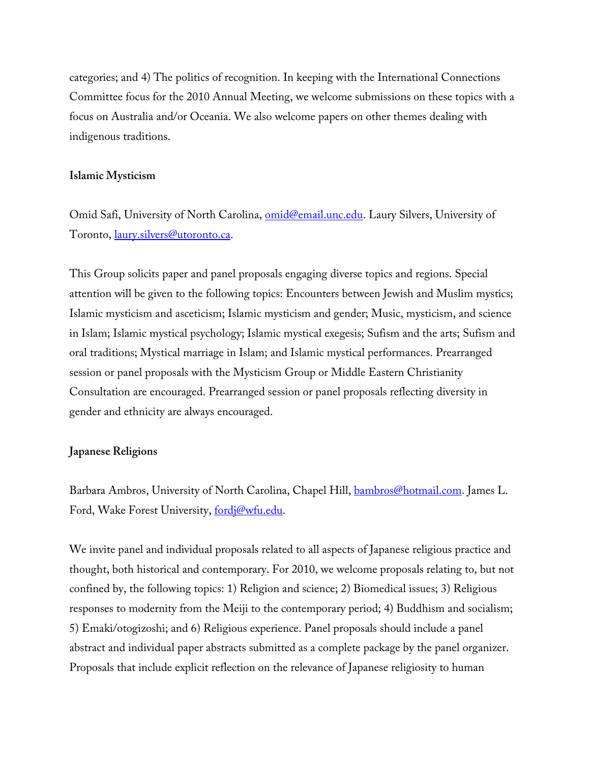categories; and 4) The politics of recognition. In keeping with the International Connections Committee focus for the 2010 Annual Meeting, we welcome submissions on these topics with a focus on Australia and/or Oceania. We also welcome papers on other themes dealing with indigenous traditions.

#### **Islamic Mysticism**

Omid Safi, University of North Carolina, **omid@email.unc.edu**. Laury Silvers, University of Toronto, laury.silvers@utoronto.ca.

This Group solicits paper and panel proposals engaging diverse topics and regions. Special attention will be given to the following topics: Encounters between Jewish and Muslim mystics; Islamic mysticism and asceticism; Islamic mysticism and gender; Music, mysticism, and science in Islam; Islamic mystical psychology; Islamic mystical exegesis; Sufism and the arts; Sufism and oral traditions; Mystical marriage in Islam; and Islamic mystical performances. Prearranged session or panel proposals with the Mysticism Group or Middle Eastern Christianity Consultation are encouraged. Prearranged session or panel proposals reflecting diversity in gender and ethnicity are always encouraged.

# **Japanese Religions**

Barbara Ambros, University of North Carolina, Chapel Hill, bambros@hotmail.com. James L. Ford, Wake Forest University, fordj@wfu.edu.

We invite panel and individual proposals related to all aspects of Japanese religious practice and thought, both historical and contemporary. For 2010, we welcome proposals relating to, but not confined by, the following topics: 1) Religion and science; 2) Biomedical issues; 3) Religious responses to modernity from the Meiji to the contemporary period; 4) Buddhism and socialism; 5) Emaki/otogizoshi; and 6) Religious experience. Panel proposals should include a panel abstract and individual paper abstracts submitted as a complete package by the panel organizer. Proposals that include explicit reflection on the relevance of Japanese religiosity to human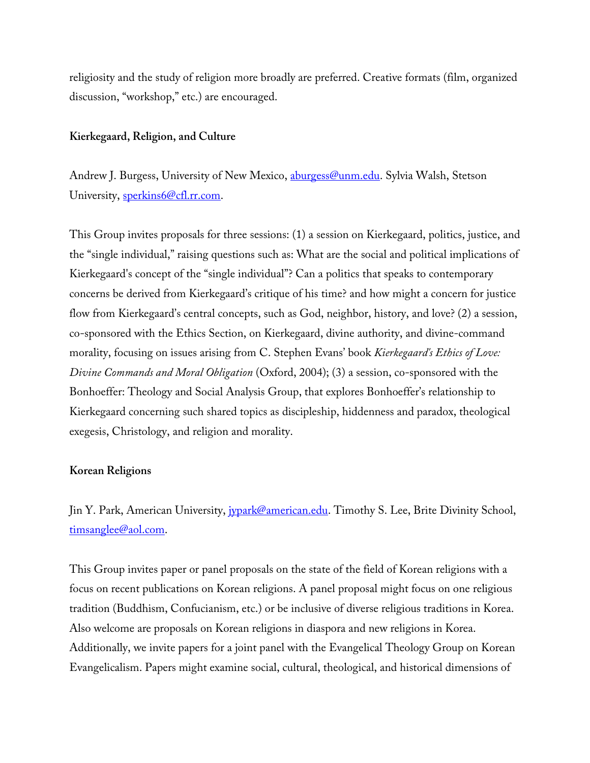religiosity and the study of religion more broadly are preferred. Creative formats (film, organized discussion, "workshop," etc.) are encouraged.

### **Kierkegaard, Religion, and Culture**

Andrew J. Burgess, University of New Mexico, *aburgess@unm.edu*. Sylvia Walsh, Stetson University, sperkins6@cfl.rr.com.

This Group invites proposals for three sessions: (1) a session on Kierkegaard, politics, justice, and the "single individual," raising questions such as: What are the social and political implications of Kierkegaard's concept of the "single individual"? Can a politics that speaks to contemporary concerns be derived from Kierkegaard's critique of his time? and how might a concern for justice flow from Kierkegaard's central concepts, such as God, neighbor, history, and love? (2) a session, co-sponsored with the Ethics Section, on Kierkegaard, divine authority, and divine-command morality, focusing on issues arising from C. Stephen Evans' book *Kierkegaard's Ethics of Love: Divine Commands and Moral Obligation* (Oxford, 2004); (3) a session, co-sponsored with the Bonhoeffer: Theology and Social Analysis Group, that explores Bonhoeffer's relationship to Kierkegaard concerning such shared topics as discipleship, hiddenness and paradox, theological exegesis, Christology, and religion and morality.

#### **Korean Religions**

Jin Y. Park, American University, *jypark@american.edu*. Timothy S. Lee, Brite Divinity School, timsanglee@aol.com.

This Group invites paper or panel proposals on the state of the field of Korean religions with a focus on recent publications on Korean religions. A panel proposal might focus on one religious tradition (Buddhism, Confucianism, etc.) or be inclusive of diverse religious traditions in Korea. Also welcome are proposals on Korean religions in diaspora and new religions in Korea. Additionally, we invite papers for a joint panel with the Evangelical Theology Group on Korean Evangelicalism. Papers might examine social, cultural, theological, and historical dimensions of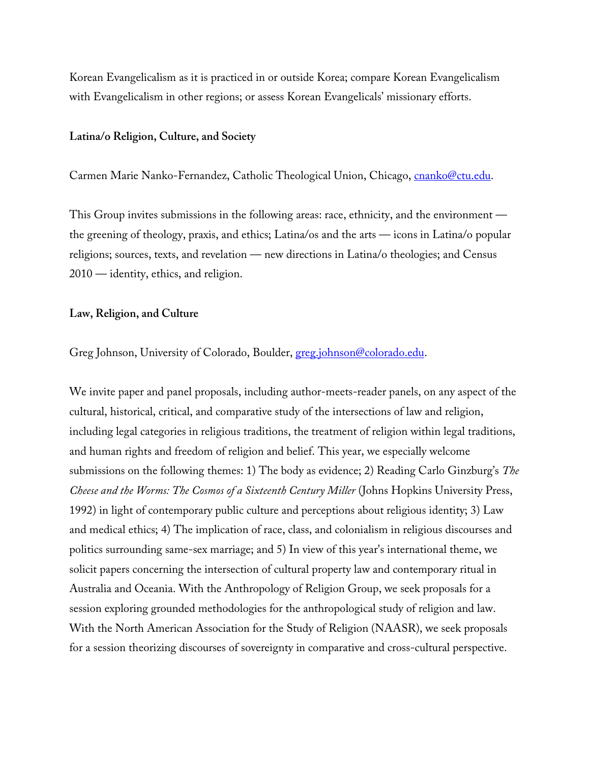Korean Evangelicalism as it is practiced in or outside Korea; compare Korean Evangelicalism with Evangelicalism in other regions; or assess Korean Evangelicals' missionary efforts.

#### **Latina/o Religion, Culture, and Society**

Carmen Marie Nanko-Fernandez, Catholic Theological Union, Chicago, cnanko@ctu.edu.

This Group invites submissions in the following areas: race, ethnicity, and the environment the greening of theology, praxis, and ethics; Latina/os and the arts — icons in Latina/o popular religions; sources, texts, and revelation — new directions in Latina/o theologies; and Census 2010 — identity, ethics, and religion.

### **Law, Religion, and Culture**

Greg Johnson, University of Colorado, Boulder, greg.johnson@colorado.edu.

We invite paper and panel proposals, including author-meets-reader panels, on any aspect of the cultural, historical, critical, and comparative study of the intersections of law and religion, including legal categories in religious traditions, the treatment of religion within legal traditions, and human rights and freedom of religion and belief. This year, we especially welcome submissions on the following themes: 1) The body as evidence; 2) Reading Carlo Ginzburg's *The Cheese and the Worms: The Cosmos of a Sixteenth Century Miller* (Johns Hopkins University Press, 1992) in light of contemporary public culture and perceptions about religious identity; 3) Law and medical ethics; 4) The implication of race, class, and colonialism in religious discourses and politics surrounding same-sex marriage; and 5) In view of this year's international theme, we solicit papers concerning the intersection of cultural property law and contemporary ritual in Australia and Oceania. With the Anthropology of Religion Group, we seek proposals for a session exploring grounded methodologies for the anthropological study of religion and law. With the North American Association for the Study of Religion (NAASR), we seek proposals for a session theorizing discourses of sovereignty in comparative and cross-cultural perspective.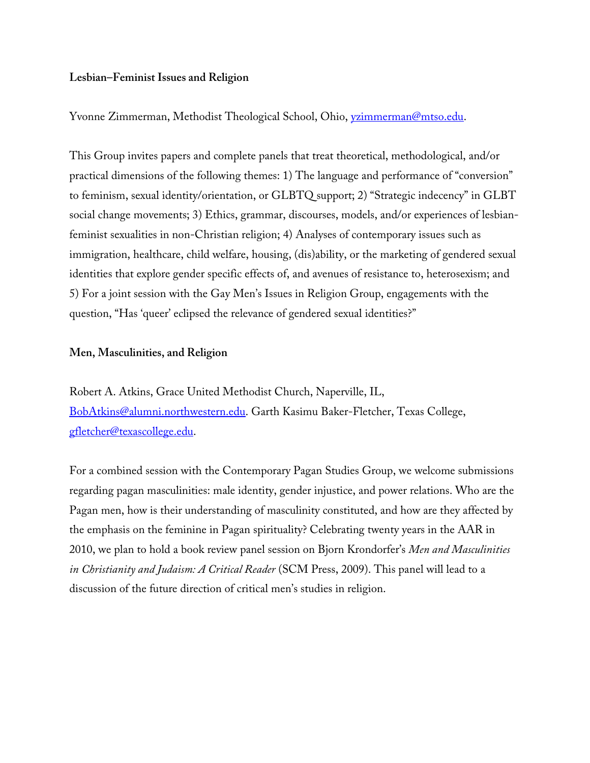# **Lesbian–Feminist Issues and Religion**

Yvonne Zimmerman, Methodist Theological School, Ohio, yzimmerman@mtso.edu.

This Group invites papers and complete panels that treat theoretical, methodological, and/or practical dimensions of the following themes: 1) The language and performance of "conversion" to feminism, sexual identity/orientation, or GLBTQ support; 2) "Strategic indecency" in GLBT social change movements; 3) Ethics, grammar, discourses, models, and/or experiences of lesbianfeminist sexualities in non-Christian religion; 4) Analyses of contemporary issues such as immigration, healthcare, child welfare, housing, (dis)ability, or the marketing of gendered sexual identities that explore gender specific effects of, and avenues of resistance to, heterosexism; and 5) For a joint session with the Gay Men's Issues in Religion Group, engagements with the question, "Has 'queer' eclipsed the relevance of gendered sexual identities?"

### **Men, Masculinities, and Religion**

Robert A. Atkins, Grace United Methodist Church, Naperville, IL, BobAtkins@alumni.northwestern.edu. Garth Kasimu Baker-Fletcher, Texas College, gfletcher@texascollege.edu.

For a combined session with the Contemporary Pagan Studies Group, we welcome submissions regarding pagan masculinities: male identity, gender injustice, and power relations. Who are the Pagan men, how is their understanding of masculinity constituted, and how are they affected by the emphasis on the feminine in Pagan spirituality? Celebrating twenty years in the AAR in 2010, we plan to hold a book review panel session on Bjorn Krondorfer's *Men and Masculinities in Christianity and Judaism: A Critical Reader* (SCM Press, 2009). This panel will lead to a discussion of the future direction of critical men's studies in religion.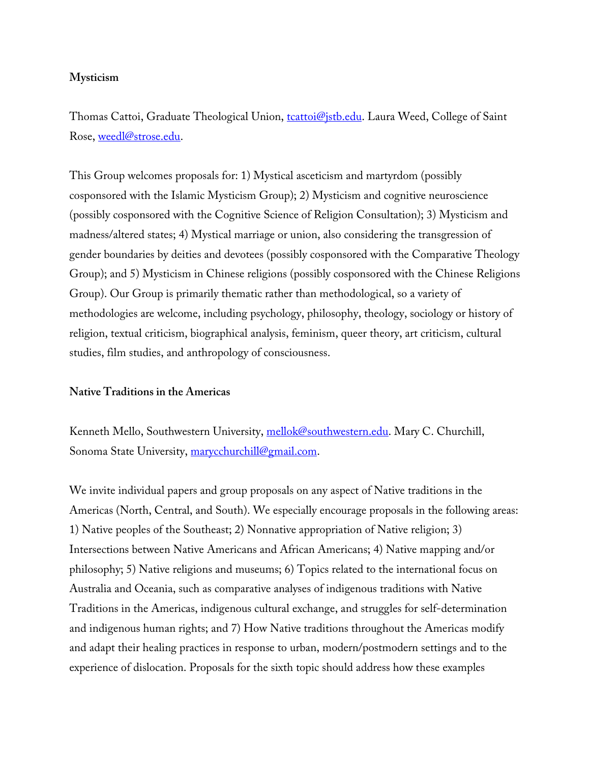# **Mysticism**

Thomas Cattoi, Graduate Theological Union, to trattoi@istb.edu. Laura Weed, College of Saint Rose, weedl@strose.edu.

This Group welcomes proposals for: 1) Mystical asceticism and martyrdom (possibly cosponsored with the Islamic Mysticism Group); 2) Mysticism and cognitive neuroscience (possibly cosponsored with the Cognitive Science of Religion Consultation); 3) Mysticism and madness/altered states; 4) Mystical marriage or union, also considering the transgression of gender boundaries by deities and devotees (possibly cosponsored with the Comparative Theology Group); and 5) Mysticism in Chinese religions (possibly cosponsored with the Chinese Religions Group). Our Group is primarily thematic rather than methodological, so a variety of methodologies are welcome, including psychology, philosophy, theology, sociology or history of religion, textual criticism, biographical analysis, feminism, queer theory, art criticism, cultural studies, film studies, and anthropology of consciousness.

# **Native Traditions in the Americas**

Kenneth Mello, Southwestern University, mellok@southwestern.edu. Mary C. Churchill, Sonoma State University, marycchurchill@gmail.com.

We invite individual papers and group proposals on any aspect of Native traditions in the Americas (North, Central, and South). We especially encourage proposals in the following areas: 1) Native peoples of the Southeast; 2) Nonnative appropriation of Native religion; 3) Intersections between Native Americans and African Americans; 4) Native mapping and/or philosophy; 5) Native religions and museums; 6) Topics related to the international focus on Australia and Oceania, such as comparative analyses of indigenous traditions with Native Traditions in the Americas, indigenous cultural exchange, and struggles for self-determination and indigenous human rights; and 7) How Native traditions throughout the Americas modify and adapt their healing practices in response to urban, modern/postmodern settings and to the experience of dislocation. Proposals for the sixth topic should address how these examples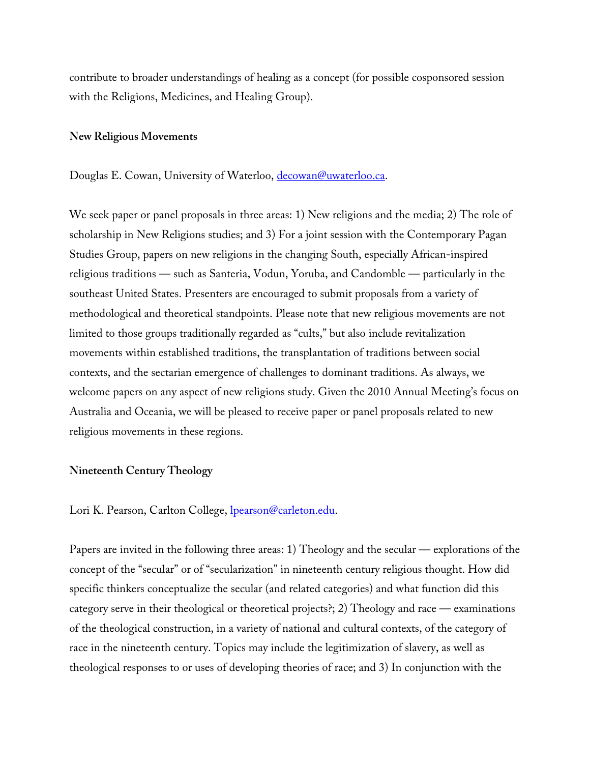contribute to broader understandings of healing as a concept (for possible cosponsored session with the Religions, Medicines, and Healing Group).

#### **New Religious Movements**

Douglas E. Cowan, University of Waterloo, decowan@uwaterloo.ca.

We seek paper or panel proposals in three areas: 1) New religions and the media; 2) The role of scholarship in New Religions studies; and 3) For a joint session with the Contemporary Pagan Studies Group, papers on new religions in the changing South, especially African-inspired religious traditions — such as Santeria, Vodun, Yoruba, and Candomble — particularly in the southeast United States. Presenters are encouraged to submit proposals from a variety of methodological and theoretical standpoints. Please note that new religious movements are not limited to those groups traditionally regarded as "cults," but also include revitalization movements within established traditions, the transplantation of traditions between social contexts, and the sectarian emergence of challenges to dominant traditions. As always, we welcome papers on any aspect of new religions study. Given the 2010 Annual Meeting's focus on Australia and Oceania, we will be pleased to receive paper or panel proposals related to new religious movements in these regions.

### **Nineteenth Century Theology**

Lori K. Pearson, Carlton College, **lpearson@carleton.edu**.

Papers are invited in the following three areas: 1) Theology and the secular — explorations of the concept of the "secular" or of "secularization" in nineteenth century religious thought. How did specific thinkers conceptualize the secular (and related categories) and what function did this category serve in their theological or theoretical projects?; 2) Theology and race — examinations of the theological construction, in a variety of national and cultural contexts, of the category of race in the nineteenth century. Topics may include the legitimization of slavery, as well as theological responses to or uses of developing theories of race; and 3) In conjunction with the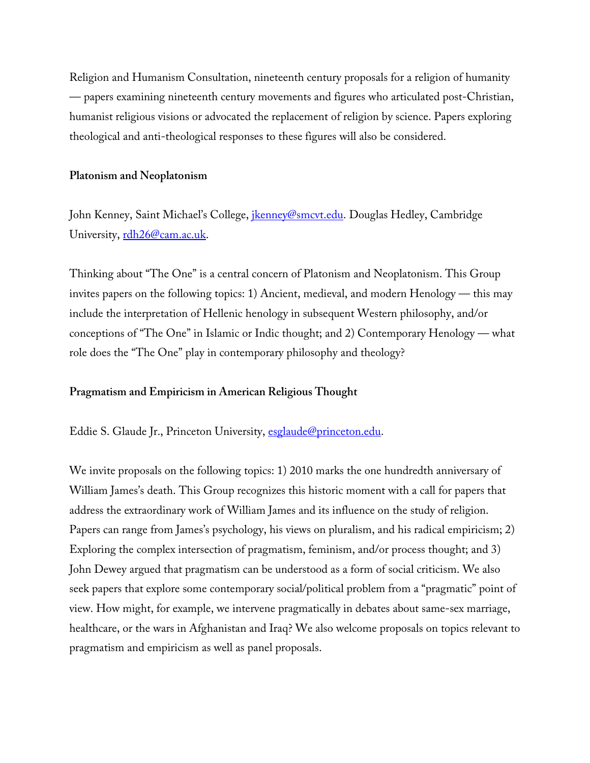Religion and Humanism Consultation, nineteenth century proposals for a religion of humanity — papers examining nineteenth century movements and figures who articulated post-Christian, humanist religious visions or advocated the replacement of religion by science. Papers exploring theological and anti-theological responses to these figures will also be considered.

# **Platonism and Neoplatonism**

John Kenney, Saint Michael's College, *ikenney@smcvt.edu*. Douglas Hedley, Cambridge University, rdh26@cam.ac.uk.

Thinking about "The One" is a central concern of Platonism and Neoplatonism. This Group invites papers on the following topics: 1) Ancient, medieval, and modern Henology — this may include the interpretation of Hellenic henology in subsequent Western philosophy, and/or conceptions of "The One" in Islamic or Indic thought; and 2) Contemporary Henology — what role does the "The One" play in contemporary philosophy and theology?

# **Pragmatism and Empiricism in American Religious Thought**

Eddie S. Glaude Jr., Princeton University, esglaude@princeton.edu.

We invite proposals on the following topics: 1) 2010 marks the one hundredth anniversary of William James's death. This Group recognizes this historic moment with a call for papers that address the extraordinary work of William James and its influence on the study of religion. Papers can range from James's psychology, his views on pluralism, and his radical empiricism; 2) Exploring the complex intersection of pragmatism, feminism, and/or process thought; and 3) John Dewey argued that pragmatism can be understood as a form of social criticism. We also seek papers that explore some contemporary social/political problem from a "pragmatic" point of view. How might, for example, we intervene pragmatically in debates about same-sex marriage, healthcare, or the wars in Afghanistan and Iraq? We also welcome proposals on topics relevant to pragmatism and empiricism as well as panel proposals.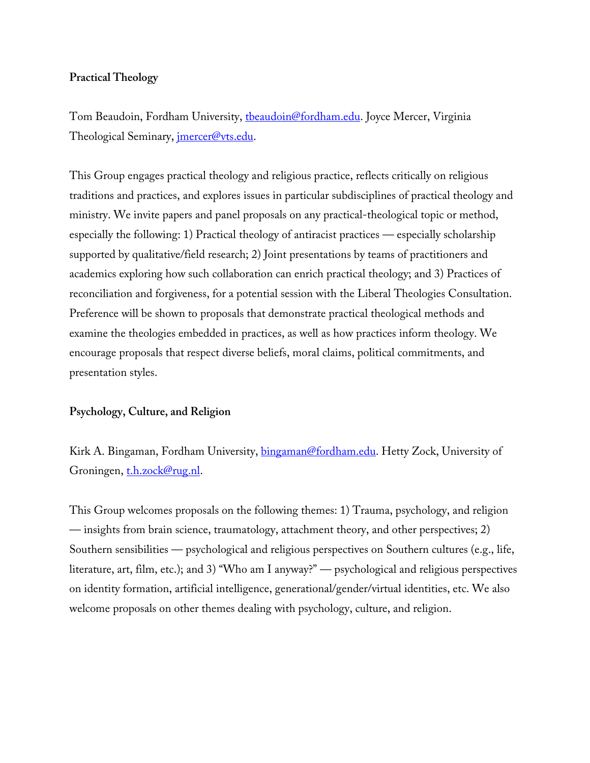# **Practical Theology**

Tom Beaudoin, Fordham University, theaudoin@fordham.edu. Joyce Mercer, Virginia Theological Seminary, *imercer@vts.edu.* 

This Group engages practical theology and religious practice, reflects critically on religious traditions and practices, and explores issues in particular subdisciplines of practical theology and ministry. We invite papers and panel proposals on any practical-theological topic or method, especially the following: 1) Practical theology of antiracist practices — especially scholarship supported by qualitative/field research; 2) Joint presentations by teams of practitioners and academics exploring how such collaboration can enrich practical theology; and 3) Practices of reconciliation and forgiveness, for a potential session with the Liberal Theologies Consultation. Preference will be shown to proposals that demonstrate practical theological methods and examine the theologies embedded in practices, as well as how practices inform theology. We encourage proposals that respect diverse beliefs, moral claims, political commitments, and presentation styles.

# **Psychology, Culture, and Religion**

Kirk A. Bingaman, Fordham University, bingaman@fordham.edu. Hetty Zock, University of Groningen, th.zock@rug.nl.

This Group welcomes proposals on the following themes: 1) Trauma, psychology, and religion — insights from brain science, traumatology, attachment theory, and other perspectives; 2) Southern sensibilities — psychological and religious perspectives on Southern cultures (e.g., life, literature, art, film, etc.); and 3) "Who am I anyway?" — psychological and religious perspectives on identity formation, artificial intelligence, generational/gender/virtual identities, etc. We also welcome proposals on other themes dealing with psychology, culture, and religion.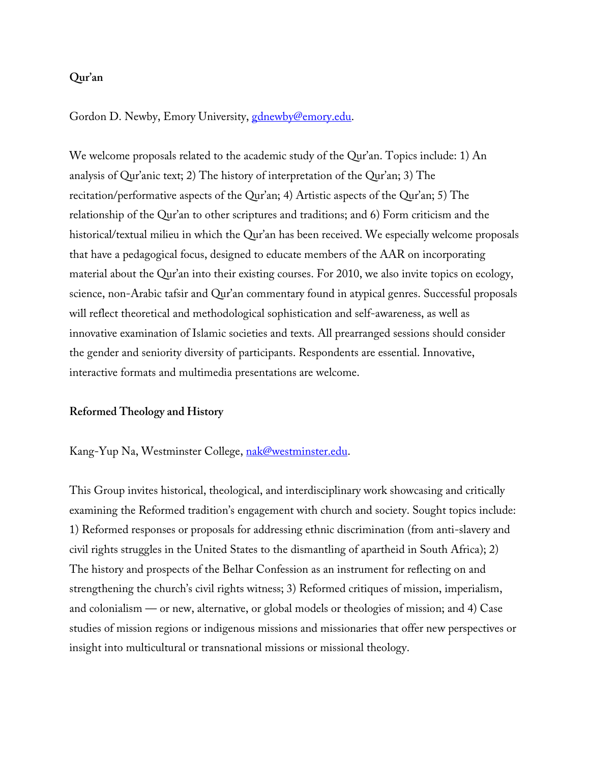# **Qur'an**

Gordon D. Newby, Emory University, gdnewby@emory.edu.

We welcome proposals related to the academic study of the Qur'an. Topics include: 1) An analysis of Qur'anic text; 2) The history of interpretation of the Qur'an; 3) The recitation/performative aspects of the Qur'an; 4) Artistic aspects of the Qur'an; 5) The relationship of the Qur'an to other scriptures and traditions; and 6) Form criticism and the historical/textual milieu in which the Qur'an has been received. We especially welcome proposals that have a pedagogical focus, designed to educate members of the AAR on incorporating material about the Qur'an into their existing courses. For 2010, we also invite topics on ecology, science, non-Arabic tafsir and Qur'an commentary found in atypical genres. Successful proposals will reflect theoretical and methodological sophistication and self-awareness, as well as innovative examination of Islamic societies and texts. All prearranged sessions should consider the gender and seniority diversity of participants. Respondents are essential. Innovative, interactive formats and multimedia presentations are welcome.

#### **Reformed Theology and History**

Kang-Yup Na, Westminster College, nak@westminster.edu.

This Group invites historical, theological, and interdisciplinary work showcasing and critically examining the Reformed tradition's engagement with church and society. Sought topics include: 1) Reformed responses or proposals for addressing ethnic discrimination (from anti-slavery and civil rights struggles in the United States to the dismantling of apartheid in South Africa); 2) The history and prospects of the Belhar Confession as an instrument for reflecting on and strengthening the church's civil rights witness; 3) Reformed critiques of mission, imperialism, and colonialism — or new, alternative, or global models or theologies of mission; and 4) Case studies of mission regions or indigenous missions and missionaries that offer new perspectives or insight into multicultural or transnational missions or missional theology.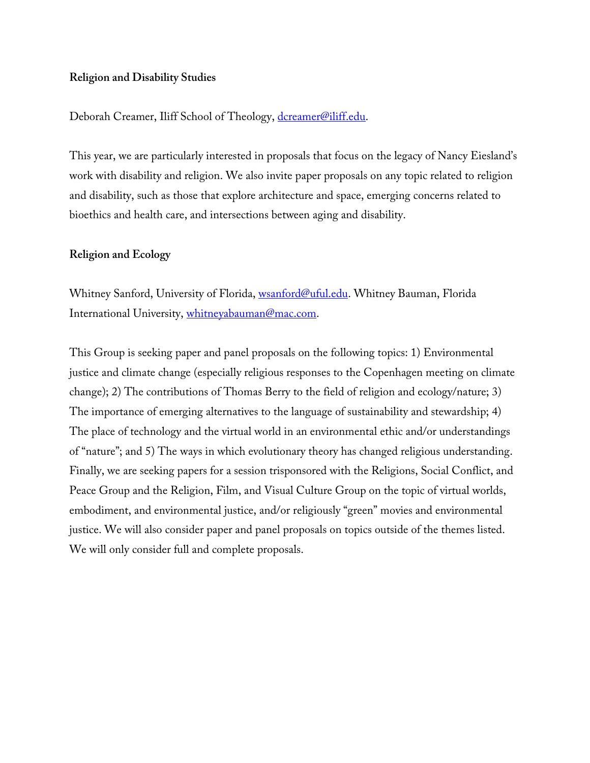# **Religion and Disability Studies**

# Deborah Creamer, Iliff School of Theology, dcreamer@iliff.edu.

This year, we are particularly interested in proposals that focus on the legacy of Nancy Eiesland's work with disability and religion. We also invite paper proposals on any topic related to religion and disability, such as those that explore architecture and space, emerging concerns related to bioethics and health care, and intersections between aging and disability.

# **Religion and Ecology**

Whitney Sanford, University of Florida, *wsanford@uful.edu*. Whitney Bauman, Florida International University, whitneyabauman@mac.com.

This Group is seeking paper and panel proposals on the following topics: 1) Environmental justice and climate change (especially religious responses to the Copenhagen meeting on climate change); 2) The contributions of Thomas Berry to the field of religion and ecology/nature; 3) The importance of emerging alternatives to the language of sustainability and stewardship; 4) The place of technology and the virtual world in an environmental ethic and/or understandings of "nature"; and 5) The ways in which evolutionary theory has changed religious understanding. Finally, we are seeking papers for a session trisponsored with the Religions, Social Conflict, and Peace Group and the Religion, Film, and Visual Culture Group on the topic of virtual worlds, embodiment, and environmental justice, and/or religiously "green" movies and environmental justice. We will also consider paper and panel proposals on topics outside of the themes listed. We will only consider full and complete proposals.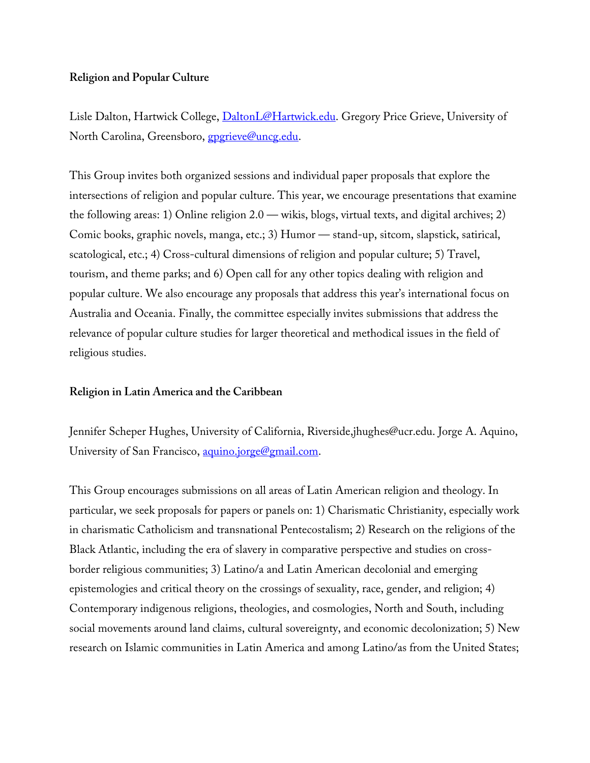## **Religion and Popular Culture**

Lisle Dalton, Hartwick College, *DaltonL@Hartwick.edu*. Gregory Price Grieve, University of North Carolina, Greensboro, *gpgrieve@uncg.edu.* 

This Group invites both organized sessions and individual paper proposals that explore the intersections of religion and popular culture. This year, we encourage presentations that examine the following areas: 1) Online religion 2.0 — wikis, blogs, virtual texts, and digital archives; 2) Comic books, graphic novels, manga, etc.; 3) Humor — stand-up, sitcom, slapstick, satirical, scatological, etc.; 4) Cross-cultural dimensions of religion and popular culture; 5) Travel, tourism, and theme parks; and 6) Open call for any other topics dealing with religion and popular culture. We also encourage any proposals that address this year's international focus on Australia and Oceania. Finally, the committee especially invites submissions that address the relevance of popular culture studies for larger theoretical and methodical issues in the field of religious studies.

### **Religion in Latin America and the Caribbean**

Jennifer Scheper Hughes, University of California, Riverside,jhughes@ucr.edu. Jorge A. Aquino, University of San Francisco, aquino.jorge@gmail.com.

This Group encourages submissions on all areas of Latin American religion and theology. In particular, we seek proposals for papers or panels on: 1) Charismatic Christianity, especially work in charismatic Catholicism and transnational Pentecostalism; 2) Research on the religions of the Black Atlantic, including the era of slavery in comparative perspective and studies on crossborder religious communities; 3) Latino/a and Latin American decolonial and emerging epistemologies and critical theory on the crossings of sexuality, race, gender, and religion; 4) Contemporary indigenous religions, theologies, and cosmologies, North and South, including social movements around land claims, cultural sovereignty, and economic decolonization; 5) New research on Islamic communities in Latin America and among Latino/as from the United States;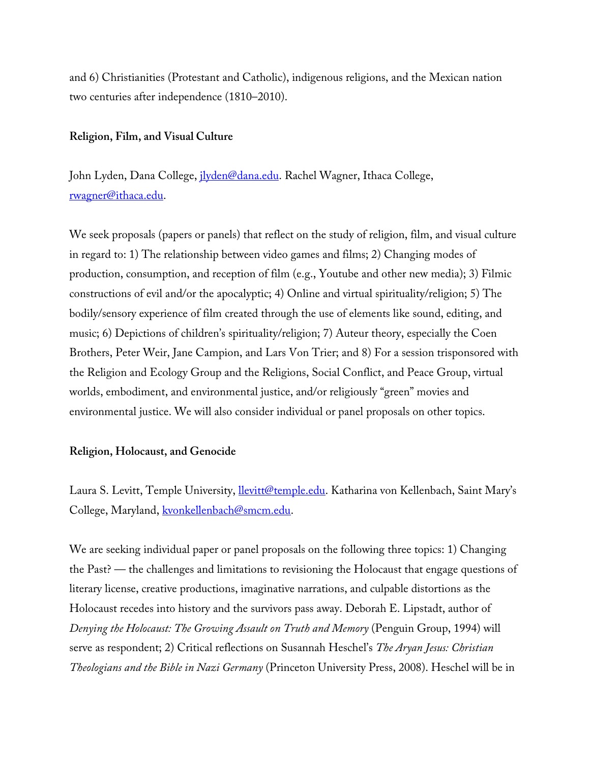and 6) Christianities (Protestant and Catholic), indigenous religions, and the Mexican nation two centuries after independence (1810–2010).

#### **Religion, Film, and Visual Culture**

John Lyden, Dana College, *jlyden@dana.edu*. Rachel Wagner, Ithaca College, rwagner@ithaca.edu.

We seek proposals (papers or panels) that reflect on the study of religion, film, and visual culture in regard to: 1) The relationship between video games and films; 2) Changing modes of production, consumption, and reception of film (e.g., Youtube and other new media); 3) Filmic constructions of evil and/or the apocalyptic; 4) Online and virtual spirituality/religion; 5) The bodily/sensory experience of film created through the use of elements like sound, editing, and music; 6) Depictions of children's spirituality/religion; 7) Auteur theory, especially the Coen Brothers, Peter Weir, Jane Campion, and Lars Von Trier; and 8) For a session trisponsored with the Religion and Ecology Group and the Religions, Social Conflict, and Peace Group, virtual worlds, embodiment, and environmental justice, and/or religiously "green" movies and environmental justice. We will also consider individual or panel proposals on other topics.

#### **Religion, Holocaust, and Genocide**

Laura S. Levitt, Temple University, *llevitt@temple.edu*. Katharina von Kellenbach, Saint Mary's College, Maryland, kvonkellenbach@smcm.edu.

We are seeking individual paper or panel proposals on the following three topics: 1) Changing the Past? — the challenges and limitations to revisioning the Holocaust that engage questions of literary license, creative productions, imaginative narrations, and culpable distortions as the Holocaust recedes into history and the survivors pass away. Deborah E. Lipstadt, author of *Denying the Holocaust: The Growing Assault on Truth and Memory* (Penguin Group, 1994) will serve as respondent; 2) Critical reflections on Susannah Heschel's *The Aryan Jesus: Christian Theologians and the Bible in Nazi Germany* (Princeton University Press, 2008). Heschel will be in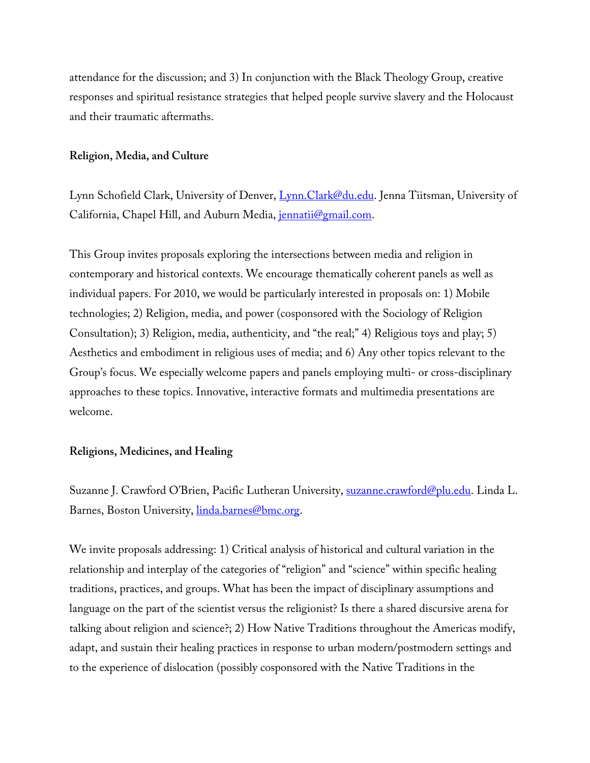attendance for the discussion; and 3) In conjunction with the Black Theology Group, creative responses and spiritual resistance strategies that helped people survive slavery and the Holocaust and their traumatic aftermaths.

#### **Religion, Media, and Culture**

Lynn Schofield Clark, University of Denver, Lynn.Clark@du.edu. Jenna Tiitsman, University of California, Chapel Hill, and Auburn Media, *jennatii@gmail.com*.

This Group invites proposals exploring the intersections between media and religion in contemporary and historical contexts. We encourage thematically coherent panels as well as individual papers. For 2010, we would be particularly interested in proposals on: 1) Mobile technologies; 2) Religion, media, and power (cosponsored with the Sociology of Religion Consultation); 3) Religion, media, authenticity, and "the real;" 4) Religious toys and play; 5) Aesthetics and embodiment in religious uses of media; and 6) Any other topics relevant to the Group's focus. We especially welcome papers and panels employing multi- or cross-disciplinary approaches to these topics. Innovative, interactive formats and multimedia presentations are welcome.

#### **Religions, Medicines, and Healing**

Suzanne J. Crawford O'Brien, Pacific Lutheran University, suzanne.crawford@plu.edu. Linda L. Barnes, Boston University, *linda.barnes@bmc.org*.

We invite proposals addressing: 1) Critical analysis of historical and cultural variation in the relationship and interplay of the categories of "religion" and "science" within specific healing traditions, practices, and groups. What has been the impact of disciplinary assumptions and language on the part of the scientist versus the religionist? Is there a shared discursive arena for talking about religion and science?; 2) How Native Traditions throughout the Americas modify, adapt, and sustain their healing practices in response to urban modern/postmodern settings and to the experience of dislocation (possibly cosponsored with the Native Traditions in the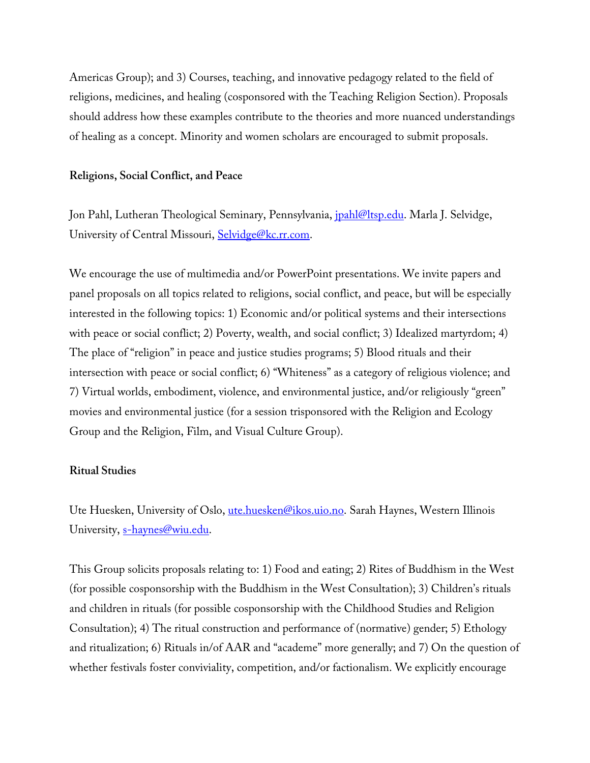Americas Group); and 3) Courses, teaching, and innovative pedagogy related to the field of religions, medicines, and healing (cosponsored with the Teaching Religion Section). Proposals should address how these examples contribute to the theories and more nuanced understandings of healing as a concept. Minority and women scholars are encouraged to submit proposals.

#### **Religions, Social Conflict, and Peace**

Jon Pahl, Lutheran Theological Seminary, Pennsylvania, *jpahl@ltsp.edu*. Marla J. Selvidge, University of Central Missouri, Selvidge@kc.rr.com.

We encourage the use of multimedia and/or PowerPoint presentations. We invite papers and panel proposals on all topics related to religions, social conflict, and peace, but will be especially interested in the following topics: 1) Economic and/or political systems and their intersections with peace or social conflict; 2) Poverty, wealth, and social conflict; 3) Idealized martyrdom; 4) The place of "religion" in peace and justice studies programs; 5) Blood rituals and their intersection with peace or social conflict; 6) "Whiteness" as a category of religious violence; and 7) Virtual worlds, embodiment, violence, and environmental justice, and/or religiously "green" movies and environmental justice (for a session trisponsored with the Religion and Ecology Group and the Religion, Film, and Visual Culture Group).

#### **Ritual Studies**

Ute Huesken, University of Oslo, ute.huesken@ikos.uio.no. Sarah Haynes, Western Illinois University, s-haynes@wiu.edu.

This Group solicits proposals relating to: 1) Food and eating; 2) Rites of Buddhism in the West (for possible cosponsorship with the Buddhism in the West Consultation); 3) Children's rituals and children in rituals (for possible cosponsorship with the Childhood Studies and Religion Consultation); 4) The ritual construction and performance of (normative) gender; 5) Ethology and ritualization; 6) Rituals in/of AAR and "academe" more generally; and 7) On the question of whether festivals foster conviviality, competition, and/or factionalism. We explicitly encourage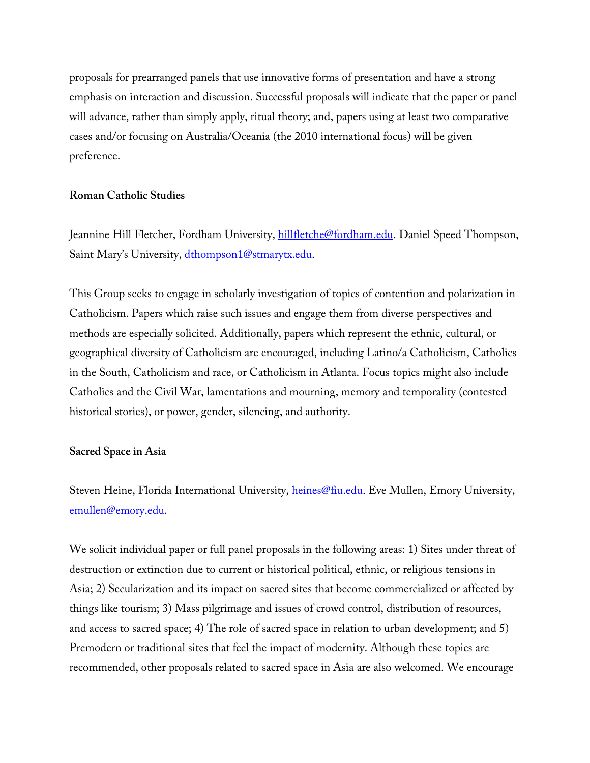proposals for prearranged panels that use innovative forms of presentation and have a strong emphasis on interaction and discussion. Successful proposals will indicate that the paper or panel will advance, rather than simply apply, ritual theory; and, papers using at least two comparative cases and/or focusing on Australia/Oceania (the 2010 international focus) will be given preference.

#### **Roman Catholic Studies**

Jeannine Hill Fletcher, Fordham University, hillfletche@fordham.edu. Daniel Speed Thompson, Saint Mary's University, dthompson1@stmarytx.edu.

This Group seeks to engage in scholarly investigation of topics of contention and polarization in Catholicism. Papers which raise such issues and engage them from diverse perspectives and methods are especially solicited. Additionally, papers which represent the ethnic, cultural, or geographical diversity of Catholicism are encouraged, including Latino/a Catholicism, Catholics in the South, Catholicism and race, or Catholicism in Atlanta. Focus topics might also include Catholics and the Civil War, lamentations and mourning, memory and temporality (contested historical stories), or power, gender, silencing, and authority.

#### **Sacred Space in Asia**

Steven Heine, Florida International University, *heines@fiu.edu*. Eve Mullen, Emory University, emullen@emory.edu.

We solicit individual paper or full panel proposals in the following areas: 1) Sites under threat of destruction or extinction due to current or historical political, ethnic, or religious tensions in Asia; 2) Secularization and its impact on sacred sites that become commercialized or affected by things like tourism; 3) Mass pilgrimage and issues of crowd control, distribution of resources, and access to sacred space; 4) The role of sacred space in relation to urban development; and 5) Premodern or traditional sites that feel the impact of modernity. Although these topics are recommended, other proposals related to sacred space in Asia are also welcomed. We encourage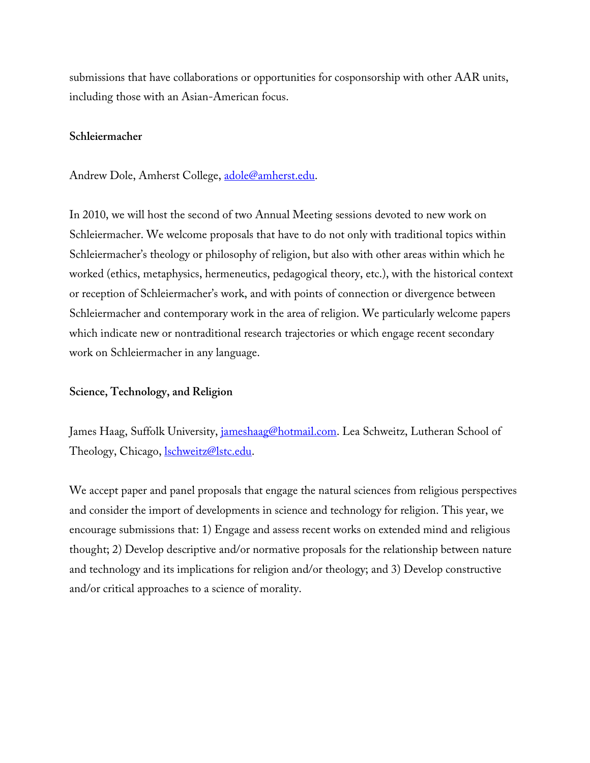submissions that have collaborations or opportunities for cosponsorship with other AAR units, including those with an Asian-American focus.

#### **Schleiermacher**

Andrew Dole, Amherst College, adole@amherst.edu.

In 2010, we will host the second of two Annual Meeting sessions devoted to new work on Schleiermacher. We welcome proposals that have to do not only with traditional topics within Schleiermacher's theology or philosophy of religion, but also with other areas within which he worked (ethics, metaphysics, hermeneutics, pedagogical theory, etc.), with the historical context or reception of Schleiermacher's work, and with points of connection or divergence between Schleiermacher and contemporary work in the area of religion. We particularly welcome papers which indicate new or nontraditional research trajectories or which engage recent secondary work on Schleiermacher in any language.

### **Science, Technology, and Religion**

James Haag, Suffolk University, jameshaag@hotmail.com. Lea Schweitz, Lutheran School of Theology, Chicago, *lschweitz@lstc.edu.* 

We accept paper and panel proposals that engage the natural sciences from religious perspectives and consider the import of developments in science and technology for religion. This year, we encourage submissions that: 1) Engage and assess recent works on extended mind and religious thought; 2) Develop descriptive and/or normative proposals for the relationship between nature and technology and its implications for religion and/or theology; and 3) Develop constructive and/or critical approaches to a science of morality.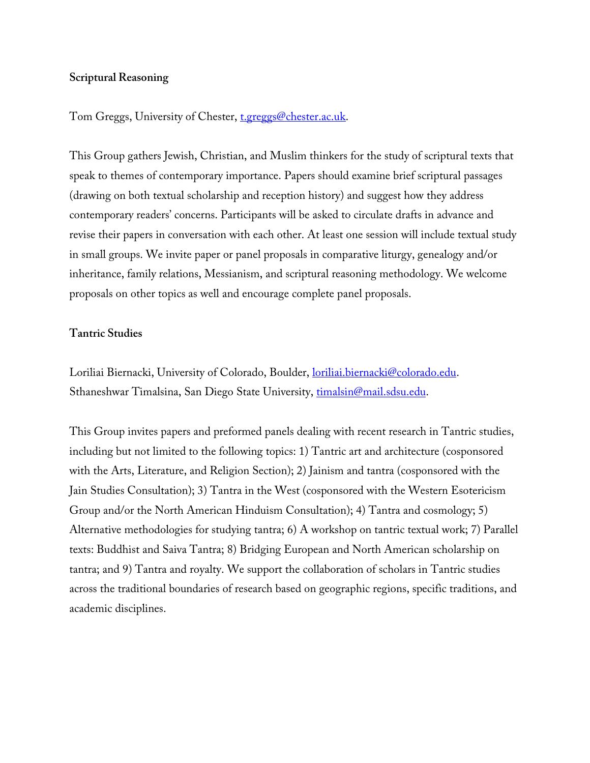### **Scriptural Reasoning**

Tom Greggs, University of Chester, t.greggs@chester.ac.uk.

This Group gathers Jewish, Christian, and Muslim thinkers for the study of scriptural texts that speak to themes of contemporary importance. Papers should examine brief scriptural passages (drawing on both textual scholarship and reception history) and suggest how they address contemporary readers' concerns. Participants will be asked to circulate drafts in advance and revise their papers in conversation with each other. At least one session will include textual study in small groups. We invite paper or panel proposals in comparative liturgy, genealogy and/or inheritance, family relations, Messianism, and scriptural reasoning methodology. We welcome proposals on other topics as well and encourage complete panel proposals.

### **Tantric Studies**

Loriliai Biernacki, University of Colorado, Boulder, *loriliai.biernacki@colorado.edu.* Sthaneshwar Timalsina, San Diego State University, timalsin@mail.sdsu.edu.

This Group invites papers and preformed panels dealing with recent research in Tantric studies, including but not limited to the following topics: 1) Tantric art and architecture (cosponsored with the Arts, Literature, and Religion Section); 2) Jainism and tantra (cosponsored with the Jain Studies Consultation); 3) Tantra in the West (cosponsored with the Western Esotericism Group and/or the North American Hinduism Consultation); 4) Tantra and cosmology; 5) Alternative methodologies for studying tantra; 6) A workshop on tantric textual work; 7) Parallel texts: Buddhist and Saiva Tantra; 8) Bridging European and North American scholarship on tantra; and 9) Tantra and royalty. We support the collaboration of scholars in Tantric studies across the traditional boundaries of research based on geographic regions, specific traditions, and academic disciplines.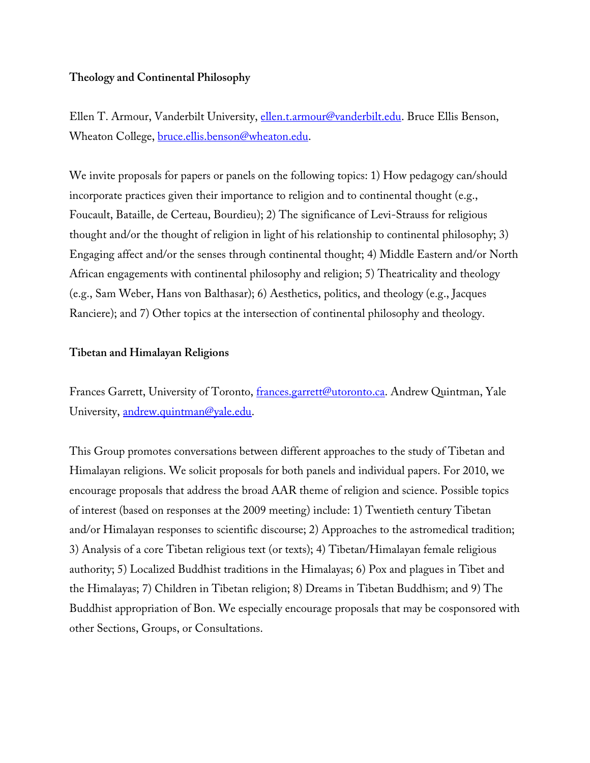# **Theology and Continental Philosophy**

Ellen T. Armour, Vanderbilt University, *ellen.t.armour@vanderbilt.edu*. Bruce Ellis Benson, Wheaton College, bruce.ellis.benson@wheaton.edu.

We invite proposals for papers or panels on the following topics: 1) How pedagogy can/should incorporate practices given their importance to religion and to continental thought (e.g., Foucault, Bataille, de Certeau, Bourdieu); 2) The significance of Levi-Strauss for religious thought and/or the thought of religion in light of his relationship to continental philosophy; 3) Engaging affect and/or the senses through continental thought; 4) Middle Eastern and/or North African engagements with continental philosophy and religion; 5) Theatricality and theology (e.g., Sam Weber, Hans von Balthasar); 6) Aesthetics, politics, and theology (e.g., Jacques Ranciere); and 7) Other topics at the intersection of continental philosophy and theology.

### **Tibetan and Himalayan Religions**

Frances Garrett, University of Toronto, *frances.garrett@utoronto.ca*. Andrew Quintman, Yale University, andrew.quintman@yale.edu.

This Group promotes conversations between different approaches to the study of Tibetan and Himalayan religions. We solicit proposals for both panels and individual papers. For 2010, we encourage proposals that address the broad AAR theme of religion and science. Possible topics of interest (based on responses at the 2009 meeting) include: 1) Twentieth century Tibetan and/or Himalayan responses to scientific discourse; 2) Approaches to the astromedical tradition; 3) Analysis of a core Tibetan religious text (or texts); 4) Tibetan/Himalayan female religious authority; 5) Localized Buddhist traditions in the Himalayas; 6) Pox and plagues in Tibet and the Himalayas; 7) Children in Tibetan religion; 8) Dreams in Tibetan Buddhism; and 9) The Buddhist appropriation of Bon. We especially encourage proposals that may be cosponsored with other Sections, Groups, or Consultations.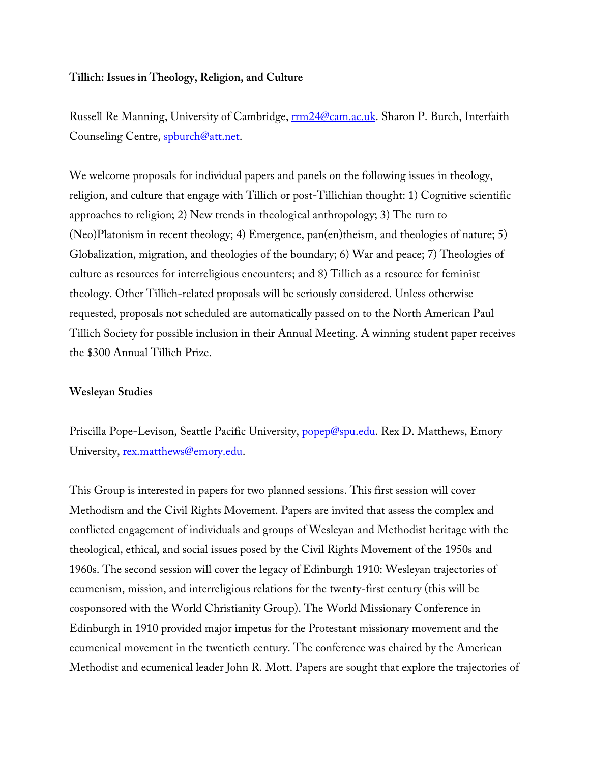### **Tillich: Issues in Theology, Religion, and Culture**

Russell Re Manning, University of Cambridge, rm24@cam.ac.uk. Sharon P. Burch, Interfaith Counseling Centre, spburch@att.net.

We welcome proposals for individual papers and panels on the following issues in theology, religion, and culture that engage with Tillich or post-Tillichian thought: 1) Cognitive scientific approaches to religion; 2) New trends in theological anthropology; 3) The turn to (Neo)Platonism in recent theology; 4) Emergence, pan(en)theism, and theologies of nature; 5) Globalization, migration, and theologies of the boundary; 6) War and peace; 7) Theologies of culture as resources for interreligious encounters; and 8) Tillich as a resource for feminist theology. Other Tillich-related proposals will be seriously considered. Unless otherwise requested, proposals not scheduled are automatically passed on to the North American Paul Tillich Society for possible inclusion in their Annual Meeting. A winning student paper receives the \$300 Annual Tillich Prize.

### **Wesleyan Studies**

Priscilla Pope-Levison, Seattle Pacific University, popep@spu.edu. Rex D. Matthews, Emory University, rex.matthews@emory.edu.

This Group is interested in papers for two planned sessions. This first session will cover Methodism and the Civil Rights Movement. Papers are invited that assess the complex and conflicted engagement of individuals and groups of Wesleyan and Methodist heritage with the theological, ethical, and social issues posed by the Civil Rights Movement of the 1950s and 1960s. The second session will cover the legacy of Edinburgh 1910: Wesleyan trajectories of ecumenism, mission, and interreligious relations for the twenty-first century (this will be cosponsored with the World Christianity Group). The World Missionary Conference in Edinburgh in 1910 provided major impetus for the Protestant missionary movement and the ecumenical movement in the twentieth century. The conference was chaired by the American Methodist and ecumenical leader John R. Mott. Papers are sought that explore the trajectories of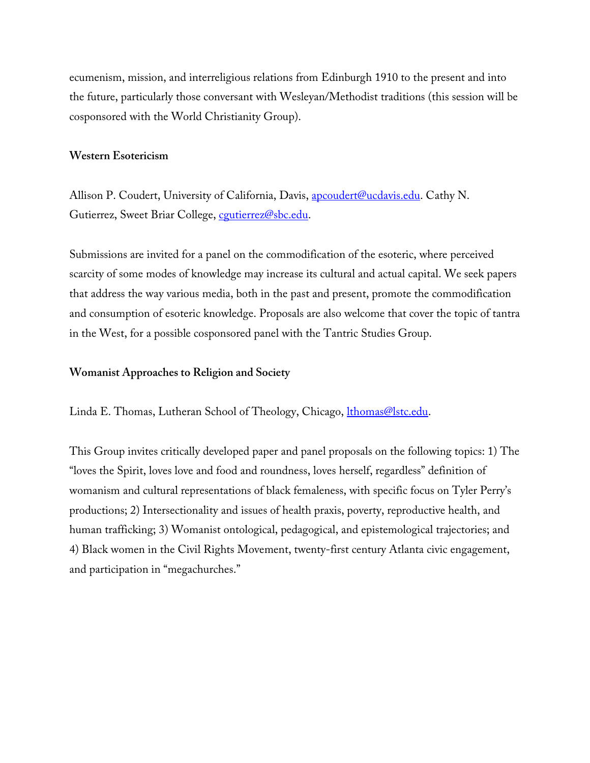ecumenism, mission, and interreligious relations from Edinburgh 1910 to the present and into the future, particularly those conversant with Wesleyan/Methodist traditions (this session will be cosponsored with the World Christianity Group).

#### **Western Esotericism**

Allison P. Coudert, University of California, Davis, apcoudert@ucdavis.edu. Cathy N. Gutierrez, Sweet Briar College, coutierrez@sbc.edu.

Submissions are invited for a panel on the commodification of the esoteric, where perceived scarcity of some modes of knowledge may increase its cultural and actual capital. We seek papers that address the way various media, both in the past and present, promote the commodification and consumption of esoteric knowledge. Proposals are also welcome that cover the topic of tantra in the West, for a possible cosponsored panel with the Tantric Studies Group.

#### **Womanist Approaches to Religion and Society**

Linda E. Thomas, Lutheran School of Theology, Chicago, *lthomas@lstc.edu.* 

This Group invites critically developed paper and panel proposals on the following topics: 1) The "loves the Spirit, loves love and food and roundness, loves herself, regardless" definition of womanism and cultural representations of black femaleness, with specific focus on Tyler Perry's productions; 2) Intersectionality and issues of health praxis, poverty, reproductive health, and human trafficking; 3) Womanist ontological, pedagogical, and epistemological trajectories; and 4) Black women in the Civil Rights Movement, twenty-first century Atlanta civic engagement, and participation in "megachurches."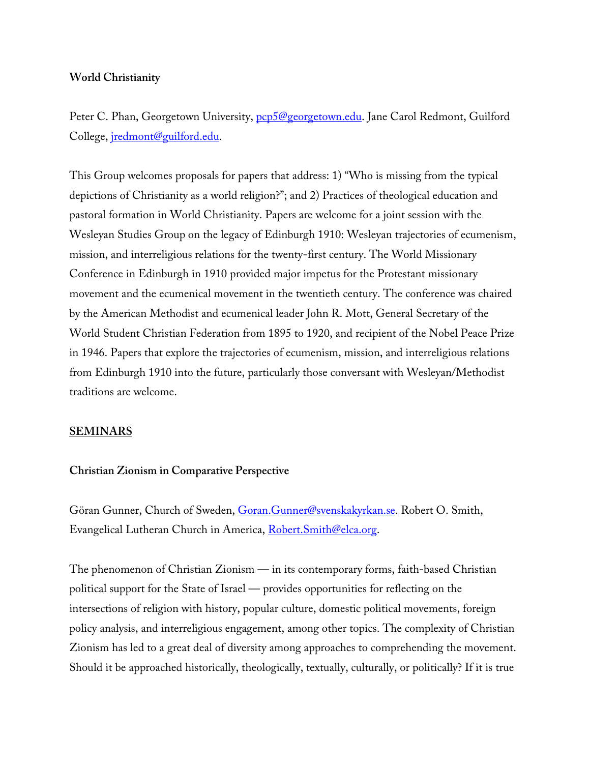## **World Christianity**

Peter C. Phan, Georgetown University, pcp5@georgetown.edu. Jane Carol Redmont, Guilford College, jredmont@guilford.edu.

This Group welcomes proposals for papers that address: 1) "Who is missing from the typical depictions of Christianity as a world religion?"; and 2) Practices of theological education and pastoral formation in World Christianity. Papers are welcome for a joint session with the Wesleyan Studies Group on the legacy of Edinburgh 1910: Wesleyan trajectories of ecumenism, mission, and interreligious relations for the twenty-first century. The World Missionary Conference in Edinburgh in 1910 provided major impetus for the Protestant missionary movement and the ecumenical movement in the twentieth century. The conference was chaired by the American Methodist and ecumenical leader John R. Mott, General Secretary of the World Student Christian Federation from 1895 to 1920, and recipient of the Nobel Peace Prize in 1946. Papers that explore the trajectories of ecumenism, mission, and interreligious relations from Edinburgh 1910 into the future, particularly those conversant with Wesleyan/Methodist traditions are welcome.

### **SEMINARS**

### **Christian Zionism in Comparative Perspective**

Göran Gunner, Church of Sweden, Goran.Gunner@svenskakyrkan.se. Robert O. Smith, Evangelical Lutheran Church in America, Robert. Smith@elca.org.

The phenomenon of Christian Zionism — in its contemporary forms, faith-based Christian political support for the State of Israel — provides opportunities for reflecting on the intersections of religion with history, popular culture, domestic political movements, foreign policy analysis, and interreligious engagement, among other topics. The complexity of Christian Zionism has led to a great deal of diversity among approaches to comprehending the movement. Should it be approached historically, theologically, textually, culturally, or politically? If it is true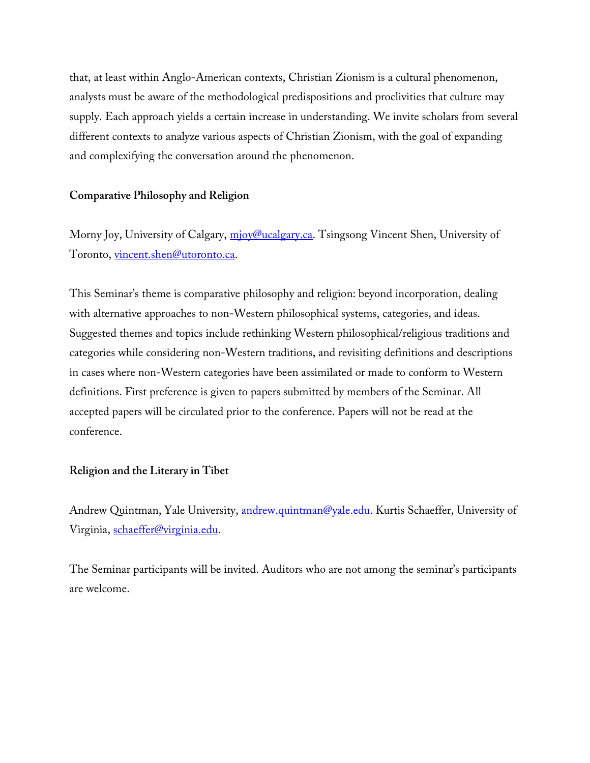that, at least within Anglo-American contexts, Christian Zionism is a cultural phenomenon, analysts must be aware of the methodological predispositions and proclivities that culture may supply. Each approach yields a certain increase in understanding. We invite scholars from several different contexts to analyze various aspects of Christian Zionism, with the goal of expanding and complexifying the conversation around the phenomenon.

# **Comparative Philosophy and Religion**

Morny Joy, University of Calgary, mjoy@ucalgary.ca. Tsingsong Vincent Shen, University of Toronto, vincent.shen@utoronto.ca.

This Seminar's theme is comparative philosophy and religion: beyond incorporation, dealing with alternative approaches to non-Western philosophical systems, categories, and ideas. Suggested themes and topics include rethinking Western philosophical/religious traditions and categories while considering non-Western traditions, and revisiting definitions and descriptions in cases where non-Western categories have been assimilated or made to conform to Western definitions. First preference is given to papers submitted by members of the Seminar. All accepted papers will be circulated prior to the conference. Papers will not be read at the conference.

### **Religion and the Literary in Tibet**

Andrew Quintman, Yale University, andrew.quintman@yale.edu. Kurtis Schaeffer, University of Virginia, schaeffer@virginia.edu.

The Seminar participants will be invited. Auditors who are not among the seminar's participants are welcome.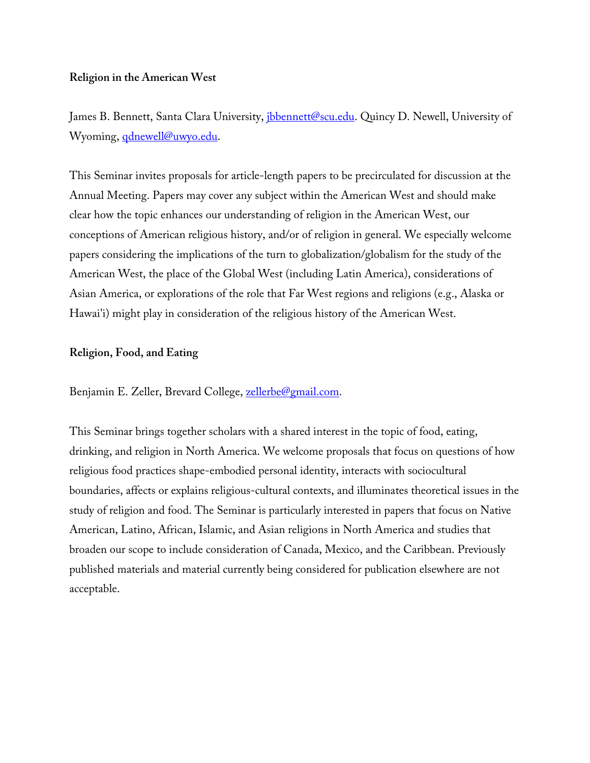## **Religion in the American West**

James B. Bennett, Santa Clara University, *ibbennett@scu.edu*. Quincy D. Newell, University of Wyoming, *qdnewell@uwyo.edu.* 

This Seminar invites proposals for article-length papers to be precirculated for discussion at the Annual Meeting. Papers may cover any subject within the American West and should make clear how the topic enhances our understanding of religion in the American West, our conceptions of American religious history, and/or of religion in general. We especially welcome papers considering the implications of the turn to globalization/globalism for the study of the American West, the place of the Global West (including Latin America), considerations of Asian America, or explorations of the role that Far West regions and religions (e.g., Alaska or Hawai'i) might play in consideration of the religious history of the American West.

## **Religion, Food, and Eating**

Benjamin E. Zeller, Brevard College, zellerbe@gmail.com.

This Seminar brings together scholars with a shared interest in the topic of food, eating, drinking, and religion in North America. We welcome proposals that focus on questions of how religious food practices shape-embodied personal identity, interacts with sociocultural boundaries, affects or explains religious-cultural contexts, and illuminates theoretical issues in the study of religion and food. The Seminar is particularly interested in papers that focus on Native American, Latino, African, Islamic, and Asian religions in North America and studies that broaden our scope to include consideration of Canada, Mexico, and the Caribbean. Previously published materials and material currently being considered for publication elsewhere are not acceptable.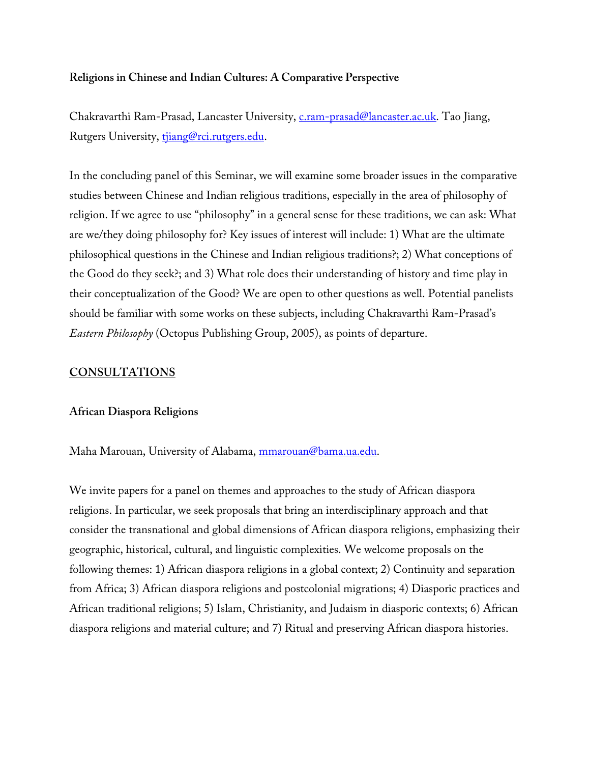### **Religions in Chinese and Indian Cultures: A Comparative Perspective**

Chakravarthi Ram-Prasad, Lancaster University, c.ram-prasad@lancaster.ac.uk. Tao Jiang, Rutgers University, tijang@rci.rutgers.edu.

In the concluding panel of this Seminar, we will examine some broader issues in the comparative studies between Chinese and Indian religious traditions, especially in the area of philosophy of religion. If we agree to use "philosophy" in a general sense for these traditions, we can ask: What are we/they doing philosophy for? Key issues of interest will include: 1) What are the ultimate philosophical questions in the Chinese and Indian religious traditions?; 2) What conceptions of the Good do they seek?; and 3) What role does their understanding of history and time play in their conceptualization of the Good? We are open to other questions as well. Potential panelists should be familiar with some works on these subjects, including Chakravarthi Ram-Prasad's *Eastern Philosophy* (Octopus Publishing Group, 2005), as points of departure.

## **CONSULTATIONS**

### **African Diaspora Religions**

Maha Marouan, University of Alabama, mmarouan@bama.ua.edu.

We invite papers for a panel on themes and approaches to the study of African diaspora religions. In particular, we seek proposals that bring an interdisciplinary approach and that consider the transnational and global dimensions of African diaspora religions, emphasizing their geographic, historical, cultural, and linguistic complexities. We welcome proposals on the following themes: 1) African diaspora religions in a global context; 2) Continuity and separation from Africa; 3) African diaspora religions and postcolonial migrations; 4) Diasporic practices and African traditional religions; 5) Islam, Christianity, and Judaism in diasporic contexts; 6) African diaspora religions and material culture; and 7) Ritual and preserving African diaspora histories.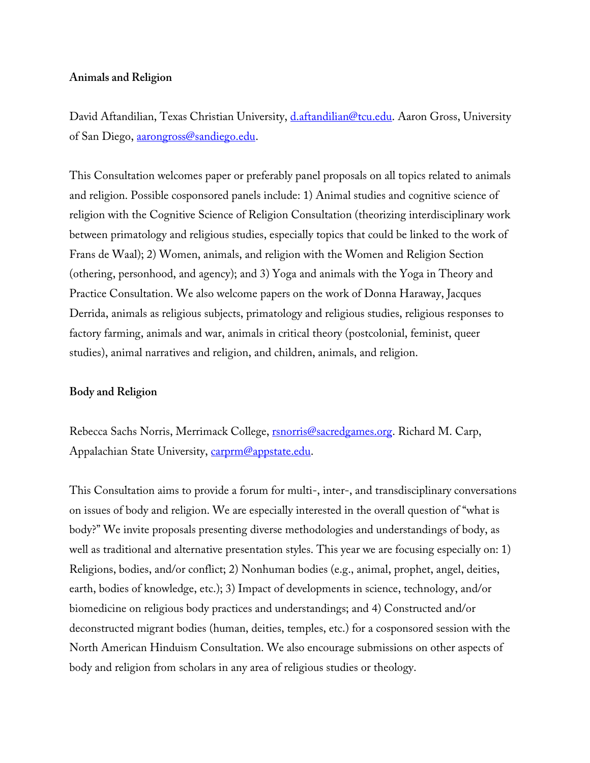#### **Animals and Religion**

David Aftandilian, Texas Christian University, *d.aftandilian@tcu.edu.* Aaron Gross, University of San Diego, aarongross@sandiego.edu.

This Consultation welcomes paper or preferably panel proposals on all topics related to animals and religion. Possible cosponsored panels include: 1) Animal studies and cognitive science of religion with the Cognitive Science of Religion Consultation (theorizing interdisciplinary work between primatology and religious studies, especially topics that could be linked to the work of Frans de Waal); 2) Women, animals, and religion with the Women and Religion Section (othering, personhood, and agency); and 3) Yoga and animals with the Yoga in Theory and Practice Consultation. We also welcome papers on the work of Donna Haraway, Jacques Derrida, animals as religious subjects, primatology and religious studies, religious responses to factory farming, animals and war, animals in critical theory (postcolonial, feminist, queer studies), animal narratives and religion, and children, animals, and religion.

#### **Body and Religion**

Rebecca Sachs Norris, Merrimack College, rsnorris@sacredgames.org. Richard M. Carp, Appalachian State University, carprm@appstate.edu.

This Consultation aims to provide a forum for multi-, inter-, and transdisciplinary conversations on issues of body and religion. We are especially interested in the overall question of "what is body?" We invite proposals presenting diverse methodologies and understandings of body, as well as traditional and alternative presentation styles. This year we are focusing especially on: 1) Religions, bodies, and/or conflict; 2) Nonhuman bodies (e.g., animal, prophet, angel, deities, earth, bodies of knowledge, etc.); 3) Impact of developments in science, technology, and/or biomedicine on religious body practices and understandings; and 4) Constructed and/or deconstructed migrant bodies (human, deities, temples, etc.) for a cosponsored session with the North American Hinduism Consultation. We also encourage submissions on other aspects of body and religion from scholars in any area of religious studies or theology.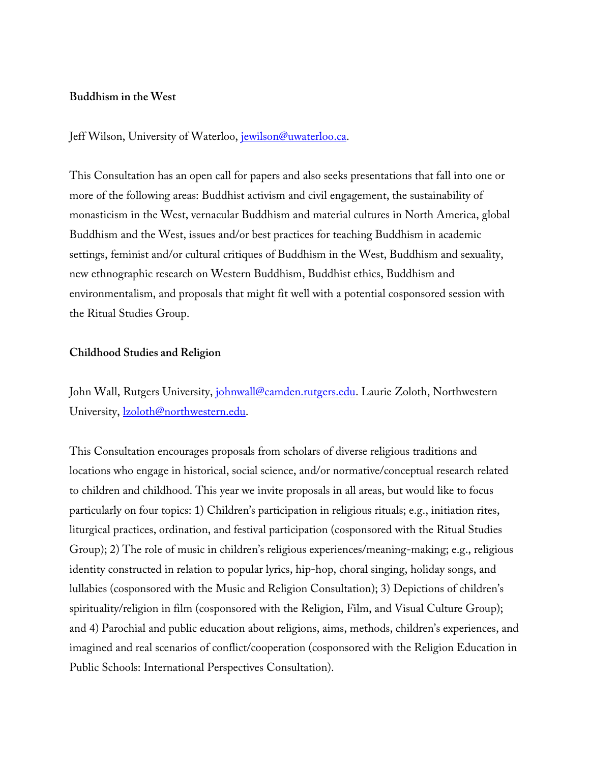#### **Buddhism in the West**

Jeff Wilson, University of Waterloo, jewilson@uwaterloo.ca.

This Consultation has an open call for papers and also seeks presentations that fall into one or more of the following areas: Buddhist activism and civil engagement, the sustainability of monasticism in the West, vernacular Buddhism and material cultures in North America, global Buddhism and the West, issues and/or best practices for teaching Buddhism in academic settings, feminist and/or cultural critiques of Buddhism in the West, Buddhism and sexuality, new ethnographic research on Western Buddhism, Buddhist ethics, Buddhism and environmentalism, and proposals that might fit well with a potential cosponsored session with the Ritual Studies Group.

### **Childhood Studies and Religion**

John Wall, Rutgers University, *johnwall@camden.rutgers.edu*. Laurie Zoloth, Northwestern University, **lzoloth@northwestern.edu**.

This Consultation encourages proposals from scholars of diverse religious traditions and locations who engage in historical, social science, and/or normative/conceptual research related to children and childhood. This year we invite proposals in all areas, but would like to focus particularly on four topics: 1) Children's participation in religious rituals; e.g., initiation rites, liturgical practices, ordination, and festival participation (cosponsored with the Ritual Studies Group); 2) The role of music in children's religious experiences/meaning-making; e.g., religious identity constructed in relation to popular lyrics, hip-hop, choral singing, holiday songs, and lullabies (cosponsored with the Music and Religion Consultation); 3) Depictions of children's spirituality/religion in film (cosponsored with the Religion, Film, and Visual Culture Group); and 4) Parochial and public education about religions, aims, methods, children's experiences, and imagined and real scenarios of conflict/cooperation (cosponsored with the Religion Education in Public Schools: International Perspectives Consultation).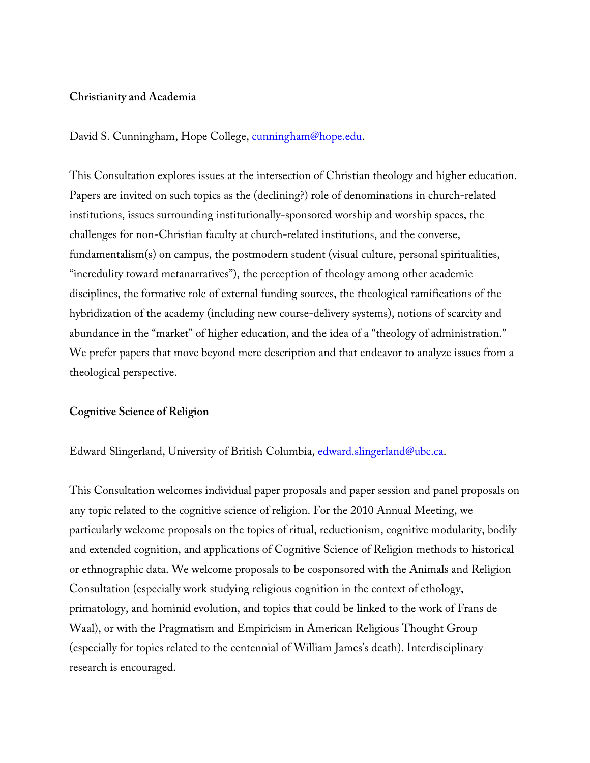#### **Christianity and Academia**

David S. Cunningham, Hope College, cunningham@hope.edu.

This Consultation explores issues at the intersection of Christian theology and higher education. Papers are invited on such topics as the (declining?) role of denominations in church-related institutions, issues surrounding institutionally-sponsored worship and worship spaces, the challenges for non-Christian faculty at church-related institutions, and the converse, fundamentalism(s) on campus, the postmodern student (visual culture, personal spiritualities, "incredulity toward metanarratives"), the perception of theology among other academic disciplines, the formative role of external funding sources, the theological ramifications of the hybridization of the academy (including new course-delivery systems), notions of scarcity and abundance in the "market" of higher education, and the idea of a "theology of administration." We prefer papers that move beyond mere description and that endeavor to analyze issues from a theological perspective.

#### **Cognitive Science of Religion**

Edward Slingerland, University of British Columbia, edward.slingerland@ubc.ca.

This Consultation welcomes individual paper proposals and paper session and panel proposals on any topic related to the cognitive science of religion. For the 2010 Annual Meeting, we particularly welcome proposals on the topics of ritual, reductionism, cognitive modularity, bodily and extended cognition, and applications of Cognitive Science of Religion methods to historical or ethnographic data. We welcome proposals to be cosponsored with the Animals and Religion Consultation (especially work studying religious cognition in the context of ethology, primatology, and hominid evolution, and topics that could be linked to the work of Frans de Waal), or with the Pragmatism and Empiricism in American Religious Thought Group (especially for topics related to the centennial of William James's death). Interdisciplinary research is encouraged.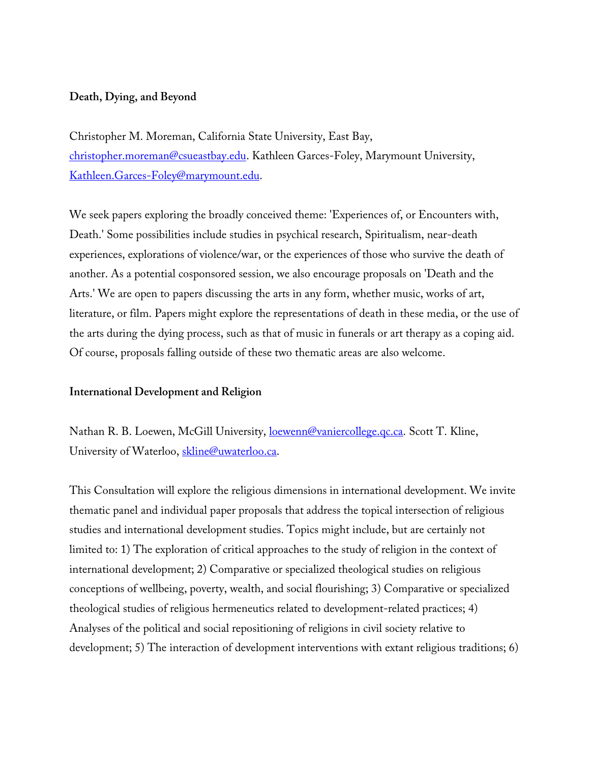## **Death, Dying, and Beyond**

Christopher M. Moreman, California State University, East Bay, christopher.moreman@csueastbay.edu. Kathleen Garces-Foley, Marymount University, Kathleen.Garces-Foley@marymount.edu.

We seek papers exploring the broadly conceived theme: 'Experiences of, or Encounters with, Death.' Some possibilities include studies in psychical research, Spiritualism, near-death experiences, explorations of violence/war, or the experiences of those who survive the death of another. As a potential cosponsored session, we also encourage proposals on 'Death and the Arts.' We are open to papers discussing the arts in any form, whether music, works of art, literature, or film. Papers might explore the representations of death in these media, or the use of the arts during the dying process, such as that of music in funerals or art therapy as a coping aid. Of course, proposals falling outside of these two thematic areas are also welcome.

### **International Development and Religion**

Nathan R. B. Loewen, McGill University, loewenn@vaniercollege.qc.ca. Scott T. Kline, University of Waterloo, skline@uwaterloo.ca.

This Consultation will explore the religious dimensions in international development. We invite thematic panel and individual paper proposals that address the topical intersection of religious studies and international development studies. Topics might include, but are certainly not limited to: 1) The exploration of critical approaches to the study of religion in the context of international development; 2) Comparative or specialized theological studies on religious conceptions of wellbeing, poverty, wealth, and social flourishing; 3) Comparative or specialized theological studies of religious hermeneutics related to development-related practices; 4) Analyses of the political and social repositioning of religions in civil society relative to development; 5) The interaction of development interventions with extant religious traditions; 6)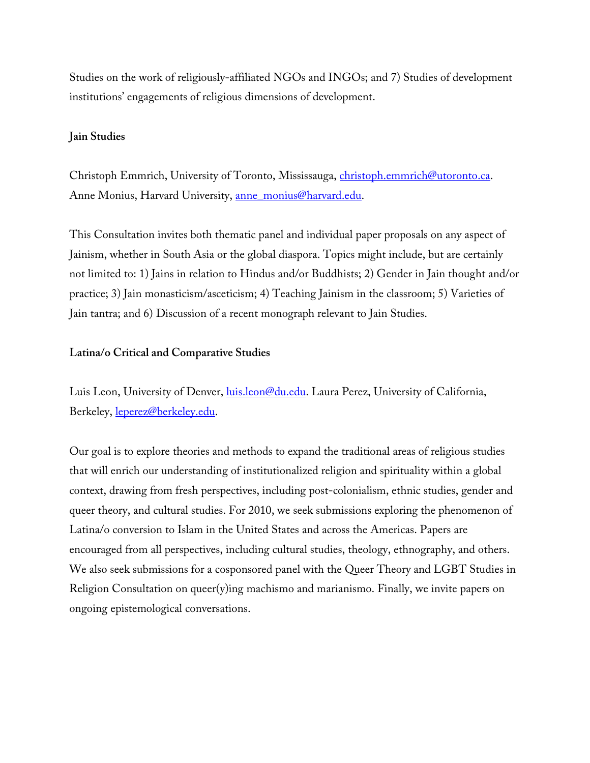Studies on the work of religiously-affiliated NGOs and INGOs; and 7) Studies of development institutions' engagements of religious dimensions of development.

# **Jain Studies**

Christoph Emmrich, University of Toronto, Mississauga, christoph.emmrich@utoronto.ca. Anne Monius, Harvard University, anne monius@harvard.edu.

This Consultation invites both thematic panel and individual paper proposals on any aspect of Jainism, whether in South Asia or the global diaspora. Topics might include, but are certainly not limited to: 1) Jains in relation to Hindus and/or Buddhists; 2) Gender in Jain thought and/or practice; 3) Jain monasticism/asceticism; 4) Teaching Jainism in the classroom; 5) Varieties of Jain tantra; and 6) Discussion of a recent monograph relevant to Jain Studies.

# **Latina/o Critical and Comparative Studies**

Luis Leon, University of Denver, luis.leon@du.edu. Laura Perez, University of California, Berkeley, leperez@berkeley.edu.

Our goal is to explore theories and methods to expand the traditional areas of religious studies that will enrich our understanding of institutionalized religion and spirituality within a global context, drawing from fresh perspectives, including post-colonialism, ethnic studies, gender and queer theory, and cultural studies. For 2010, we seek submissions exploring the phenomenon of Latina/o conversion to Islam in the United States and across the Americas. Papers are encouraged from all perspectives, including cultural studies, theology, ethnography, and others. We also seek submissions for a cosponsored panel with the Queer Theory and LGBT Studies in Religion Consultation on queer(y)ing machismo and marianismo. Finally, we invite papers on ongoing epistemological conversations.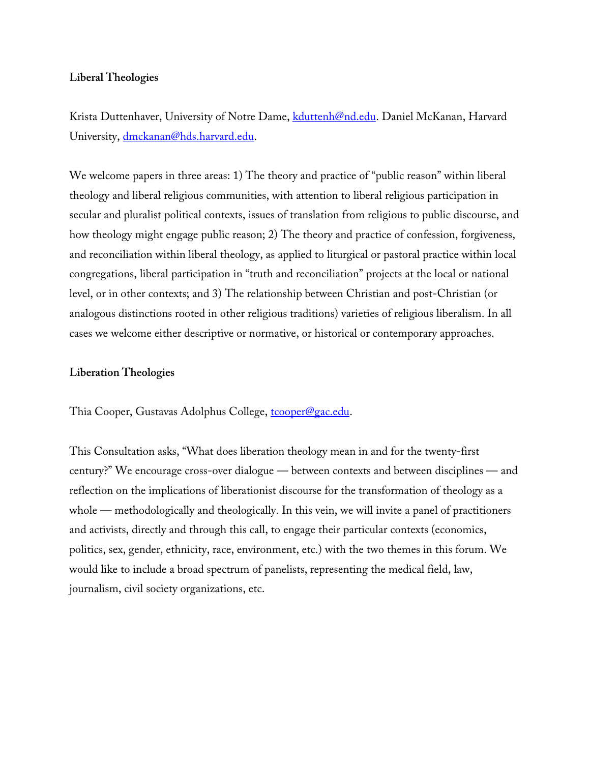## **Liberal Theologies**

Krista Duttenhaver, University of Notre Dame, kduttenh@nd.edu. Daniel McKanan, Harvard University, dmckanan@hds.harvard.edu.

We welcome papers in three areas: 1) The theory and practice of "public reason" within liberal theology and liberal religious communities, with attention to liberal religious participation in secular and pluralist political contexts, issues of translation from religious to public discourse, and how theology might engage public reason; 2) The theory and practice of confession, forgiveness, and reconciliation within liberal theology, as applied to liturgical or pastoral practice within local congregations, liberal participation in "truth and reconciliation" projects at the local or national level, or in other contexts; and 3) The relationship between Christian and post-Christian (or analogous distinctions rooted in other religious traditions) varieties of religious liberalism. In all cases we welcome either descriptive or normative, or historical or contemporary approaches.

### **Liberation Theologies**

Thia Cooper, Gustavas Adolphus College, tcooper@gac.edu.

This Consultation asks, "What does liberation theology mean in and for the twenty-first century?" We encourage cross-over dialogue — between contexts and between disciplines — and reflection on the implications of liberationist discourse for the transformation of theology as a whole — methodologically and theologically. In this vein, we will invite a panel of practitioners and activists, directly and through this call, to engage their particular contexts (economics, politics, sex, gender, ethnicity, race, environment, etc.) with the two themes in this forum. We would like to include a broad spectrum of panelists, representing the medical field, law, journalism, civil society organizations, etc.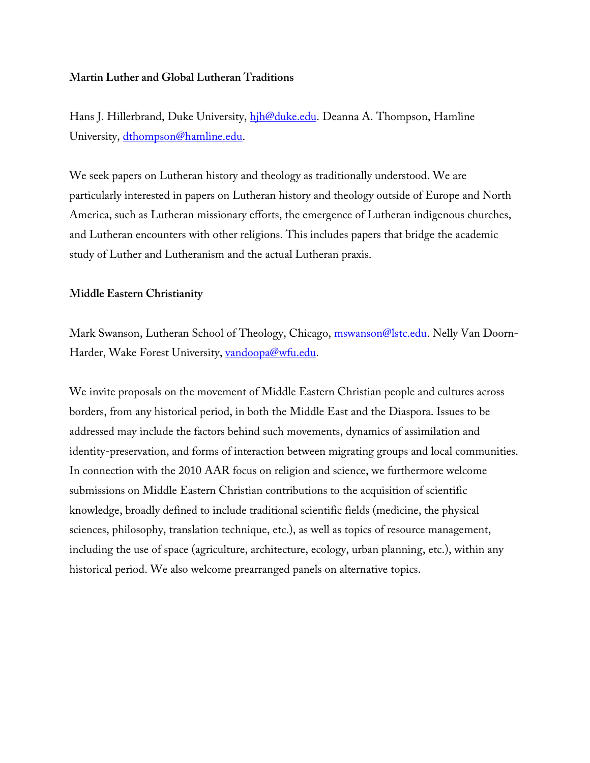# **Martin Luther and Global Lutheran Traditions**

Hans J. Hillerbrand, Duke University, hih@duke.edu. Deanna A. Thompson, Hamline University, dthompson@hamline.edu.

We seek papers on Lutheran history and theology as traditionally understood. We are particularly interested in papers on Lutheran history and theology outside of Europe and North America, such as Lutheran missionary efforts, the emergence of Lutheran indigenous churches, and Lutheran encounters with other religions. This includes papers that bridge the academic study of Luther and Lutheranism and the actual Lutheran praxis.

### **Middle Eastern Christianity**

Mark Swanson, Lutheran School of Theology, Chicago, *mswanson@lstc.edu*. Nelly Van Doorn-Harder, Wake Forest University, vandoopa@wfu.edu.

We invite proposals on the movement of Middle Eastern Christian people and cultures across borders, from any historical period, in both the Middle East and the Diaspora. Issues to be addressed may include the factors behind such movements, dynamics of assimilation and identity-preservation, and forms of interaction between migrating groups and local communities. In connection with the 2010 AAR focus on religion and science, we furthermore welcome submissions on Middle Eastern Christian contributions to the acquisition of scientific knowledge, broadly defined to include traditional scientific fields (medicine, the physical sciences, philosophy, translation technique, etc.), as well as topics of resource management, including the use of space (agriculture, architecture, ecology, urban planning, etc.), within any historical period. We also welcome prearranged panels on alternative topics.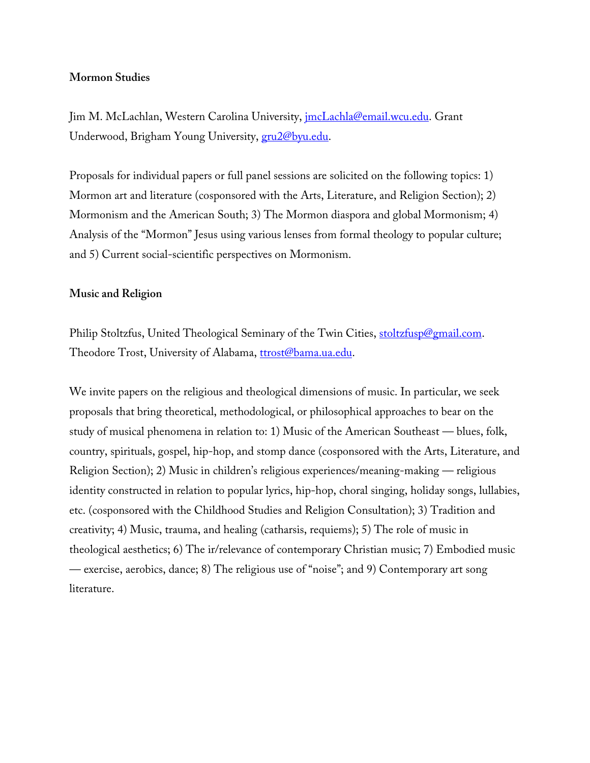### **Mormon Studies**

Jim M. McLachlan, Western Carolina University, jmcLachla@email.wcu.edu. Grant Underwood, Brigham Young University, gru2@byu.edu.

Proposals for individual papers or full panel sessions are solicited on the following topics: 1) Mormon art and literature (cosponsored with the Arts, Literature, and Religion Section); 2) Mormonism and the American South; 3) The Mormon diaspora and global Mormonism; 4) Analysis of the "Mormon" Jesus using various lenses from formal theology to popular culture; and 5) Current social-scientific perspectives on Mormonism.

### **Music and Religion**

Philip Stoltzfus, United Theological Seminary of the Twin Cities, stoltzfusp@gmail.com. Theodore Trost, University of Alabama, ttrost@bama.ua.edu.

We invite papers on the religious and theological dimensions of music. In particular, we seek proposals that bring theoretical, methodological, or philosophical approaches to bear on the study of musical phenomena in relation to: 1) Music of the American Southeast — blues, folk, country, spirituals, gospel, hip-hop, and stomp dance (cosponsored with the Arts, Literature, and Religion Section); 2) Music in children's religious experiences/meaning-making — religious identity constructed in relation to popular lyrics, hip-hop, choral singing, holiday songs, lullabies, etc. (cosponsored with the Childhood Studies and Religion Consultation); 3) Tradition and creativity; 4) Music, trauma, and healing (catharsis, requiems); 5) The role of music in theological aesthetics; 6) The ir/relevance of contemporary Christian music; 7) Embodied music — exercise, aerobics, dance; 8) The religious use of "noise"; and 9) Contemporary art song literature.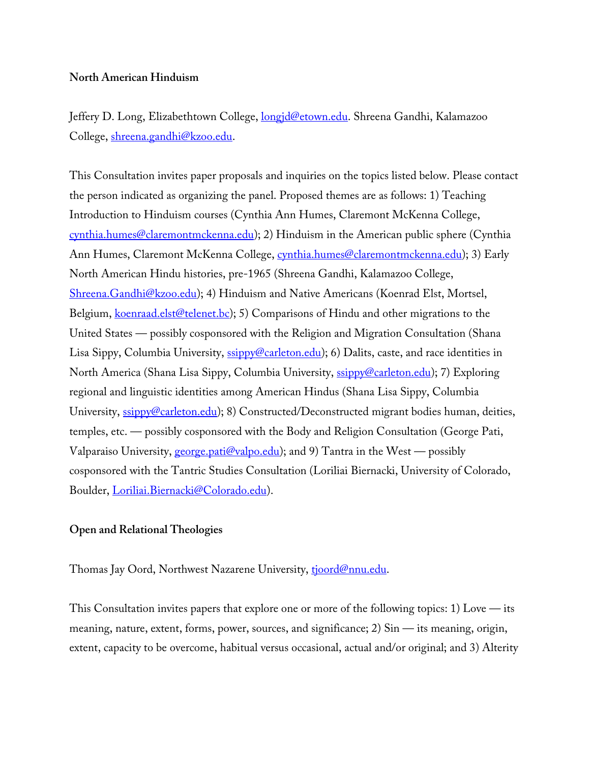# **North American Hinduism**

Jeffery D. Long, Elizabethtown College, longjd@etown.edu. Shreena Gandhi, Kalamazoo College, shreena.gandhi@kzoo.edu.

This Consultation invites paper proposals and inquiries on the topics listed below. Please contact the person indicated as organizing the panel. Proposed themes are as follows: 1) Teaching Introduction to Hinduism courses (Cynthia Ann Humes, Claremont McKenna College, cynthia.humes@claremontmckenna.edu); 2) Hinduism in the American public sphere (Cynthia Ann Humes, Claremont McKenna College, cynthia.humes@claremontmckenna.edu); 3) Early North American Hindu histories, pre-1965 (Shreena Gandhi, Kalamazoo College, Shreena.Gandhi@kzoo.edu); 4) Hinduism and Native Americans (Koenrad Elst, Mortsel, Belgium, koenraad.elst@telenet.bc); 5) Comparisons of Hindu and other migrations to the United States — possibly cosponsored with the Religion and Migration Consultation (Shana Lisa Sippy, Columbia University, ssippy@carleton.edu); 6) Dalits, caste, and race identities in North America (Shana Lisa Sippy, Columbia University, ssippy@carleton.edu); 7) Exploring regional and linguistic identities among American Hindus (Shana Lisa Sippy, Columbia University, ssippy@carleton.edu); 8) Constructed/Deconstructed migrant bodies human, deities, temples, etc. — possibly cosponsored with the Body and Religion Consultation (George Pati, Valparaiso University, **george.pati@valpo.edu**); and 9) Tantra in the West — possibly cosponsored with the Tantric Studies Consultation (Loriliai Biernacki, University of Colorado, Boulder, Loriliai.Biernacki@Colorado.edu).

# **Open and Relational Theologies**

Thomas Jay Oord, Northwest Nazarene University, tjoord@nnu.edu.

This Consultation invites papers that explore one or more of the following topics: 1) Love  $-$  its meaning, nature, extent, forms, power, sources, and significance; 2) Sin — its meaning, origin, extent, capacity to be overcome, habitual versus occasional, actual and/or original; and 3) Alterity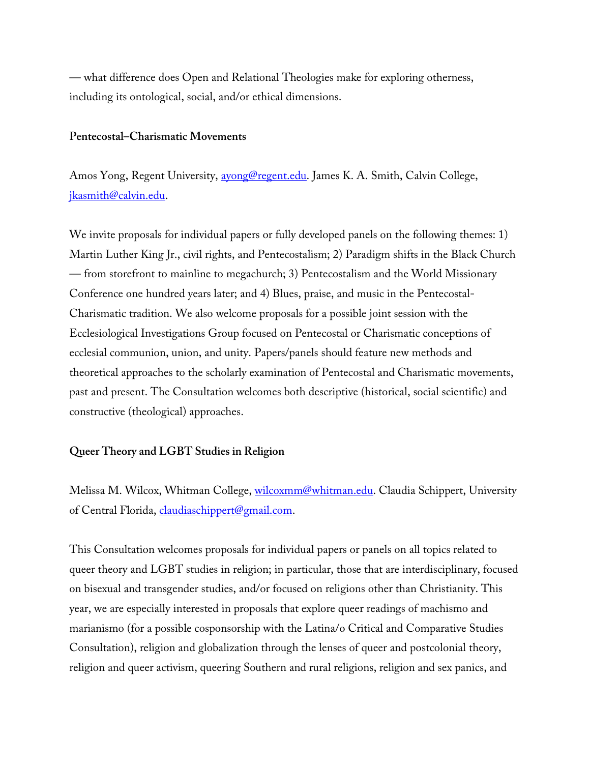— what difference does Open and Relational Theologies make for exploring otherness, including its ontological, social, and/or ethical dimensions.

#### **Pentecostal–Charismatic Movements**

Amos Yong, Regent University, avong@regent.edu. James K. A. Smith, Calvin College, jkasmith@calvin.edu.

We invite proposals for individual papers or fully developed panels on the following themes: 1) Martin Luther King Jr., civil rights, and Pentecostalism; 2) Paradigm shifts in the Black Church — from storefront to mainline to megachurch; 3) Pentecostalism and the World Missionary Conference one hundred years later; and 4) Blues, praise, and music in the Pentecostal-Charismatic tradition. We also welcome proposals for a possible joint session with the Ecclesiological Investigations Group focused on Pentecostal or Charismatic conceptions of ecclesial communion, union, and unity. Papers/panels should feature new methods and theoretical approaches to the scholarly examination of Pentecostal and Charismatic movements, past and present. The Consultation welcomes both descriptive (historical, social scientific) and constructive (theological) approaches.

### **Queer Theory and LGBT Studies in Religion**

Melissa M. Wilcox, Whitman College, wilcoxmm@whitman.edu. Claudia Schippert, University of Central Florida, *claudiaschippert@gmail.com.* 

This Consultation welcomes proposals for individual papers or panels on all topics related to queer theory and LGBT studies in religion; in particular, those that are interdisciplinary, focused on bisexual and transgender studies, and/or focused on religions other than Christianity. This year, we are especially interested in proposals that explore queer readings of machismo and marianismo (for a possible cosponsorship with the Latina/o Critical and Comparative Studies Consultation), religion and globalization through the lenses of queer and postcolonial theory, religion and queer activism, queering Southern and rural religions, religion and sex panics, and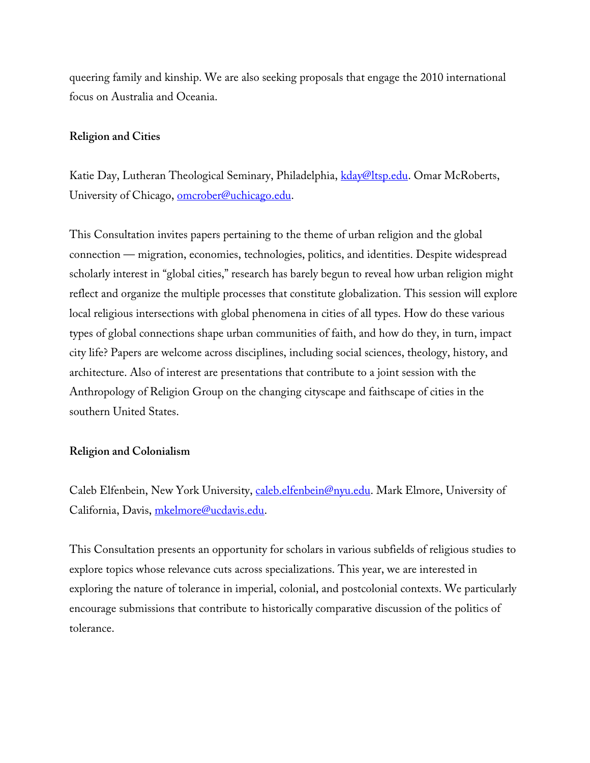queering family and kinship. We are also seeking proposals that engage the 2010 international focus on Australia and Oceania.

## **Religion and Cities**

Katie Day, Lutheran Theological Seminary, Philadelphia, kday@ltsp.edu. Omar McRoberts, University of Chicago, omcrober@uchicago.edu.

This Consultation invites papers pertaining to the theme of urban religion and the global connection — migration, economies, technologies, politics, and identities. Despite widespread scholarly interest in "global cities," research has barely begun to reveal how urban religion might reflect and organize the multiple processes that constitute globalization. This session will explore local religious intersections with global phenomena in cities of all types. How do these various types of global connections shape urban communities of faith, and how do they, in turn, impact city life? Papers are welcome across disciplines, including social sciences, theology, history, and architecture. Also of interest are presentations that contribute to a joint session with the Anthropology of Religion Group on the changing cityscape and faithscape of cities in the southern United States.

### **Religion and Colonialism**

Caleb Elfenbein, New York University, caleb.elfenbein@nyu.edu. Mark Elmore, University of California, Davis, mkelmore@ucdavis.edu.

This Consultation presents an opportunity for scholars in various subfields of religious studies to explore topics whose relevance cuts across specializations. This year, we are interested in exploring the nature of tolerance in imperial, colonial, and postcolonial contexts. We particularly encourage submissions that contribute to historically comparative discussion of the politics of tolerance.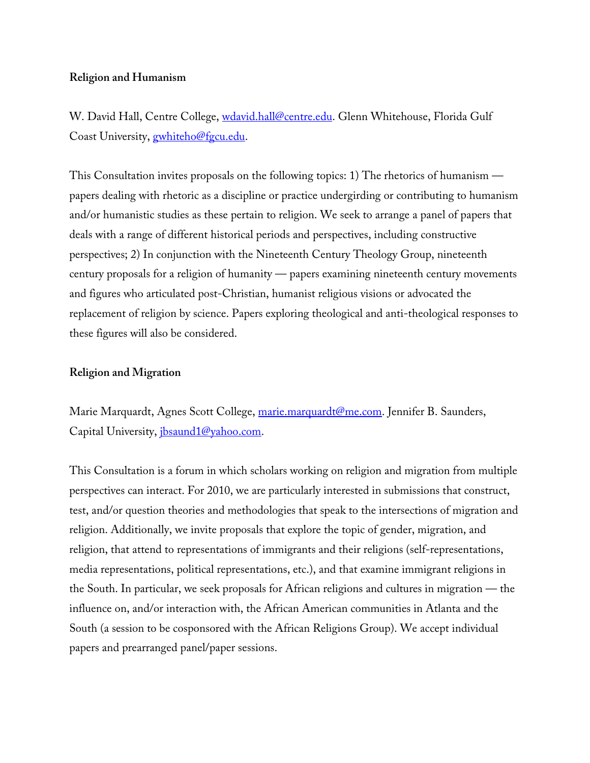# **Religion and Humanism**

W. David Hall, Centre College, wdavid.hall@centre.edu. Glenn Whitehouse, Florida Gulf Coast University, **gwhiteho@fgcu.edu**.

This Consultation invites proposals on the following topics: 1) The rhetorics of humanism papers dealing with rhetoric as a discipline or practice undergirding or contributing to humanism and/or humanistic studies as these pertain to religion. We seek to arrange a panel of papers that deals with a range of different historical periods and perspectives, including constructive perspectives; 2) In conjunction with the Nineteenth Century Theology Group, nineteenth century proposals for a religion of humanity — papers examining nineteenth century movements and figures who articulated post-Christian, humanist religious visions or advocated the replacement of religion by science. Papers exploring theological and anti-theological responses to these figures will also be considered.

### **Religion and Migration**

Marie Marquardt, Agnes Scott College, marie.marquardt@me.com. Jennifer B. Saunders, Capital University, jbsaund1@yahoo.com.

This Consultation is a forum in which scholars working on religion and migration from multiple perspectives can interact. For 2010, we are particularly interested in submissions that construct, test, and/or question theories and methodologies that speak to the intersections of migration and religion. Additionally, we invite proposals that explore the topic of gender, migration, and religion, that attend to representations of immigrants and their religions (self-representations, media representations, political representations, etc.), and that examine immigrant religions in the South. In particular, we seek proposals for African religions and cultures in migration — the influence on, and/or interaction with, the African American communities in Atlanta and the South (a session to be cosponsored with the African Religions Group). We accept individual papers and prearranged panel/paper sessions.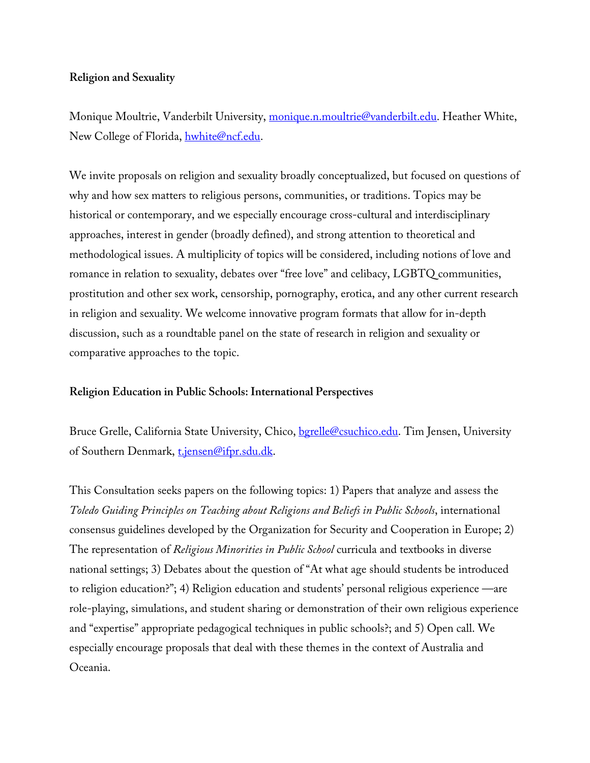# **Religion and Sexuality**

Monique Moultrie, Vanderbilt University, monique.n.moultrie@vanderbilt.edu. Heather White, New College of Florida, hwhite@ncf.edu.

We invite proposals on religion and sexuality broadly conceptualized, but focused on questions of why and how sex matters to religious persons, communities, or traditions. Topics may be historical or contemporary, and we especially encourage cross-cultural and interdisciplinary approaches, interest in gender (broadly defined), and strong attention to theoretical and methodological issues. A multiplicity of topics will be considered, including notions of love and romance in relation to sexuality, debates over "free love" and celibacy, LGBTQ communities, prostitution and other sex work, censorship, pornography, erotica, and any other current research in religion and sexuality. We welcome innovative program formats that allow for in-depth discussion, such as a roundtable panel on the state of research in religion and sexuality or comparative approaches to the topic.

# **Religion Education in Public Schools: International Perspectives**

Bruce Grelle, California State University, Chico, bgrelle@csuchico.edu. Tim Jensen, University of Southern Denmark, t.jensen@ifpr.sdu.dk.

This Consultation seeks papers on the following topics: 1) Papers that analyze and assess the *Toledo Guiding Principles on Teaching about Religions and Beliefs in Public Schools*, international consensus guidelines developed by the Organization for Security and Cooperation in Europe; 2) The representation of *Religious Minorities in Public School* curricula and textbooks in diverse national settings; 3) Debates about the question of "At what age should students be introduced to religion education?"; 4) Religion education and students' personal religious experience —are role-playing, simulations, and student sharing or demonstration of their own religious experience and "expertise" appropriate pedagogical techniques in public schools?; and 5) Open call. We especially encourage proposals that deal with these themes in the context of Australia and Oceania.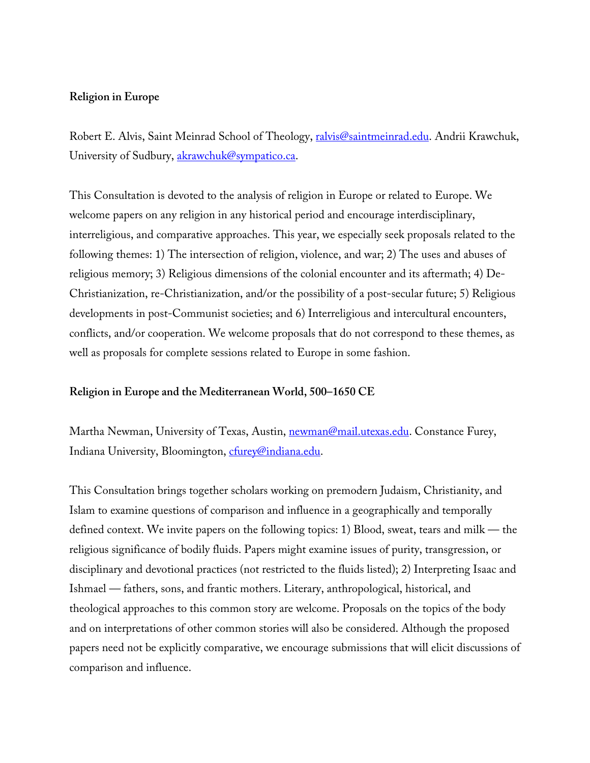### **Religion in Europe**

Robert E. Alvis, Saint Meinrad School of Theology, ralvis@saintmeinrad.edu. Andrii Krawchuk, University of Sudbury, akrawchuk@sympatico.ca.

This Consultation is devoted to the analysis of religion in Europe or related to Europe. We welcome papers on any religion in any historical period and encourage interdisciplinary, interreligious, and comparative approaches. This year, we especially seek proposals related to the following themes: 1) The intersection of religion, violence, and war; 2) The uses and abuses of religious memory; 3) Religious dimensions of the colonial encounter and its aftermath; 4) De-Christianization, re-Christianization, and/or the possibility of a post-secular future; 5) Religious developments in post-Communist societies; and 6) Interreligious and intercultural encounters, conflicts, and/or cooperation. We welcome proposals that do not correspond to these themes, as well as proposals for complete sessions related to Europe in some fashion.

### **Religion in Europe and the Mediterranean World, 500–1650 CE**

Martha Newman, University of Texas, Austin, newman@mail.utexas.edu. Constance Furey, Indiana University, Bloomington, cfurey@indiana.edu.

This Consultation brings together scholars working on premodern Judaism, Christianity, and Islam to examine questions of comparison and influence in a geographically and temporally defined context. We invite papers on the following topics: 1) Blood, sweat, tears and milk — the religious significance of bodily fluids. Papers might examine issues of purity, transgression, or disciplinary and devotional practices (not restricted to the fluids listed); 2) Interpreting Isaac and Ishmael — fathers, sons, and frantic mothers. Literary, anthropological, historical, and theological approaches to this common story are welcome. Proposals on the topics of the body and on interpretations of other common stories will also be considered. Although the proposed papers need not be explicitly comparative, we encourage submissions that will elicit discussions of comparison and influence.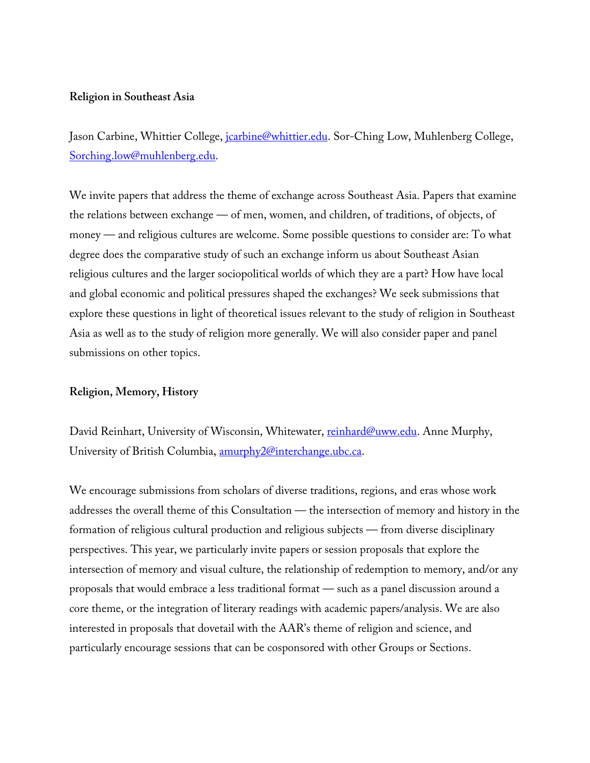#### **Religion in Southeast Asia**

Jason Carbine, Whittier College, *jcarbine@whittier.edu*. Sor-Ching Low, Muhlenberg College, Sorching.low@muhlenberg.edu.

We invite papers that address the theme of exchange across Southeast Asia. Papers that examine the relations between exchange — of men, women, and children, of traditions, of objects, of money — and religious cultures are welcome. Some possible questions to consider are: To what degree does the comparative study of such an exchange inform us about Southeast Asian religious cultures and the larger sociopolitical worlds of which they are a part? How have local and global economic and political pressures shaped the exchanges? We seek submissions that explore these questions in light of theoretical issues relevant to the study of religion in Southeast Asia as well as to the study of religion more generally. We will also consider paper and panel submissions on other topics.

### **Religion, Memory, History**

David Reinhart, University of Wisconsin, Whitewater, reinhard@uww.edu. Anne Murphy, University of British Columbia, amurphy2@interchange.ubc.ca.

We encourage submissions from scholars of diverse traditions, regions, and eras whose work addresses the overall theme of this Consultation — the intersection of memory and history in the formation of religious cultural production and religious subjects — from diverse disciplinary perspectives. This year, we particularly invite papers or session proposals that explore the intersection of memory and visual culture, the relationship of redemption to memory, and/or any proposals that would embrace a less traditional format — such as a panel discussion around a core theme, or the integration of literary readings with academic papers/analysis. We are also interested in proposals that dovetail with the AAR's theme of religion and science, and particularly encourage sessions that can be cosponsored with other Groups or Sections.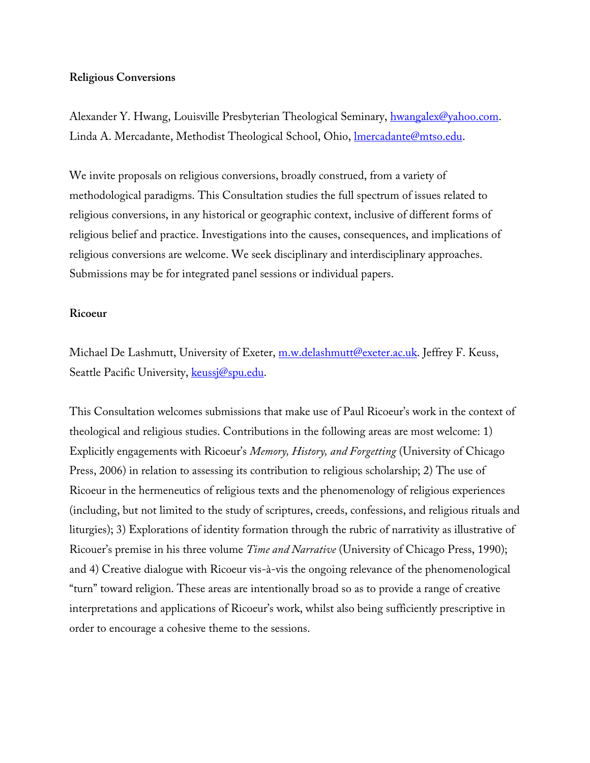#### **Religious Conversions**

Alexander Y. Hwang, Louisville Presbyterian Theological Seminary, hwangalex@yahoo.com. Linda A. Mercadante, Methodist Theological School, Ohio, Imercadante@mtso.edu.

We invite proposals on religious conversions, broadly construed, from a variety of methodological paradigms. This Consultation studies the full spectrum of issues related to religious conversions, in any historical or geographic context, inclusive of different forms of religious belief and practice. Investigations into the causes, consequences, and implications of religious conversions are welcome. We seek disciplinary and interdisciplinary approaches. Submissions may be for integrated panel sessions or individual papers.

#### **Ricoeur**

Michael De Lashmutt, University of Exeter, m.w.delashmutt@exeter.ac.uk. Jeffrey F. Keuss, Seattle Pacific University, keussj@spu.edu.

This Consultation welcomes submissions that make use of Paul Ricoeur's work in the context of theological and religious studies. Contributions in the following areas are most welcome: 1) Explicitly engagements with Ricoeur's *Memory, History, and Forgetting* (University of Chicago Press, 2006) in relation to assessing its contribution to religious scholarship; 2) The use of Ricoeur in the hermeneutics of religious texts and the phenomenology of religious experiences (including, but not limited to the study of scriptures, creeds, confessions, and religious rituals and liturgies); 3) Explorations of identity formation through the rubric of narrativity as illustrative of Ricouer's premise in his three volume *Time and Narrative* (University of Chicago Press, 1990); and 4) Creative dialogue with Ricoeur vis-à-vis the ongoing relevance of the phenomenological "turn" toward religion. These areas are intentionally broad so as to provide a range of creative interpretations and applications of Ricoeur's work, whilst also being sufficiently prescriptive in order to encourage a cohesive theme to the sessions.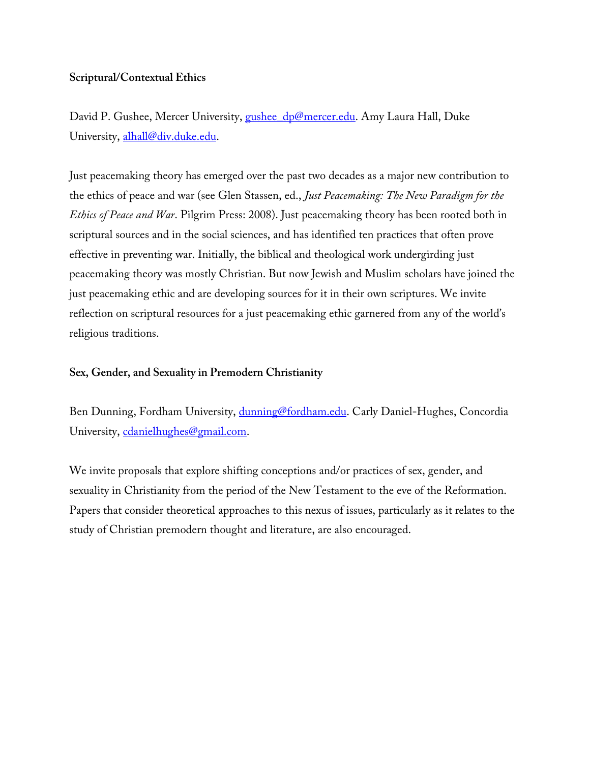# **Scriptural/Contextual Ethics**

David P. Gushee, Mercer University, gushee\_dp@mercer.edu. Amy Laura Hall, Duke University, alhall@div.duke.edu.

Just peacemaking theory has emerged over the past two decades as a major new contribution to the ethics of peace and war (see Glen Stassen, ed., *Just Peacemaking: The New Paradigm for the Ethics of Peace and War*. Pilgrim Press: 2008). Just peacemaking theory has been rooted both in scriptural sources and in the social sciences, and has identified ten practices that often prove effective in preventing war. Initially, the biblical and theological work undergirding just peacemaking theory was mostly Christian. But now Jewish and Muslim scholars have joined the just peacemaking ethic and are developing sources for it in their own scriptures. We invite reflection on scriptural resources for a just peacemaking ethic garnered from any of the world's religious traditions.

# **Sex, Gender, and Sexuality in Premodern Christianity**

Ben Dunning, Fordham University, dunning@fordham.edu. Carly Daniel-Hughes, Concordia University, cdanielhughes@gmail.com.

We invite proposals that explore shifting conceptions and/or practices of sex, gender, and sexuality in Christianity from the period of the New Testament to the eve of the Reformation. Papers that consider theoretical approaches to this nexus of issues, particularly as it relates to the study of Christian premodern thought and literature, are also encouraged.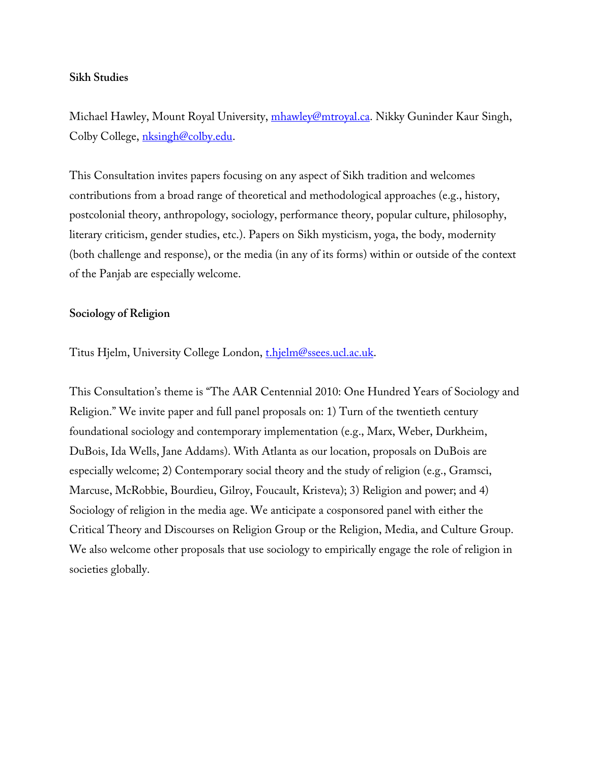### **Sikh Studies**

Michael Hawley, Mount Royal University, mhawley@mtroyal.ca. Nikky Guninder Kaur Singh, Colby College, nksingh@colby.edu.

This Consultation invites papers focusing on any aspect of Sikh tradition and welcomes contributions from a broad range of theoretical and methodological approaches (e.g., history, postcolonial theory, anthropology, sociology, performance theory, popular culture, philosophy, literary criticism, gender studies, etc.). Papers on Sikh mysticism, yoga, the body, modernity (both challenge and response), or the media (in any of its forms) within or outside of the context of the Panjab are especially welcome.

## **Sociology of Religion**

Titus Hjelm, University College London, thjelm@ssees.ucl.ac.uk.

This Consultation's theme is "The AAR Centennial 2010: One Hundred Years of Sociology and Religion." We invite paper and full panel proposals on: 1) Turn of the twentieth century foundational sociology and contemporary implementation (e.g., Marx, Weber, Durkheim, DuBois, Ida Wells, Jane Addams). With Atlanta as our location, proposals on DuBois are especially welcome; 2) Contemporary social theory and the study of religion (e.g., Gramsci, Marcuse, McRobbie, Bourdieu, Gilroy, Foucault, Kristeva); 3) Religion and power; and 4) Sociology of religion in the media age. We anticipate a cosponsored panel with either the Critical Theory and Discourses on Religion Group or the Religion, Media, and Culture Group. We also welcome other proposals that use sociology to empirically engage the role of religion in societies globally.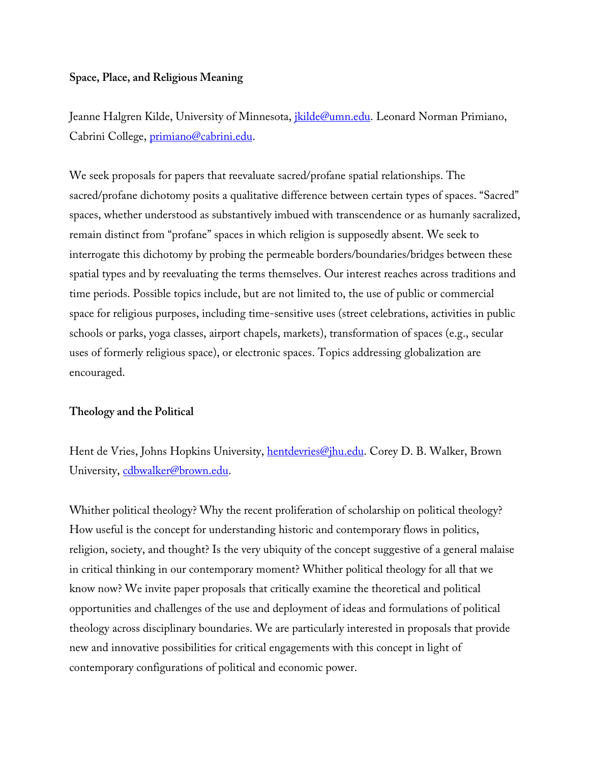### **Space, Place, and Religious Meaning**

Jeanne Halgren Kilde, University of Minnesota, *jkilde@umn.edu*. Leonard Norman Primiano, Cabrini College, primiano@cabrini.edu.

We seek proposals for papers that reevaluate sacred/profane spatial relationships. The sacred/profane dichotomy posits a qualitative difference between certain types of spaces. "Sacred" spaces, whether understood as substantively imbued with transcendence or as humanly sacralized, remain distinct from "profane" spaces in which religion is supposedly absent. We seek to interrogate this dichotomy by probing the permeable borders/boundaries/bridges between these spatial types and by reevaluating the terms themselves. Our interest reaches across traditions and time periods. Possible topics include, but are not limited to, the use of public or commercial space for religious purposes, including time-sensitive uses (street celebrations, activities in public schools or parks, yoga classes, airport chapels, markets), transformation of spaces (e.g., secular uses of formerly religious space), or electronic spaces. Topics addressing globalization are encouraged.

# **Theology and the Political**

Hent de Vries, Johns Hopkins University, *hentdevries@jhu.edu.* Corey D. B. Walker, Brown University, cdbwalker@brown.edu.

Whither political theology? Why the recent proliferation of scholarship on political theology? How useful is the concept for understanding historic and contemporary flows in politics, religion, society, and thought? Is the very ubiquity of the concept suggestive of a general malaise in critical thinking in our contemporary moment? Whither political theology for all that we know now? We invite paper proposals that critically examine the theoretical and political opportunities and challenges of the use and deployment of ideas and formulations of political theology across disciplinary boundaries. We are particularly interested in proposals that provide new and innovative possibilities for critical engagements with this concept in light of contemporary configurations of political and economic power.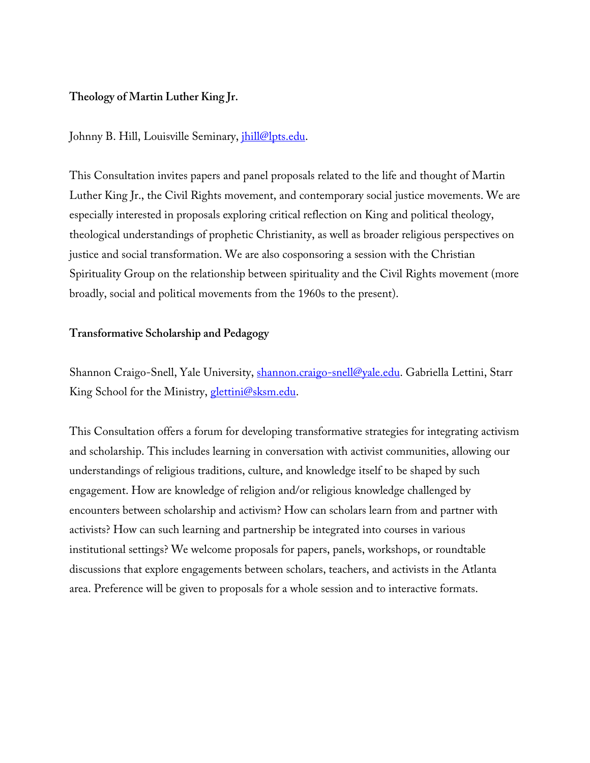# **Theology of Martin Luther King Jr.**

Johnny B. Hill, Louisville Seminary, *jhill@lpts.edu.* 

This Consultation invites papers and panel proposals related to the life and thought of Martin Luther King Jr., the Civil Rights movement, and contemporary social justice movements. We are especially interested in proposals exploring critical reflection on King and political theology, theological understandings of prophetic Christianity, as well as broader religious perspectives on justice and social transformation. We are also cosponsoring a session with the Christian Spirituality Group on the relationship between spirituality and the Civil Rights movement (more broadly, social and political movements from the 1960s to the present).

## **Transformative Scholarship and Pedagogy**

Shannon Craigo-Snell, Yale University, shannon.craigo-snell@yale.edu. Gabriella Lettini, Starr King School for the Ministry, glettini@sksm.edu.

This Consultation offers a forum for developing transformative strategies for integrating activism and scholarship. This includes learning in conversation with activist communities, allowing our understandings of religious traditions, culture, and knowledge itself to be shaped by such engagement. How are knowledge of religion and/or religious knowledge challenged by encounters between scholarship and activism? How can scholars learn from and partner with activists? How can such learning and partnership be integrated into courses in various institutional settings? We welcome proposals for papers, panels, workshops, or roundtable discussions that explore engagements between scholars, teachers, and activists in the Atlanta area. Preference will be given to proposals for a whole session and to interactive formats.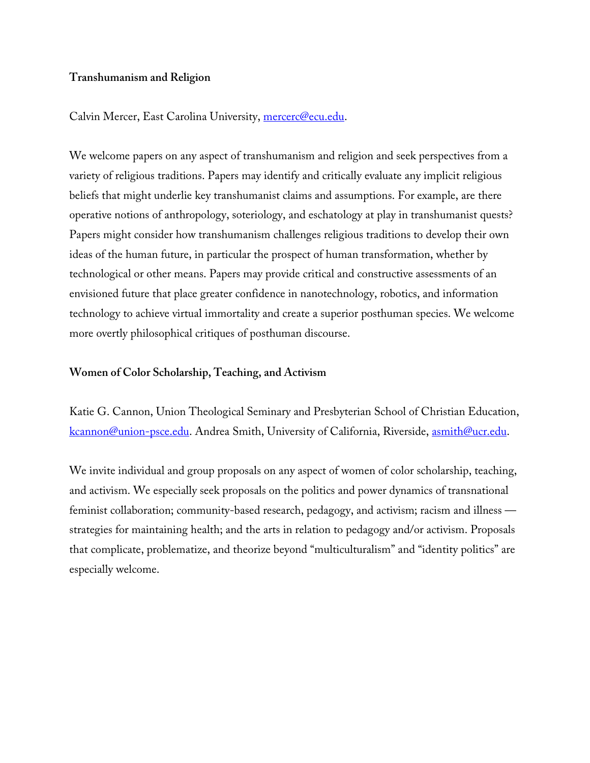# **Transhumanism and Religion**

## Calvin Mercer, East Carolina University, mercerc@ecu.edu.

We welcome papers on any aspect of transhumanism and religion and seek perspectives from a variety of religious traditions. Papers may identify and critically evaluate any implicit religious beliefs that might underlie key transhumanist claims and assumptions. For example, are there operative notions of anthropology, soteriology, and eschatology at play in transhumanist quests? Papers might consider how transhumanism challenges religious traditions to develop their own ideas of the human future, in particular the prospect of human transformation, whether by technological or other means. Papers may provide critical and constructive assessments of an envisioned future that place greater confidence in nanotechnology, robotics, and information technology to achieve virtual immortality and create a superior posthuman species. We welcome more overtly philosophical critiques of posthuman discourse.

### **Women of Color Scholarship, Teaching, and Activism**

Katie G. Cannon, Union Theological Seminary and Presbyterian School of Christian Education, kcannon@union-psce.edu. Andrea Smith, University of California, Riverside, asmith@ucr.edu.

We invite individual and group proposals on any aspect of women of color scholarship, teaching, and activism. We especially seek proposals on the politics and power dynamics of transnational feminist collaboration; community-based research, pedagogy, and activism; racism and illness strategies for maintaining health; and the arts in relation to pedagogy and/or activism. Proposals that complicate, problematize, and theorize beyond "multiculturalism" and "identity politics" are especially welcome.